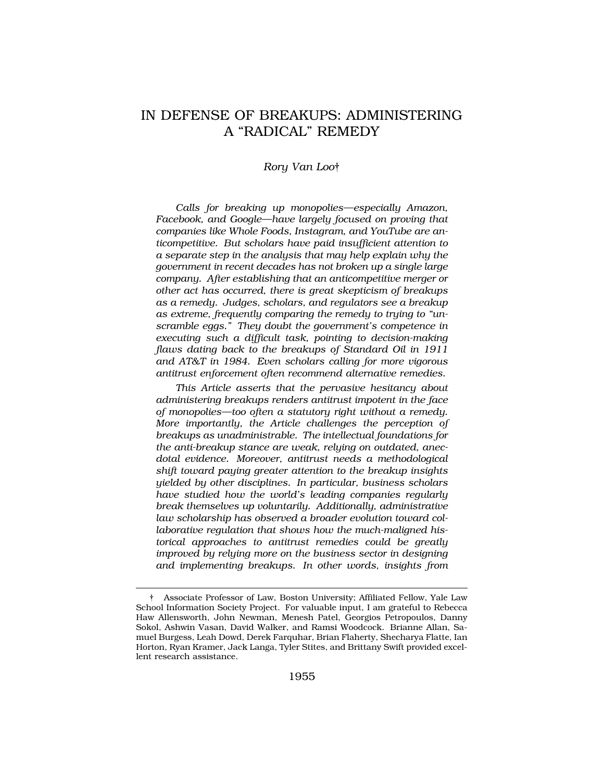# IN DEFENSE OF BREAKUPS: ADMINISTERING A "RADICAL" REMEDY

### *Rory Van Loo*†

*Calls for breaking up monopolies—especially Amazon, Facebook, and Google—have largely focused on proving that companies like Whole Foods, Instagram, and YouTube are anticompetitive. But scholars have paid insufficient attention to a separate step in the analysis that may help explain why the government in recent decades has not broken up a single large company. After establishing that an anticompetitive merger or other act has occurred, there is great skepticism of breakups as a remedy. Judges, scholars, and regulators see a breakup as extreme, frequently comparing the remedy to trying to "unscramble eggs." They doubt the government's competence in executing such a difficult task, pointing to decision-making flaws dating back to the breakups of Standard Oil in 1911 and AT&T in 1984. Even scholars calling for more vigorous antitrust enforcement often recommend alternative remedies.* 

*This Article asserts that the pervasive hesitancy about administering breakups renders antitrust impotent in the face of monopolies—too often a statutory right without a remedy. More importantly, the Article challenges the perception of breakups as unadministrable. The intellectual foundations for the anti-breakup stance are weak, relying on outdated, anecdotal evidence. Moreover, antitrust needs a methodological shift toward paying greater attention to the breakup insights yielded by other disciplines. In particular, business scholars have studied how the world's leading companies regularly break themselves up voluntarily. Additionally, administrative law scholarship has observed a broader evolution toward collaborative regulation that shows how the much-maligned historical approaches to antitrust remedies could be greatly improved by relying more on the business sector in designing and implementing breakups. In other words, insights from* 

<sup>†</sup> Associate Professor of Law, Boston University; Affiliated Fellow, Yale Law School Information Society Project. For valuable input, I am grateful to Rebecca Haw Allensworth, John Newman, Menesh Patel, Georgios Petropoulos, Danny Sokol, Ashwin Vasan, David Walker, and Ramsi Woodcock. Brianne Allan, Samuel Burgess, Leah Dowd, Derek Farquhar, Brian Flaherty, Shecharya Flatte, Ian Horton, Ryan Kramer, Jack Langa, Tyler Stites, and Brittany Swift provided excellent research assistance.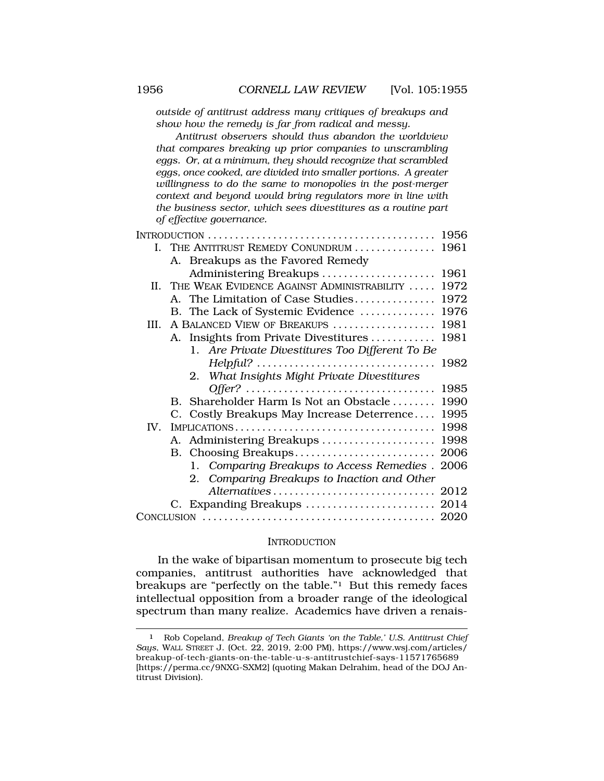*outside of antitrust address many critiques of breakups and show how the remedy is far from radical and messy.* 

*Antitrust observers should thus abandon the worldview that compares breaking up prior companies to unscrambling eggs. Or, at a minimum, they should recognize that scrambled eggs, once cooked, are divided into smaller portions. A greater willingness to do the same to monopolies in the post-merger context and beyond would bring regulators more in line with the business sector, which sees divestitures as a routine part of effective governance.* 

|      |                                                 | 1956 |
|------|-------------------------------------------------|------|
|      | I. THE ANTITRUST REMEDY CONUNDRUM  1961         |      |
|      | A. Breakups as the Favored Remedy               |      |
|      | Administering Breakups                          | 1961 |
|      | II. THE WEAK EVIDENCE AGAINST ADMINISTRABILITY  | 1972 |
|      | A. The Limitation of Case Studies               | 1972 |
|      | B. The Lack of Systemic Evidence                | 1976 |
| III. | A BALANCED VIEW OF BREAKUPS                     | 1981 |
|      | A. Insights from Private Divestitures           | 1981 |
|      | 1. Are Private Divestitures Too Different To Be |      |
|      |                                                 | 1982 |
|      | 2. What Insights Might Private Divestitures     |      |
|      |                                                 | 1985 |
|      | B. Shareholder Harm Is Not an Obstacle          | 1990 |
|      | C. Costly Breakups May Increase Deterrence      | 1995 |
| IV.  |                                                 | 1998 |
|      | A. Administering Breakups                       | 1998 |
|      |                                                 | 2006 |
|      | 1. Comparing Breakups to Access Remedies. 2006  |      |
|      | 2. Comparing Breakups to Inaction and Other     |      |
|      |                                                 |      |
|      |                                                 |      |
|      |                                                 |      |

#### **INTRODUCTION**

In the wake of bipartisan momentum to prosecute big tech companies, antitrust authorities have acknowledged that breakups are "perfectly on the table."1 But this remedy faces intellectual opposition from a broader range of the ideological spectrum than many realize. Academics have driven a renais-

<sup>1</sup> Rob Copeland, *Breakup of Tech Giants 'on the Table,' U.S. Antitrust Chief Says*, WALL STREET J. (Oct. 22, 2019, 2:00 PM), [https://www.wsj.com/articles/](https://www.wsj.com/articles) breakup-of-tech-giants-on-the-table-u-s-antitrustchief-says-11571765689 [[https://perma.cc/9NXG-SXM2\]](https://perma.cc/9NXG-SXM2) (quoting Makan Delrahim, head of the DOJ Antitrust Division).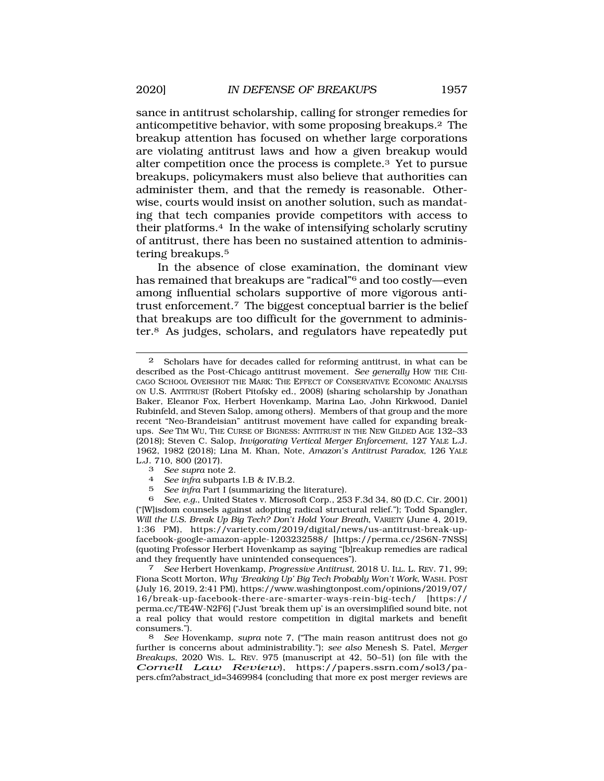sance in antitrust scholarship, calling for stronger remedies for anticompetitive behavior, with some proposing breakups.2 The breakup attention has focused on whether large corporations are violating antitrust laws and how a given breakup would alter competition once the process is complete.3 Yet to pursue breakups, policymakers must also believe that authorities can administer them, and that the remedy is reasonable. Otherwise, courts would insist on another solution, such as mandating that tech companies provide competitors with access to their platforms.4 In the wake of intensifying scholarly scrutiny of antitrust, there has been no sustained attention to administering breakups.5

In the absence of close examination, the dominant view has remained that breakups are "radical"6 and too costly—even among influential scholars supportive of more vigorous antitrust enforcement.7 The biggest conceptual barrier is the belief that breakups are too difficult for the government to administer.8 As judges, scholars, and regulators have repeatedly put

6 *See, e.g.*, United States v. Microsoft Corp., 253 F.3d 34, 80 (D.C. Cir. 2001) ("[W]isdom counsels against adopting radical structural relief."); Todd Spangler, *Will the U.S. Break Up Big Tech? Don't Hold Your Breath*, VARIETY (June 4, 2019, 1:36 PM), <https://variety.com/2019/digital/news/us-antitrust-break-up>facebook-google-amazon-apple-1203232588/ [<https://perma.cc/2S6N-7NSS>] (quoting Professor Herbert Hovenkamp as saying "[b]reakup remedies are radical and they frequently have unintended consequences"). 7 *See* Herbert Hovenkamp, *Progressive Antitrust*, 2018 U. ILL. L. REV. 71, 99;

Fiona Scott Morton, *Why 'Breaking Up' Big Tech Probably Won't Work*, WASH. POST (July 16, 2019, 2:41 PM), [https://www.washingtonpost.com/opinions/2019/07/](https://www.washingtonpost.com/opinions/2019/07) 16/break-up-facebook-there-are-smarter-ways-rein-big-tech/ [https:// perma.cc/TE4W-N2F6] ("Just 'break them up' is an oversimplified sound bite, not a real policy that would restore competition in digital markets and benefit consumers.").

8 *See* Hovenkamp, *supra* note 7, ("The main reason antitrust does not go further is concerns about administrability."); *see also* Menesh S. Patel, *Merger Breakups*, 2020 WIS. L. REV. 975 (manuscript at 42, 50–51) (on file with the *Cornell Law Review*), <https://papers.ssrn.com/sol3/pa>pers.cfm?abstract\_id=3469984 (concluding that more ex post merger reviews are

<sup>2</sup> Scholars have for decades called for reforming antitrust, in what can be described as the Post-Chicago antitrust movement. *See generally* HOW THE CHI-CAGO SCHOOL OVERSHOT THE MARK: THE EFFECT OF CONSERVATIVE ECONOMIC ANALYSIS ON U.S. ANTITRUST (Robert Pitofsky ed., 2008) (sharing scholarship by Jonathan Baker, Eleanor Fox, Herbert Hovenkamp, Marina Lao, John Kirkwood, Daniel Rubinfeld, and Steven Salop, among others). Members of that group and the more recent "Neo-Brandeisian" antitrust movement have called for expanding breakups. *See* TIM WU, THE CURSE OF BIGNESS: ANTITRUST IN THE NEW GILDED AGE 132–33 (2018); Steven C. Salop, *Invigorating Vertical Merger Enforcement*, 127 YALE L.J. 1962, 1982 (2018); Lina M. Khan, Note, *Amazon's Antitrust Paradox*, 126 YALE L.J. 710, 800 (2017).<br><sup>3</sup> See supra note 2.

<sup>3</sup>*See supra* note 2. 4 *See infra* subparts I.B & IV.B.2.

<sup>5</sup> *See infra* Part I (summarizing the literature).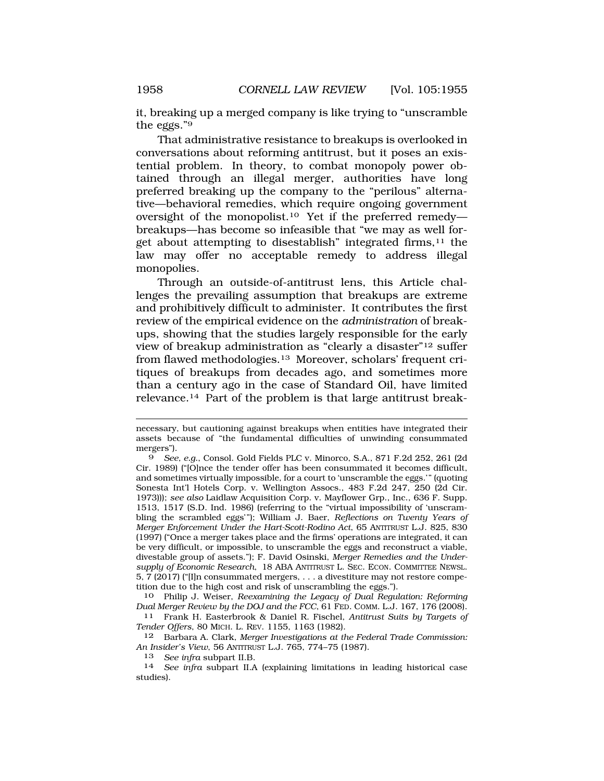it, breaking up a merged company is like trying to "unscramble the eggs."9

That administrative resistance to breakups is overlooked in conversations about reforming antitrust, but it poses an existential problem. In theory, to combat monopoly power obtained through an illegal merger, authorities have long preferred breaking up the company to the "perilous" alternative—behavioral remedies, which require ongoing government oversight of the [monopolist.10](https://monopolist.10) Yet if the preferred remedy breakups—has become so infeasible that "we may as well forget about attempting to disestablish" integrated firms,  $11$  the law may offer no acceptable remedy to address illegal monopolies.

Through an outside-of-antitrust lens, this Article challenges the prevailing assumption that breakups are extreme and prohibitively difficult to administer. It contributes the first review of the empirical evidence on the *administration* of breakups, showing that the studies largely responsible for the early view of breakup administration as "clearly a disaster"12 suffer from flawed [methodologies.13](https://methodologies.13) Moreover, scholars' frequent critiques of breakups from decades ago, and sometimes more than a century ago in the case of Standard Oil, have limited [relevance.14](https://relevance.14) Part of the problem is that large antitrust break-

10 Philip J. Weiser, *Reexamining the Legacy of Dual Regulation: Reforming Dual Merger Review by the DOJ and the FCC*, 61 FED. COMM. L.J. 167, 176 (2008).

11 Frank H. Easterbrook & Daniel R. Fischel, *Antitrust Suits by Targets of Tender Offers*, 80 MICH. L. REV. 1155, 1163 (1982).

12 Barbara A. Clark, *Merger Investigations at the Federal Trade Commission: An Insider's View*, 56 ANTITRUST L.J. 765, 774–75 (1987).

<sup>13</sup>*See infra* subpart II.B. 14 *See infra* subpart II.A (explaining limitations in leading historical case studies).

necessary, but cautioning against breakups when entities have integrated their assets because of "the fundamental difficulties of unwinding consummated mergers").

<sup>9</sup> *See, e.g.*, Consol. Gold Fields PLC v. Minorco, S.A., 871 F.2d 252, 261 (2d Cir. 1989) ("[O]nce the tender offer has been consummated it becomes difficult, and sometimes virtually impossible, for a court to 'unscramble the eggs.'" (quoting Sonesta Int'l Hotels Corp. v. Wellington Assocs., 483 F.2d 247, 250 (2d Cir. 1973))); *see also* Laidlaw Acquisition Corp. v. Mayflower Grp., Inc., 636 F. Supp. 1513, 1517 (S.D. Ind. 1986) (referring to the "virtual impossibility of 'unscrambling the scrambled eggs'"); William J. Baer, *Reflections on Twenty Years of Merger Enforcement Under the Hart-Scott-Rodino Act*, 65 ANTITRUST L.J. 825, 830 (1997) ("Once a merger takes place and the firms' operations are integrated, it can be very difficult, or impossible, to unscramble the eggs and reconstruct a viable, divestable group of assets."); F. David Osinski, *Merger Remedies and the Undersupply of Economic Research*, 18 ABA ANTITRUST L. SEC. ECON. COMMITTEE NEWSL. 5, 7 (2017) ("[I]n consummated mergers, . . . a divestiture may not restore competition due to the high cost and risk of unscrambling the eggs.").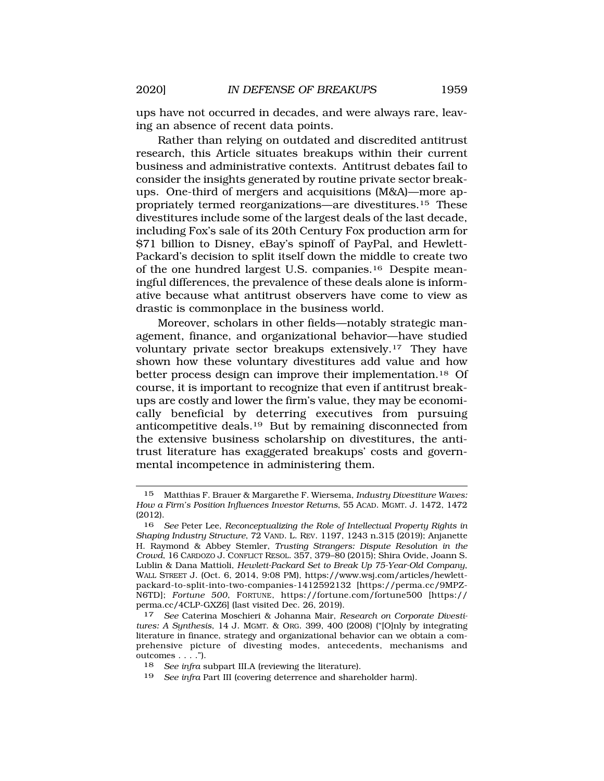ups have not occurred in decades, and were always rare, leaving an absence of recent data points.

Rather than relying on outdated and discredited antitrust research, this Article situates breakups within their current business and administrative contexts. Antitrust debates fail to consider the insights generated by routine private sector breakups. One-third of mergers and acquisitions (M&A)—more appropriately termed reorganizations—are [divestitures.15](https://divestitures.15) These divestitures include some of the largest deals of the last decade, including Fox's sale of its 20th Century Fox production arm for \$71 billion to Disney, eBay's spinoff of PayPal, and Hewlett-Packard's decision to split itself down the middle to create two of the one hundred largest U.S. [companies.16](https://companies.16) Despite meaningful differences, the prevalence of these deals alone is informative because what antitrust observers have come to view as drastic is commonplace in the business world.

Moreover, scholars in other fields—notably strategic management, finance, and organizational behavior—have studied voluntary private sector breakups [extensively.17](https://extensively.17) They have shown how these voluntary divestitures add value and how better process design can improve their [implementation.18](https://implementation.18) Of course, it is important to recognize that even if antitrust breakups are costly and lower the firm's value, they may be economically beneficial by deterring executives from pursuing anticompetitive [deals.19](https://deals.19) But by remaining disconnected from the extensive business scholarship on divestitures, the antitrust literature has exaggerated breakups' costs and governmental incompetence in administering them.

<sup>15</sup> Matthias F. Brauer & Margarethe F. Wiersema, *Industry Divestiture Waves: How a Firm's Position Influences Investor Returns*, 55 ACAD. MGMT. J. 1472, 1472  $(2012).$ <br>16

<sup>16</sup> *See* Peter Lee, *Reconceptualizing the Role of Intellectual Property Rights in Shaping Industry Structure*, 72 VAND. L. REV. 1197, 1243 n.315 (2019); Anjanette H. Raymond & Abbey Stemler, *Trusting Strangers: Dispute Resolution in the Crowd*, 16 CARDOZO J. CONFLICT RESOL. 357, 379–80 (2015); Shira Ovide, Joann S. Lublin & Dana Mattioli, *Hewlett-Packard Set to Break Up 75-Year-Old Company*, WALL STREET J. (Oct. 6, 2014, 9:08 PM), <https://www.wsj.com/articles/hewlett>packard-to-split-into-two-companies-1412592132 [<https://perma.cc/9MPZ>-N6TD]; *Fortune 500*, FORTUNE, <https://fortune.com/fortune500> [https:// perma.cc/4CLP-GXZ6] (last visited Dec. 26, 2019).

<sup>17</sup> *See* Caterina Moschieri & Johanna Mair, *Research on Corporate Divestitures: A Synthesis*, 14 J. MGMT. & ORG. 399, 400 (2008) ("[O]nly by integrating literature in finance, strategy and organizational behavior can we obtain a comprehensive picture of divesting modes, antecedents, mechanisms and outcomes . . . .").

<sup>18</sup> *See infra* subpart III.A (reviewing the literature).

<sup>19</sup> *See infra* Part III (covering deterrence and shareholder harm).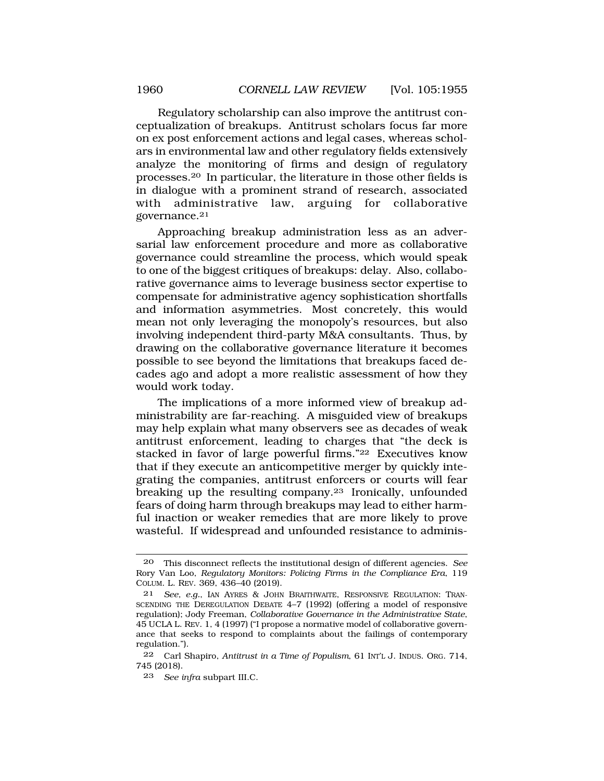Regulatory scholarship can also improve the antitrust conceptualization of breakups. Antitrust scholars focus far more on ex post enforcement actions and legal cases, whereas scholars in environmental law and other regulatory fields extensively analyze the monitoring of firms and design of regulatory [processes.20](https://processes.20) In particular, the literature in those other fields is in dialogue with a prominent strand of research, associated with administrative law, arguing for collaborative [governance.21](https://governance.21)

Approaching breakup administration less as an adversarial law enforcement procedure and more as collaborative governance could streamline the process, which would speak to one of the biggest critiques of breakups: delay. Also, collaborative governance aims to leverage business sector expertise to compensate for administrative agency sophistication shortfalls and information asymmetries. Most concretely, this would mean not only leveraging the monopoly's resources, but also involving independent third-party M&A consultants. Thus, by drawing on the collaborative governance literature it becomes possible to see beyond the limitations that breakups faced decades ago and adopt a more realistic assessment of how they would work today.

The implications of a more informed view of breakup administrability are far-reaching. A misguided view of breakups may help explain what many observers see as decades of weak antitrust enforcement, leading to charges that "the deck is stacked in favor of large powerful firms."22 Executives know that if they execute an anticompetitive merger by quickly integrating the companies, antitrust enforcers or courts will fear breaking up the resulting company.<sup>23</sup> Ironically, unfounded fears of doing harm through breakups may lead to either harmful inaction or weaker remedies that are more likely to prove wasteful. If widespread and unfounded resistance to adminis-

<sup>20</sup> This disconnect reflects the institutional design of different agencies. *See*  Rory Van Loo, *Regulatory Monitors: Policing Firms in the Compliance Era*, 119 COLUM. L. REV. 369, 436–40 (2019).

<sup>21</sup> *See, e.g.*, IAN AYRES & JOHN BRAITHWAITE, RESPONSIVE REGULATION: TRAN-SCENDING THE DEREGULATION DEBATE 4–7 (1992) (offering a model of responsive regulation); Jody Freeman, *Collaborative Governance in the Administrative State*, 45 UCLA L. REV. 1, 4 (1997) ("I propose a normative model of collaborative governance that seeks to respond to complaints about the failings of contemporary regulation.").

<sup>22</sup> Carl Shapiro, *Antitrust in a Time of Populism*, 61 INT'L J. INDUS. ORG. 714, 745 (2018).

<sup>23</sup> *See infra* subpart III.C.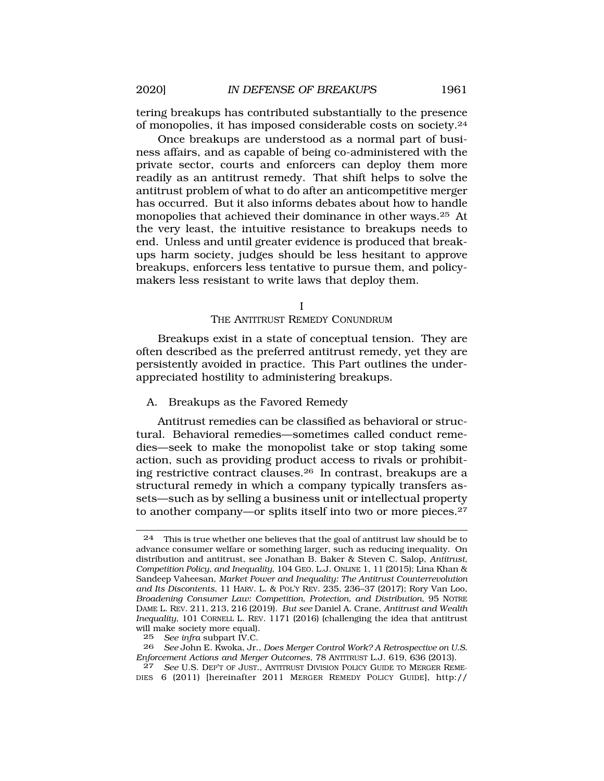<span id="page-6-0"></span>tering breakups has contributed substantially to the presence of monopolies, it has imposed considerable costs on [society.24](https://society.24) 

Once breakups are understood as a normal part of business affairs, and as capable of being co-administered with the private sector, courts and enforcers can deploy them more readily as an antitrust remedy. That shift helps to solve the antitrust problem of what to do after an anticompetitive merger has occurred. But it also informs debates about how to handle monopolies that achieved their dominance in other ways.25 At the very least, the intuitive resistance to breakups needs to end. Unless and until greater evidence is produced that breakups harm society, judges should be less hesitant to approve breakups, enforcers less tentative to pursue them, and policymakers less resistant to write laws that deploy them.

I

### THE ANTITRUST REMEDY CONUNDRUM

Breakups exist in a state of conceptual tension. They are often described as the preferred antitrust remedy, yet they are persistently avoided in practice. This Part outlines the underappreciated hostility to administering breakups.

### A. Breakups as the Favored Remedy

Antitrust remedies can be classified as behavioral or structural. Behavioral remedies—sometimes called conduct remedies—seek to make the monopolist take or stop taking some action, such as providing product access to rivals or prohibiting restrictive contract [clauses.26](https://clauses.26) In contrast, breakups are a structural remedy in which a company typically transfers assets—such as by selling a business unit or intellectual property to another company—or splits itself into two or more [pieces.27](https://pieces.27) 

 $24$  This is true whether one believes that the goal of antitrust law should be to advance consumer welfare or something larger, such as reducing inequality. On distribution and antitrust, see Jonathan B. Baker & Steven C. Salop, *Antitrust, Competition Policy, and Inequality*, 104 GEO. L.J. ONLINE 1, 11 (2015); Lina Khan & Sandeep Vaheesan, *Market Power and Inequality: The Antitrust Counterrevolution and Its Discontents*, 11 HARV. L. & POL'Y REV. 235, 236–37 (2017); Rory Van Loo, *Broadening Consumer Law: Competition, Protection, and Distribution*, 95 NOTRE DAME L. REV. 211, 213, 216 (2019). *But see* Daniel A. Crane, *Antitrust and Wealth Inequality*, 101 CORNELL L. REV. 1171 (2016) (challenging the idea that antitrust will make society more equal).

<sup>25</sup> *See infra* subpart IV.C.

<sup>26</sup> *See* John E. Kwoka, Jr., *Does Merger Control Work? A Retrospective on U.S. Enforcement Actions and Merger Outcomes*, 78 ANTITRUST L.J. 619, 636 (2013).

<sup>27</sup> *See* U.S. DEP'T OF JUST., ANTITRUST DIVISION POLICY GUIDE TO MERGER REME-DIES 6 (2011) [hereinafter 2011 MERGER REMEDY POLICY GUIDE], http://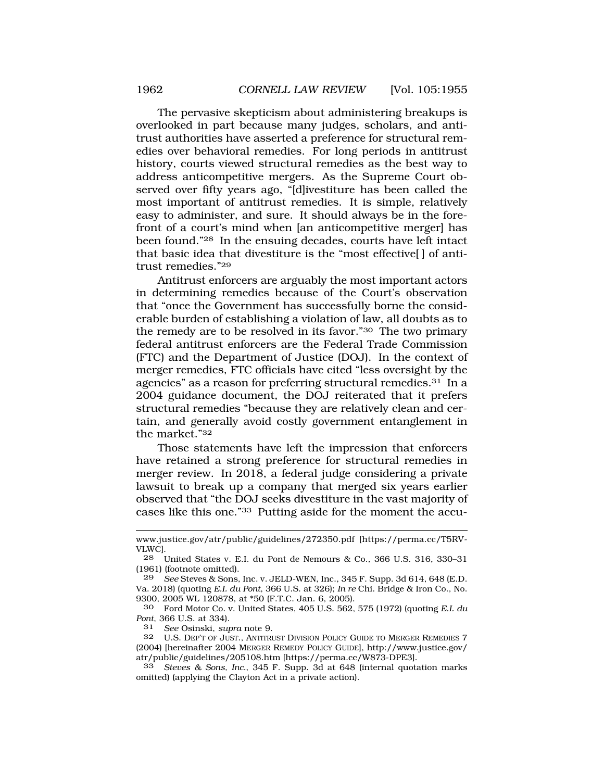The pervasive skepticism about administering breakups is overlooked in part because many judges, scholars, and antitrust authorities have asserted a preference for structural remedies over behavioral remedies. For long periods in antitrust history, courts viewed structural remedies as the best way to address anticompetitive mergers. As the Supreme Court observed over fifty years ago, "[d]ivestiture has been called the most important of antitrust remedies. It is simple, relatively easy to administer, and sure. It should always be in the forefront of a court's mind when [an anticompetitive merger] has been found."28 In the ensuing decades, courts have left intact that basic idea that divestiture is the "most effective[ ] of antitrust remedies."29

Antitrust enforcers are arguably the most important actors in determining remedies because of the Court's observation that "once the Government has successfully borne the considerable burden of establishing a violation of law, all doubts as to the remedy are to be resolved in its favor."30 The two primary federal antitrust enforcers are the Federal Trade Commission (FTC) and the Department of Justice (DOJ). In the context of merger remedies, FTC officials have cited "less oversight by the agencies" as a reason for preferring structural remedies.<sup>31</sup> In a 2004 guidance document, the DOJ reiterated that it prefers structural remedies "because they are relatively clean and certain, and generally avoid costly government entanglement in the market."32

Those statements have left the impression that enforcers have retained a strong preference for structural remedies in merger review. In 2018, a federal judge considering a private lawsuit to break up a company that merged six years earlier observed that "the DOJ seeks divestiture in the vast majority of cases like this one."33 Putting aside for the moment the accu-

<www.justice.gov/atr/public/guidelines/272350.pdf> [[https://perma.cc/T5RV-](https://perma.cc/T5RV)VLWC].<br>28 I

<sup>28</sup> United States v. E.I. du Pont de Nemours & Co., 366 U.S. 316, 330–31 (1961) (footnote omitted).

<sup>29</sup> *See* Steves & Sons, Inc. v. JELD-WEN, Inc., 345 F. Supp. 3d 614, 648 (E.D. Va. 2018) (quoting *E.I. du Pont*, 366 U.S. at 326); *In re* Chi. Bridge & Iron Co., No. 9300, 2005 WL 120878, at \*50 (F.T.C. Jan. 6, 2005).

<sup>30</sup> Ford Motor Co. v. United States, 405 U.S. 562, 575 (1972) (quoting *E.I. du Pont*, 366 U.S. at 334).

<sup>31</sup> *See* Osinski, *supra* note 9.

<sup>32</sup> U.S. DEP'T OF JUST., ANTITRUST DIVISION POLICY GUIDE TO MERGER REMEDIES 7 (2004) [hereinafter 2004 MERGER REMEDY POLICY GUIDE], [http://www.justice.gov/](http://www.justice.gov) atr/public/guidelines/205108.htm [<https://perma.cc/W873-DPE3>].

<sup>33</sup> *Steves & Sons, Inc.*, 345 F. Supp. 3d at 648 (internal quotation marks omitted) (applying the Clayton Act in a private action).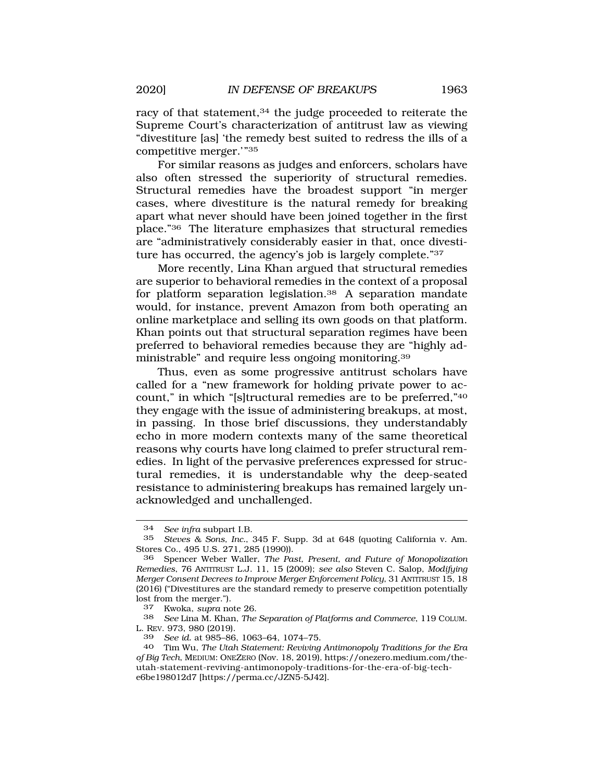racy of that statement,<sup>34</sup> the judge proceeded to reiterate the Supreme Court's characterization of antitrust law as viewing "divestiture [as] 'the remedy best suited to redress the ills of a competitive merger.'"35

For similar reasons as judges and enforcers, scholars have also often stressed the superiority of structural remedies. Structural remedies have the broadest support "in merger cases, where divestiture is the natural remedy for breaking apart what never should have been joined together in the first place."36 The literature emphasizes that structural remedies are "administratively considerably easier in that, once divestiture has occurred, the agency's job is largely complete."37

More recently, Lina Khan argued that structural remedies are superior to behavioral remedies in the context of a proposal for platform separation legislation.<sup>38</sup> A separation mandate would, for instance, prevent Amazon from both operating an online marketplace and selling its own goods on that platform. Khan points out that structural separation regimes have been preferred to behavioral remedies because they are "highly administrable" and require less ongoing [monitoring.39](https://monitoring.39)

Thus, even as some progressive antitrust scholars have called for a "new framework for holding private power to account," in which "[s]tructural remedies are to be preferred,"40 they engage with the issue of administering breakups, at most, in passing. In those brief discussions, they understandably echo in more modern contexts many of the same theoretical reasons why courts have long claimed to prefer structural remedies. In light of the pervasive preferences expressed for structural remedies, it is understandable why the deep-seated resistance to administering breakups has remained largely unacknowledged and unchallenged.

<sup>34</sup> *See infra* subpart I.B.

<sup>35</sup> *Steves & Sons, Inc.*, 345 F. Supp. 3d at 648 (quoting California v. Am. Stores Co., 495 U.S. 271, 285 (1990)).

<sup>36</sup> Spencer Weber Waller, *The Past, Present, and Future of Monopolization Remedies*, 76 ANTITRUST L.J. 11, 15 (2009); *see also* Steven C. Salop, *Modifying Merger Consent Decrees to Improve Merger Enforcement Policy*, 31 ANTITRUST 15, 18 (2016) ("Divestitures are the standard remedy to preserve competition potentially lost from the merger.").

<sup>37</sup> Kwoka, *supra* note 26.

<sup>38</sup> *See* Lina M. Khan, *The Separation of Platforms and Commerce*, 119 COLUM. L. REV. 973, 980 (2019).

<sup>39</sup> *See id.* at 985–86, 1063–64, 1074–75.

<sup>40</sup> Tim Wu, *The Utah Statement: Reviving Antimonopoly Traditions for the Era of Big Tech*, MEDIUM: ONEZERO (Nov. 18, 2019),<https://onezero.medium.com/the>utah-statement-reviving-antimonopoly-traditions-for-the-era-of-big-teche6be198012d7 [[https://perma.cc/JZN5-5J42\]](https://perma.cc/JZN5-5J42).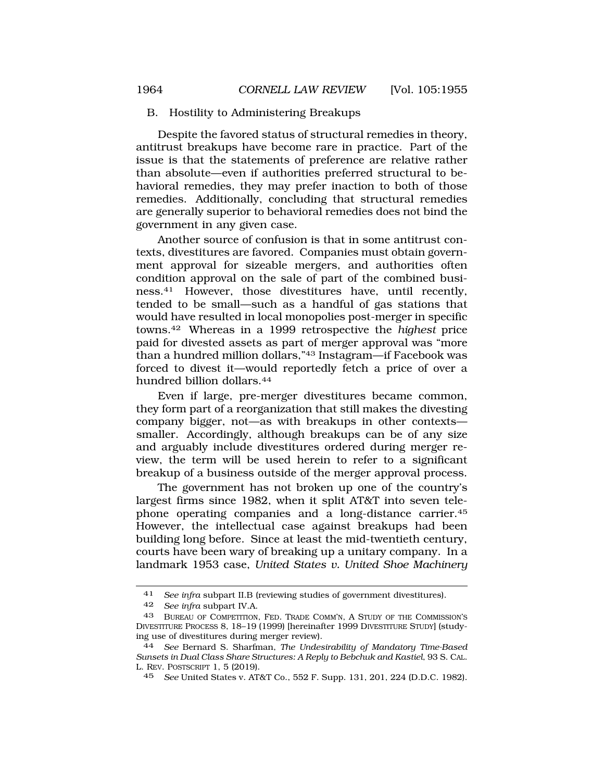### B. Hostility to Administering Breakups

Despite the favored status of structural remedies in theory, antitrust breakups have become rare in practice. Part of the issue is that the statements of preference are relative rather than absolute—even if authorities preferred structural to behavioral remedies, they may prefer inaction to both of those remedies. Additionally, concluding that structural remedies are generally superior to behavioral remedies does not bind the government in any given case.

Another source of confusion is that in some antitrust contexts, divestitures are favored. Companies must obtain government approval for sizeable mergers, and authorities often condition approval on the sale of part of the combined business.41 However, those divestitures have, until recently, tended to be small—such as a handful of gas stations that would have resulted in local monopolies post-merger in specific [towns.42](https://towns.42) Whereas in a 1999 retrospective the *highest* price paid for divested assets as part of merger approval was "more than a hundred million dollars,"43 Instagram—if Facebook was forced to divest it—would reportedly fetch a price of over a hundred billion [dollars.44](https://dollars.44)

Even if large, pre-merger divestitures became common, they form part of a reorganization that still makes the divesting company bigger, not—as with breakups in other contexts smaller. Accordingly, although breakups can be of any size and arguably include divestitures ordered during merger review, the term will be used herein to refer to a significant breakup of a business outside of the merger approval process.

The government has not broken up one of the country's largest firms since 1982, when it split AT&T into seven telephone operating companies and a long-distance [carrier.45](https://carrier.45)  However, the intellectual case against breakups had been building long before. Since at least the mid-twentieth century, courts have been wary of breaking up a unitary company. In a landmark 1953 case, *United States v. United Shoe Machinery* 

<sup>41</sup> *See infra* subpart II.B (reviewing studies of government divestitures).

<sup>42</sup> *See infra* subpart IV.A.

<sup>43</sup> BUREAU OF COMPETITION, FED. TRADE COMM'N, A STUDY OF THE COMMISSION'S DIVESTITURE PROCESS 8, 18–19 (1999) [hereinafter 1999 DIVESTITURE STUDY] (studying use of divestitures during merger review).

<sup>44</sup> *See* Bernard S. Sharfman, *The Undesirability of Mandatory Time-Based Sunsets in Dual Class Share Structures: A Reply to Bebchuk and Kastiel*, 93 S. CAL. L. REV. POSTSCRIPT 1, 5 (2019).

<sup>45</sup> *See* United States v. AT&T Co., 552 F. Supp. 131, 201, 224 (D.D.C. 1982).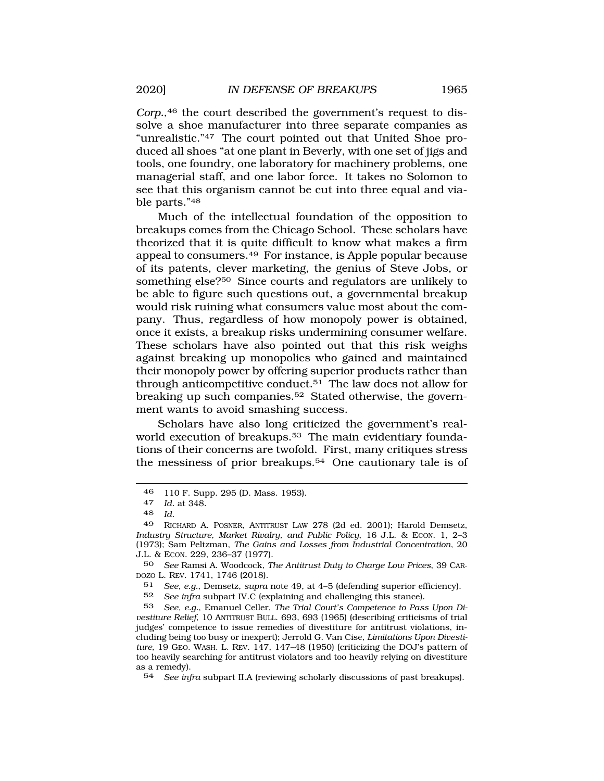*Corp.*,46 the court described the government's request to dissolve a shoe manufacturer into three separate companies as "unrealistic."47 The court pointed out that United Shoe produced all shoes "at one plant in Beverly, with one set of jigs and tools, one foundry, one laboratory for machinery problems, one managerial staff, and one labor force. It takes no Solomon to see that this organism cannot be cut into three equal and viable parts."48

Much of the intellectual foundation of the opposition to breakups comes from the Chicago School. These scholars have theorized that it is quite difficult to know what makes a firm appeal to [consumers.49](https://consumers.49) For instance, is Apple popular because of its patents, clever marketing, the genius of Steve Jobs, or something else?50 Since courts and regulators are unlikely to be able to figure such questions out, a governmental breakup would risk ruining what consumers value most about the company. Thus, regardless of how monopoly power is obtained, once it exists, a breakup risks undermining consumer welfare. These scholars have also pointed out that this risk weighs against breaking up monopolies who gained and maintained their monopoly power by offering superior products rather than through anticompetitive [conduct.51](https://conduct.51) The law does not allow for breaking up such companies.<sup>52</sup> Stated otherwise, the government wants to avoid smashing success.

Scholars have also long criticized the government's realworld execution of breakups.<sup>53</sup> The main evidentiary foundations of their concerns are twofold. First, many critiques stress the messiness of prior [breakups.54](https://breakups.54) One cautionary tale is of

50 *See* Ramsi A. Woodcock, *The Antitrust Duty to Charge Low Prices*, 39 CAR-DOZO L. REV. 1741, 1746 (2018).

51 *See, e.g.*, Demsetz, *supra* note 49, at 4–5 (defending superior efficiency).

52 *See infra* subpart IV.C (explaining and challenging this stance).

53 *See, e.g.*, Emanuel Celler, *The Trial Court's Competence to Pass Upon Divestiture Relief*, 10 ANTITRUST BULL. 693, 693 (1965) (describing criticisms of trial judges' competence to issue remedies of divestiture for antitrust violations, including being too busy or inexpert); Jerrold G. Van Cise, *Limitations Upon Divestiture*, 19 GEO. WASH. L. REV. 147, 147–48 (1950) (criticizing the DOJ's pattern of too heavily searching for antitrust violators and too heavily relying on divestiture as a remedy).

54 *See infra* subpart II.A (reviewing scholarly discussions of past breakups).

<sup>46 110</sup> F. Supp. 295 (D. Mass. 1953).<br>47 Id at 348

*Id.* at 348.

<sup>48</sup> *Id.* 

<sup>49</sup> RICHARD A. POSNER, ANTITRUST LAW 278 (2d ed. 2001); Harold Demsetz, *Industry Structure, Market Rivalry, and Public Policy*, 16 J.L. & ECON. 1, 2–3 (1973); Sam Peltzman, *The Gains and Losses from Industrial Concentration*, 20 J.L. & ECON. 229, 236–37 (1977).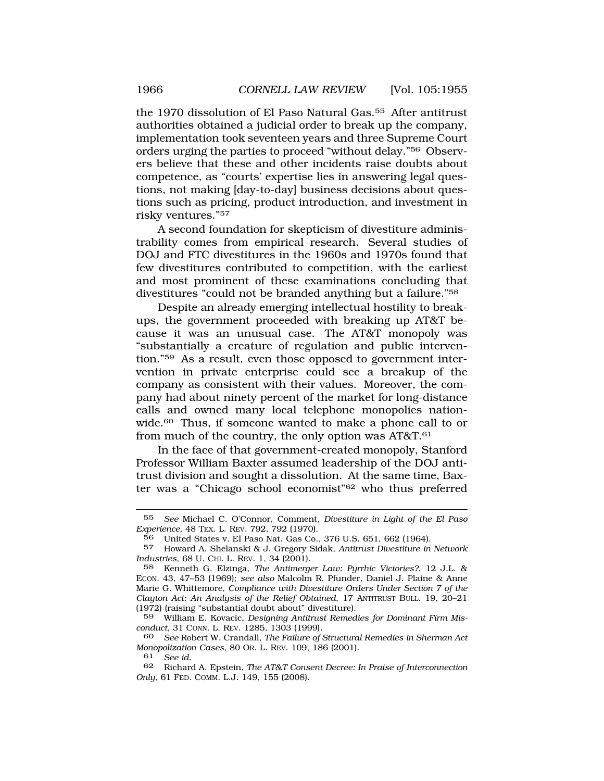the 1970 dissolution of El Paso Natural Gas.<sup>55</sup> After antitrust authorities obtained a judicial order to break up the company, implementation took seventeen years and three Supreme Court orders urging the parties to proceed "without delay."56 Observers believe that these and other incidents raise doubts about competence, as "courts' expertise lies in answering legal questions, not making [day-to-day] business decisions about questions such as pricing, product introduction, and investment in risky ventures."57

A second foundation for skepticism of divestiture administrability comes from empirical research. Several studies of DOJ and FTC divestitures in the 1960s and 1970s found that few divestitures contributed to competition, with the earliest and most prominent of these examinations concluding that divestitures "could not be branded anything but a failure."58

Despite an already emerging intellectual hostility to breakups, the government proceeded with breaking up AT&T because it was an unusual case. The AT&T monopoly was "substantially a creature of regulation and public intervention."59 As a result, even those opposed to government intervention in private enterprise could see a breakup of the company as consistent with their values. Moreover, the company had about ninety percent of the market for long-distance calls and owned many local telephone monopolies nationwide.60 Thus, if someone wanted to make a phone call to or from much of the country, the only option was AT&T.<sup>61</sup>

In the face of that government-created monopoly, Stanford Professor William Baxter assumed leadership of the DOJ antitrust division and sought a dissolution. At the same time, Baxter was a "Chicago school economist"62 who thus preferred

<sup>55</sup> *See* Michael C. O'Connor, Comment, *Divestiture in Light of the El Paso Experience*, 48 TEX. L. REV. 792, 792 (1970).

<sup>56</sup> United States v. El Paso Nat. Gas Co., 376 U.S. 651, 662 (1964).

<sup>57</sup> Howard A. Shelanski & J. Gregory Sidak, *Antitrust Divestiture in Network Industries*, 68 U. CHI. L. REV. 1, 34 (2001).

<sup>58</sup> Kenneth G. Elzinga, *The Antimerger Law: Pyrrhic Victories?*, 12 J.L. & ECON. 43, 47–53 (1969); *see also* Malcolm R. Pfunder, Daniel J. Plaine & Anne Marie G. Whittemore, *Compliance with Divestiture Orders Under Section 7 of the Clayton Act: An Analysis of the Relief Obtained*, 17 ANTITRUST BULL. 19, 20–21 (1972) (raising "substantial doubt about" divestiture).

<sup>59</sup> William E. Kovacic, *Designing Antitrust Remedies for Dominant Firm Misconduct*, 31 CONN. L. REV. 1285, 1303 (1999).

<sup>60</sup> *See* Robert W. Crandall, *The Failure of Structural Remedies in Sherman Act Monopolization Cases*, 80 OR. L. REV. 109, 186 (2001).

See *id.* 

<sup>62</sup> Richard A. Epstein, *The AT&T Consent Decree: In Praise of Interconnection Only*, 61 FED. COMM. L.J. 149, 155 (2008).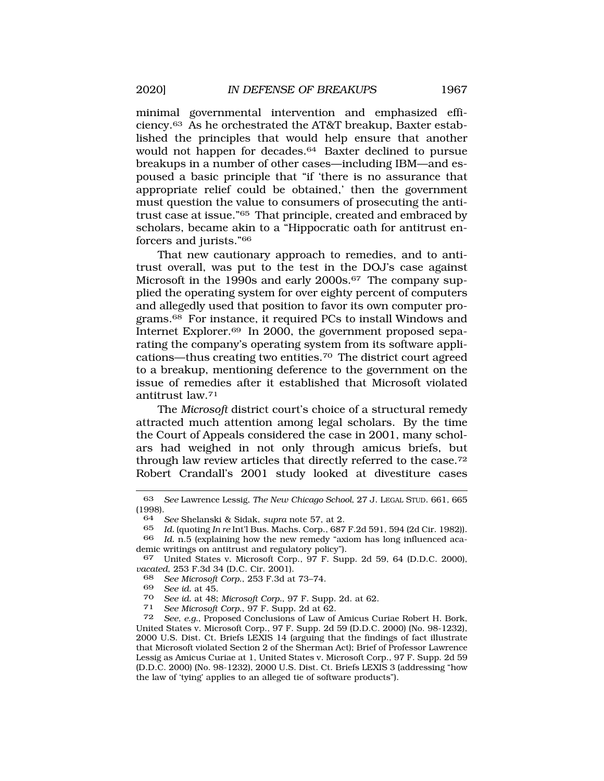minimal governmental intervention and emphasized effi[ciency.63](https://ciency.63) As he orchestrated the AT&T breakup, Baxter established the principles that would help ensure that another would not happen for [decades.64](https://decades.64) Baxter declined to pursue breakups in a number of other cases—including IBM—and espoused a basic principle that "if 'there is no assurance that appropriate relief could be obtained,' then the government must question the value to consumers of prosecuting the antitrust case at issue."65 That principle, created and embraced by scholars, became akin to a "Hippocratic oath for antitrust enforcers and jurists."66

That new cautionary approach to remedies, and to antitrust overall, was put to the test in the DOJ's case against Microsoft in the 1990s and early 2000s.<sup>67</sup> The company supplied the operating system for over eighty percent of computers and allegedly used that position to favor its own computer pro[grams.68](https://grams.68) For instance, it required PCs to install Windows and Internet [Explorer.69](https://Explorer.69) In 2000, the government proposed separating the company's operating system from its software applications—thus creating two [entities.70](https://entities.70) The district court agreed to a breakup, mentioning deference to the government on the issue of remedies after it established that Microsoft violated antitrust law.71

The *Microsoft* district court's choice of a structural remedy attracted much attention among legal scholars. By the time the Court of Appeals considered the case in 2001, many scholars had weighed in not only through amicus briefs, but through law review articles that directly referred to the case.72 Robert Crandall's 2001 study looked at divestiture cases

<sup>70</sup>*See id.* at 48; *Microsoft Corp.*, 97 F. Supp. 2d. at 62. 71 *See Microsoft Corp.*, 97 F. Supp. 2d at 62.

<sup>63</sup> *See* Lawrence Lessig, *The New Chicago School*, 27 J. LEGAL STUD. 661*,* 665  $(1998)$ .<br>64

<sup>64</sup> *See* Shelanski & Sidak, *supra* note 57, at 2.

<sup>65</sup> *Id.* (quoting *In re* Int'l Bus. Machs. Corp., 687 F.2d 591, 594 (2d Cir. 1982)).

<sup>66</sup> *Id.* n.5 (explaining how the new remedy "axiom has long influenced academic writings on antitrust and regulatory policy").

<sup>67</sup> United States v. Microsoft Corp., 97 F. Supp. 2d 59, 64 (D.D.C. 2000), *vacated*, 253 F.3d 34 (D.C. Cir. 2001).

<sup>68</sup> *See Microsoft Corp.*, 253 F.3d at 73–74.

<sup>69</sup> *See id.* at 45.

See, e.g., Proposed Conclusions of Law of Amicus Curiae Robert H. Bork, United States v. Microsoft Corp., 97 F. Supp. 2d 59 (D.D.C. 2000) (No. 98-1232), 2000 U.S. Dist. Ct. Briefs LEXIS 14 (arguing that the findings of fact illustrate that Microsoft violated Section 2 of the Sherman Act); Brief of Professor Lawrence Lessig as Amicus Curiae at 1, United States v. Microsoft Corp., 97 F. Supp. 2d 59 (D.D.C. 2000) (No. 98-1232), 2000 U.S. Dist. Ct. Briefs LEXIS 3 (addressing "how the law of 'tying' applies to an alleged tie of software products").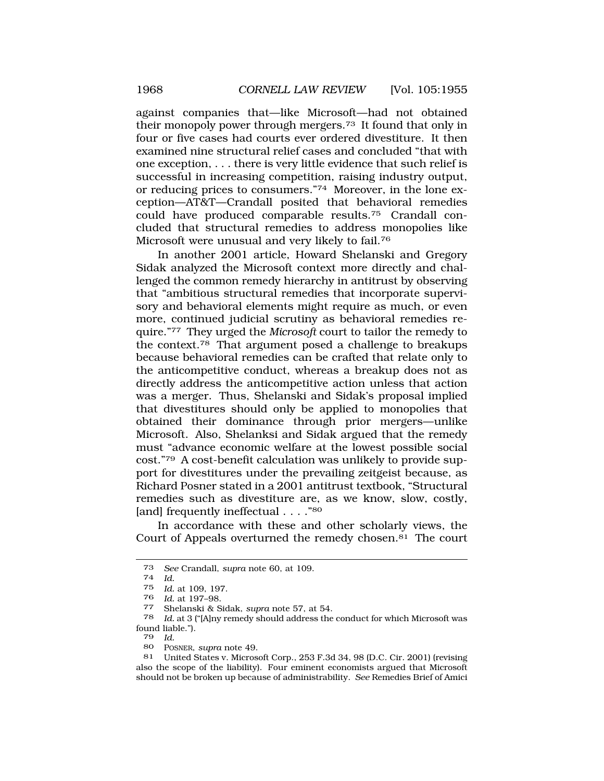against companies that—like Microsoft—had not obtained their monopoly power through [mergers.73](https://mergers.73) It found that only in four or five cases had courts ever ordered divestiture. It then examined nine structural relief cases and concluded "that with one exception, . . . there is very little evidence that such relief is successful in increasing competition, raising industry output, or reducing prices to consumers."74 Moreover, in the lone exception—AT&T—Crandall posited that behavioral remedies could have produced comparable [results.75](https://results.75) Crandall concluded that structural remedies to address monopolies like Microsoft were unusual and very likely to fail.76

In another 2001 article, Howard Shelanski and Gregory Sidak analyzed the Microsoft context more directly and challenged the common remedy hierarchy in antitrust by observing that "ambitious structural remedies that incorporate supervisory and behavioral elements might require as much, or even more, continued judicial scrutiny as behavioral remedies require."77 They urged the *Microsoft* court to tailor the remedy to the [context.78](https://context.78) That argument posed a challenge to breakups because behavioral remedies can be crafted that relate only to the anticompetitive conduct, whereas a breakup does not as directly address the anticompetitive action unless that action was a merger. Thus, Shelanski and Sidak's proposal implied that divestitures should only be applied to monopolies that obtained their dominance through prior mergers—unlike Microsoft. Also, Shelanksi and Sidak argued that the remedy must "advance economic welfare at the lowest possible social cost."79 A cost-benefit calculation was unlikely to provide support for divestitures under the prevailing zeitgeist because, as Richard Posner stated in a 2001 antitrust textbook, "Structural remedies such as divestiture are, as we know, slow, costly, [and] frequently ineffectual . . . . "80]

In accordance with these and other scholarly views, the Court of Appeals overturned the remedy [chosen.81](https://chosen.81) The court

<sup>73</sup>*See* Crandall, *supra* note 60, at 109. 74 *Id.* 

Id. at 109, 197.

<sup>76</sup>*Id.* at 197–98. 77 Shelanski & Sidak, *supra* note 57, at 54.

Id. at 3 ("[A]ny remedy should address the conduct for which Microsoft was found liable.").

<sup>79</sup> *Id.* 

<sup>80</sup> POSNER, *supra* note 49.

<sup>81</sup> United States v. Microsoft Corp., 253 F.3d 34, 98 (D.C. Cir. 2001) (revising also the scope of the liability). Four eminent economists argued that Microsoft should not be broken up because of administrability. *See* Remedies Brief of Amici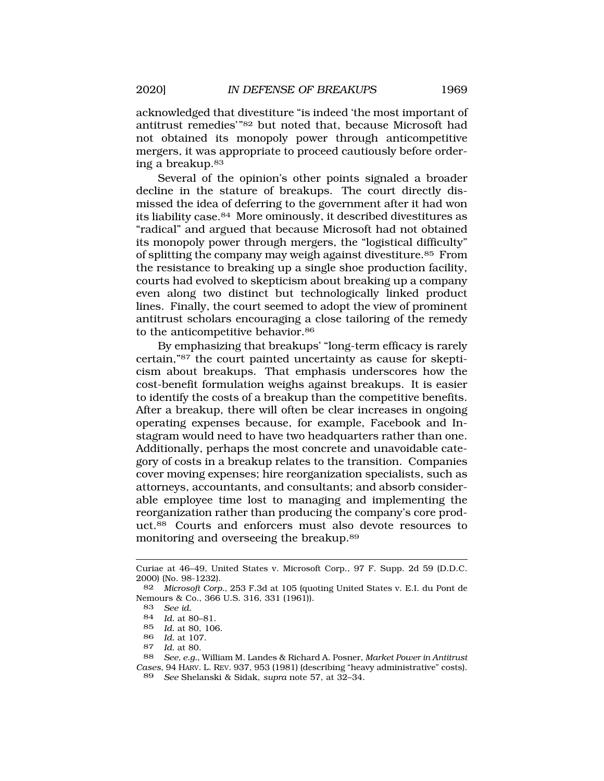acknowledged that divestiture "is indeed 'the most important of antitrust remedies'"82 but noted that, because Microsoft had not obtained its monopoly power through anticompetitive mergers, it was appropriate to proceed cautiously before ordering a [breakup.83](https://breakup.83) 

Several of the opinion's other points signaled a broader decline in the stature of breakups. The court directly dismissed the idea of deferring to the government after it had won its liability case.84 More ominously, it described divestitures as "radical" and argued that because Microsoft had not obtained its monopoly power through mergers, the "logistical difficulty" of splitting the company may weigh against [divestiture.85](https://divestiture.85) From the resistance to breaking up a single shoe production facility, courts had evolved to skepticism about breaking up a company even along two distinct but technologically linked product lines. Finally, the court seemed to adopt the view of prominent antitrust scholars encouraging a close tailoring of the remedy to the anticompetitive behavior.<sup>86</sup>

By emphasizing that breakups' "long-term efficacy is rarely certain,"87 the court painted uncertainty as cause for skepticism about breakups. That emphasis underscores how the cost-benefit formulation weighs against breakups. It is easier to identify the costs of a breakup than the competitive benefits. After a breakup, there will often be clear increases in ongoing operating expenses because, for example, Facebook and Instagram would need to have two headquarters rather than one. Additionally, perhaps the most concrete and unavoidable category of costs in a breakup relates to the transition. Companies cover moving expenses; hire reorganization specialists, such as attorneys, accountants, and consultants; and absorb considerable employee time lost to managing and implementing the reorganization rather than producing the company's core product.88 Courts and enforcers must also devote resources to monitoring and overseeing the [breakup.89](https://breakup.89)

Curiae at 46–49, United States v. Microsoft Corp., 97 F. Supp. 2d 59 (D.D.C. 2000) (No. 98-1232).

<sup>82</sup> *Microsoft Corp.*, 253 F.3d at 105 (quoting United States v. E.I. du Pont de Nemours & Co., 366 U.S. 316, 331 (1961)).

<sup>83</sup> *See id.* 

<sup>84</sup> *Id.* at 80–81.

<sup>85</sup> *Id.* at 80, 106.

<sup>86</sup> *Id.* at 107.

*Id.* at 80.

<sup>88</sup> *See, e.g.*, William M. Landes & Richard A. Posner, *Market Power in Antitrust Cases*, 94 HARV. L. REV. 937, 953 (1981) (describing "heavy administrative" costs). 89 *See* Shelanski & Sidak, *supra* note 57, at 32–34.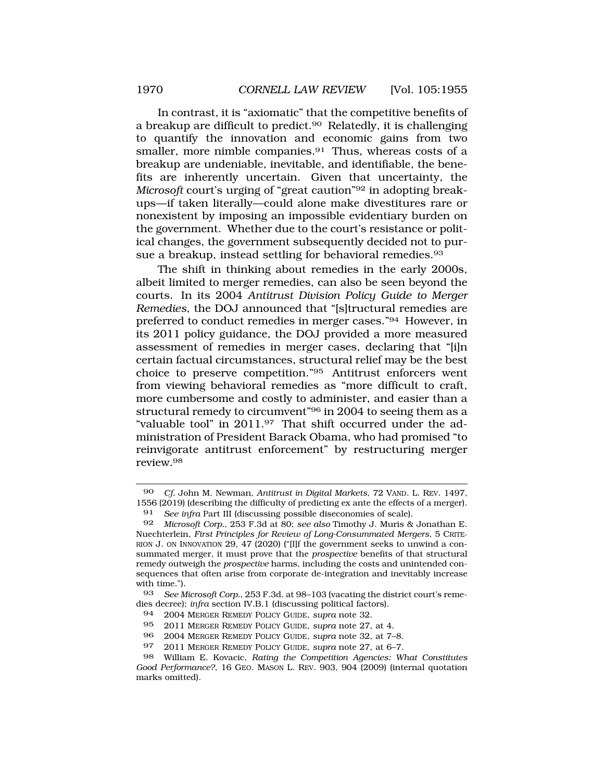In contrast, it is "axiomatic" that the competitive benefits of a breakup are difficult to predict.<sup>90</sup> Relatedly, it is challenging to quantify the innovation and economic gains from two smaller, more nimble companies.<sup>91</sup> Thus, whereas costs of a breakup are undeniable, inevitable, and identifiable, the benefits are inherently uncertain. Given that uncertainty, the *Microsoft* court's urging of "great caution"92 in adopting breakups—if taken literally—could alone make divestitures rare or nonexistent by imposing an impossible evidentiary burden on the government. Whether due to the court's resistance or political changes, the government subsequently decided not to pursue a breakup, instead settling for behavioral remedies.<sup>93</sup>

The shift in thinking about remedies in the early 2000s, albeit limited to merger remedies, can also be seen beyond the courts. In its 2004 *Antitrust Division Policy Guide to Merger Remedies*, the DOJ announced that "[s]tructural remedies are preferred to conduct remedies in merger cases."94 However, in its 2011 policy guidance, the DOJ provided a more measured assessment of remedies in merger cases, declaring that "[i]n certain factual circumstances, structural relief may be the best choice to preserve competition."95 Antitrust enforcers went from viewing behavioral remedies as "more difficult to craft, more cumbersome and costly to administer, and easier than a structural remedy to circumvent"96 in 2004 to seeing them as a "valuable tool" in 2011.97 That shift occurred under the administration of President Barack Obama, who had promised "to reinvigorate antitrust enforcement" by restructuring merger [review.98](https://review.98)

<sup>90</sup> *Cf.* John M. Newman, *Antitrust in Digital Markets*, 72 VAND. L. REV. 1497, 1556 (2019) (describing the difficulty of predicting ex ante the effects of a merger).

<sup>91</sup> *See infra* Part III (discussing possible diseconomies of scale).

<sup>92</sup> *Microsoft Corp.*, 253 F.3d at 80; *see also* Timothy J. Muris & Jonathan E. Nuechterlein, *First Principles for Review of Long-Consummated Mergers*, 5 CRITE-RION J. ON INNOVATION 29, 47 (2020) ("[I]f the government seeks to unwind a consummated merger, it must prove that the *prospective* benefits of that structural remedy outweigh the *prospective* harms, including the costs and unintended consequences that often arise from corporate de-integration and inevitably increase with time.").

<sup>93</sup> *See Microsoft Corp.*, 253 F.3d*.* at 98–103 (vacating the district court's remedies decree); *infra* section IV.B.1 (discussing political factors).

<sup>94 2004</sup> MERGER REMEDY POLICY GUIDE, *supra* note 32.

<sup>95 2011</sup> MERGER REMEDY POLICY GUIDE, *supra* note 27, at 4.

<sup>96 2004</sup> MERGER REMEDY POLICY GUIDE, *supra* note 32, at 7–8.

<sup>97 2011</sup> MERGER REMEDY POLICY GUIDE, *supra* note 27, at 6–7.

<sup>98</sup> William E. Kovacic, *Rating the Competition Agencies: What Constitutes Good Performance?*, 16 GEO. MASON L. REV. 903, 904 (2009) (internal quotation marks omitted).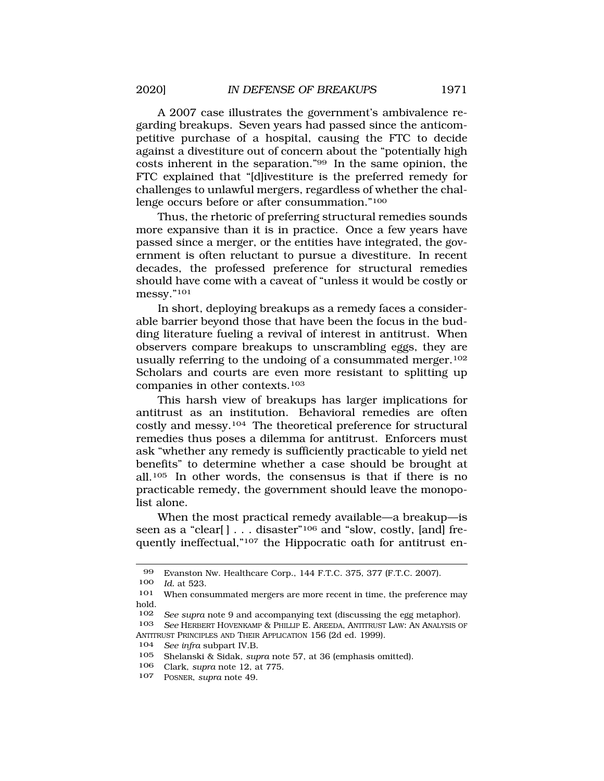A 2007 case illustrates the government's ambivalence regarding breakups. Seven years had passed since the anticompetitive purchase of a hospital, causing the FTC to decide against a divestiture out of concern about the "potentially high costs inherent in the separation."99 In the same opinion, the FTC explained that "[d]ivestiture is the preferred remedy for challenges to unlawful mergers, regardless of whether the challenge occurs before or after consummation."100

Thus, the rhetoric of preferring structural remedies sounds more expansive than it is in practice. Once a few years have passed since a merger, or the entities have integrated, the government is often reluctant to pursue a divestiture. In recent decades, the professed preference for structural remedies should have come with a caveat of "unless it would be costly or messy."101

In short, deploying breakups as a remedy faces a considerable barrier beyond those that have been the focus in the budding literature fueling a revival of interest in antitrust. When observers compare breakups to unscrambling eggs, they are usually referring to the undoing of a consummated merger.<sup>102</sup> Scholars and courts are even more resistant to splitting up companies in other contexts.103

This harsh view of breakups has larger implications for antitrust as an institution. Behavioral remedies are often costly and messy.104 The theoretical preference for structural remedies thus poses a dilemma for antitrust. Enforcers must ask "whether any remedy is sufficiently practicable to yield net benefits" to determine whether a case should be brought at all.105 In other words, the consensus is that if there is no practicable remedy, the government should leave the monopolist alone.

When the most practical remedy available—a breakup—is seen as a "clear[] . . . disaster"<sup>106</sup> and "slow, costly, [and] frequently ineffectual,"107 the Hippocratic oath for antitrust en-

<sup>99</sup> Evanston Nw. Healthcare Corp., 144 F.T.C. 375, 377 (F.T.C. 2007).

<sup>100</sup> *Id.* at 523.

<sup>101</sup> When consummated mergers are more recent in time, the preference may hold.

<sup>102</sup> *See supra* note 9 and accompanying text (discussing the egg metaphor).

<sup>103</sup> *See* HERBERT HOVENKAMP & PHILLIP E. AREEDA, ANTITRUST LAW: AN ANALYSIS OF ANTITRUST PRINCIPLES AND THEIR APPLICATION 156 (2d ed. 1999).

<sup>104</sup> *See infra* subpart IV.B.

<sup>105</sup> Shelanski & Sidak, *supra* note 57, at 36 (emphasis omitted).

<sup>106</sup> Clark, *supra* note 12, at 775.

<sup>107</sup> POSNER, *supra* note 49.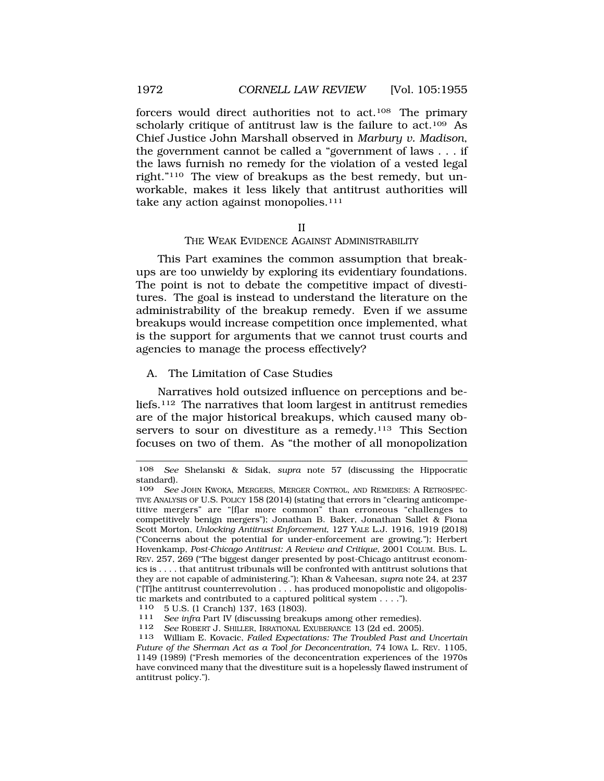forcers would direct authorities not to act.108 The primary scholarly critique of antitrust law is the failure to act.<sup>109</sup> As Chief Justice John Marshall observed in *Marbury v. Madison*, the government cannot be called a "government of laws . . . if the laws furnish no remedy for the violation of a vested legal right."110 The view of breakups as the best remedy, but unworkable, makes it less likely that antitrust authorities will take any action against monopolies.<sup>111</sup>

#### II

### THE WEAK EVIDENCE AGAINST ADMINISTRABILITY

This Part examines the common assumption that breakups are too unwieldy by exploring its evidentiary foundations. The point is not to debate the competitive impact of divestitures. The goal is instead to understand the literature on the administrability of the breakup remedy. Even if we assume breakups would increase competition once implemented, what is the support for arguments that we cannot trust courts and agencies to manage the process effectively?

## A. The Limitation of Case Studies

Narratives hold outsized influence on perceptions and beliefs.112 The narratives that loom largest in antitrust remedies are of the major historical breakups, which caused many observers to sour on divestiture as a remedy.<sup>113</sup> This Section focuses on two of them. As "the mother of all monopolization

<span id="page-17-0"></span>

<sup>108</sup> *See* Shelanski & Sidak, *supra* note 57 (discussing the Hippocratic standard).

<sup>109</sup> *See* JOHN KWOKA, MERGERS, MERGER CONTROL, AND REMEDIES: A RETROSPEC-TIVE ANALYSIS OF U.S. POLICY 158 (2014) (stating that errors in "clearing anticompetitive mergers" are "[f]ar more common" than erroneous "challenges to competitively benign mergers"); Jonathan B. Baker, Jonathan Sallet & Fiona Scott Morton, *Unlocking Antitrust Enforcement*, 127 YALE L.J. 1916, 1919 (2018) ("Concerns about the potential for under-enforcement are growing."); Herbert Hovenkamp, *Post-Chicago Antitrust: A Review and Critique*, 2001 COLUM. BUS. L. REV. 257, 269 ("The biggest danger presented by post-Chicago antitrust economics is . . . . that antitrust tribunals will be confronted with antitrust solutions that they are not capable of administering."); Khan & Vaheesan, *supra* note 24, at 237  $("T]$ he antitrust counterrevolution  $\dots$  has produced monopolistic and oligopolistic markets and contributed to a captured political system . . . .").

<sup>110 5</sup> U.S. (1 Cranch) 137, 163 (1803). 111 *See infra* Part IV (discussing breakups among other remedies).

<sup>112</sup> *See* ROBERT J. SHILLER, IRRATIONAL EXUBERANCE 13 (2d ed. 2005).

<sup>113</sup> William E. Kovacic, *Failed Expectations: The Troubled Past and Uncertain Future of the Sherman Act as a Tool for Deconcentration*, 74 IOWA L. REV. 1105, 1149 (1989) ("Fresh memories of the deconcentration experiences of the 1970s have convinced many that the divestiture suit is a hopelessly flawed instrument of antitrust policy.").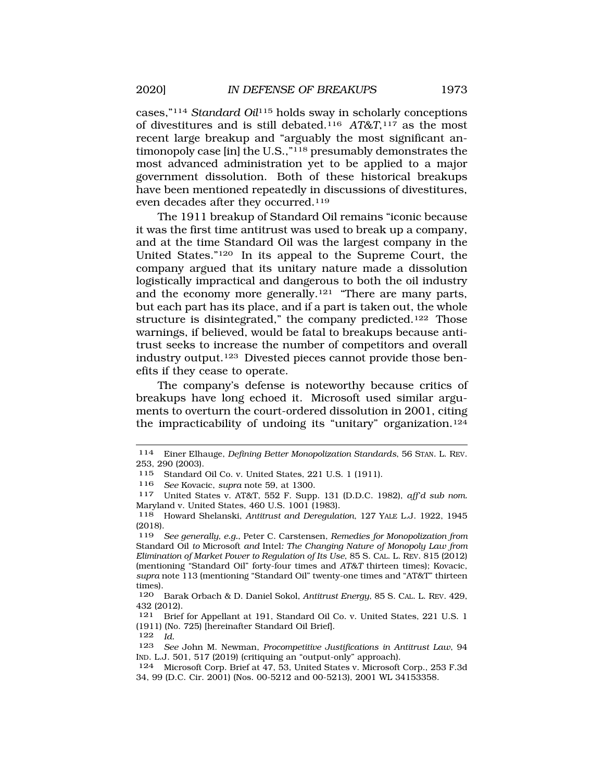cases,"114 *Standard Oil*115 holds sway in scholarly conceptions of divestitures and is still debated.116 *AT&T*,117 as the most recent large breakup and "arguably the most significant antimonopoly case [in] the U.S.,"118 presumably demonstrates the most advanced administration yet to be applied to a major government dissolution. Both of these historical breakups have been mentioned repeatedly in discussions of divestitures, even decades after they occurred.119

The 1911 breakup of Standard Oil remains "iconic because it was the first time antitrust was used to break up a company, and at the time Standard Oil was the largest company in the United States."120 In its appeal to the Supreme Court, the company argued that its unitary nature made a dissolution logistically impractical and dangerous to both the oil industry and the economy more generally.121 "There are many parts, but each part has its place, and if a part is taken out, the whole structure is disintegrated," the company predicted.<sup>122</sup> Those warnings, if believed, would be fatal to breakups because antitrust seeks to increase the number of competitors and overall industry output.123 Divested pieces cannot provide those benefits if they cease to operate.

The company's defense is noteworthy because critics of breakups have long echoed it. Microsoft used similar arguments to overturn the court-ordered dissolution in 2001, citing the impracticability of undoing its "unitary" organization.<sup>124</sup>

<sup>114</sup> Einer Elhauge, *Defining Better Monopolization Standards*, 56 STAN. L. REV. 253, 290 (2003).

<sup>115</sup> Standard Oil Co. v. United States, 221 U.S. 1 (1911).

<sup>116</sup> *See* Kovacic, *supra* note 59, at 1300.

<sup>117</sup> United States v. AT&T, 552 F. Supp. 131 (D.D.C. 1982), *aff'd sub nom.*  Maryland v. United States, 460 U.S. 1001 (1983).

<sup>118</sup> Howard Shelanski, *Antitrust and Deregulation*, 127 YALE L.J. 1922, 1945 (2018).

<sup>119</sup> *See generally, e.g.*, Peter C. Carstensen, *Remedies for Monopolization from*  Standard Oil *to* Microsoft *and* Intel*: The Changing Nature of Monopoly Law from Elimination of Market Power to Regulation of Its Use*, 85 S. CAL. L. REV. 815 (2012) (mentioning "Standard Oil" forty-four times and *AT&T* thirteen times); Kovacic, *supra* note 113 (mentioning "Standard Oil" twenty-one times and "AT&T" thirteen  $\times$  times).

<sup>120</sup> Barak Orbach & D. Daniel Sokol, *Antitrust Energy*, 85 S. CAL. L. REV. 429, 432 (2012).

<sup>121</sup> Brief for Appellant at 191, Standard Oil Co. v. United States, 221 U.S. 1 (1911) (No. 725) [hereinafter Standard Oil Brief].

<sup>122</sup> *Id.* 

<sup>123</sup> *See* John M. Newman, *Procompetitive Justifications in Antitrust Law*, 94 IND. L.J. 501, 517 (2019) (critiquing an "output-only" approach).

<sup>124</sup> Microsoft Corp. Brief at 47, 53, United States v. Microsoft Corp., 253 F.3d 34, 99 (D.C. Cir. 2001) (Nos. 00-5212 and 00-5213), 2001 WL 34153358.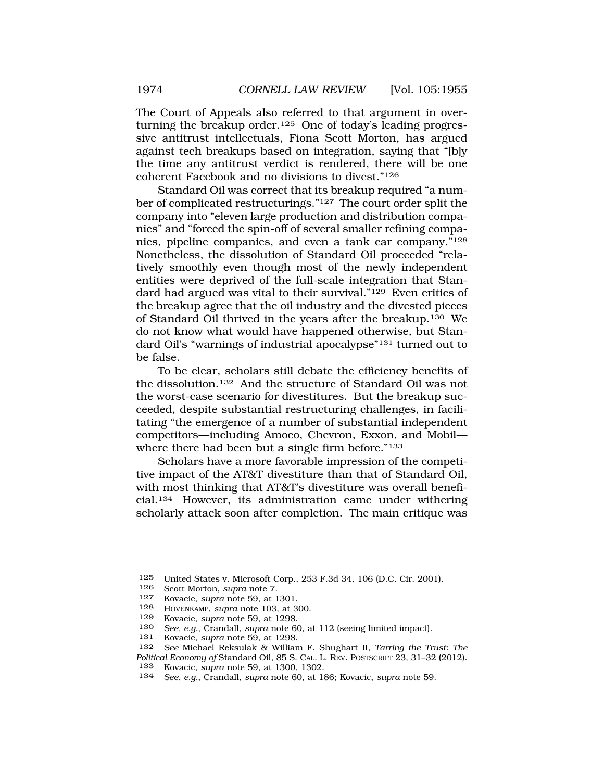The Court of Appeals also referred to that argument in overturning the breakup order.<sup>125</sup> One of today's leading progressive antitrust intellectuals, Fiona Scott Morton, has argued against tech breakups based on integration, saying that "[b]y the time any antitrust verdict is rendered, there will be one coherent Facebook and no divisions to divest."126

Standard Oil was correct that its breakup required "a number of complicated restructurings."127 The court order split the company into "eleven large production and distribution companies" and "forced the spin-off of several smaller refining companies, pipeline companies, and even a tank car company."128 Nonetheless, the dissolution of Standard Oil proceeded "relatively smoothly even though most of the newly independent entities were deprived of the full-scale integration that Standard had argued was vital to their survival."129 Even critics of the breakup agree that the oil industry and the divested pieces of Standard Oil thrived in the years after the breakup.130 We do not know what would have happened otherwise, but Standard Oil's "warnings of industrial apocalypse"131 turned out to be false.

To be clear, scholars still debate the efficiency benefits of the dissolution.132 And the structure of Standard Oil was not the worst-case scenario for divestitures. But the breakup succeeded, despite substantial restructuring challenges, in facilitating "the emergence of a number of substantial independent competitors—including Amoco, Chevron, Exxon, and Mobil where there had been but a single firm before."<sup>133</sup>

Scholars have a more favorable impression of the competitive impact of the AT&T divestiture than that of Standard Oil, with most thinking that AT&T's divestiture was overall beneficial.134 However, its administration came under withering scholarly attack soon after completion. The main critique was

<sup>125</sup> United States v. Microsoft Corp., 253 F.3d 34, 106 (D.C. Cir. 2001).

Scott Morton, *supra* note 7.

<sup>127</sup> Kovacic, *supra* note 59, at 1301.

<sup>128</sup> HOVENKAMP, *supra* note 103, at 300.

<sup>129</sup> Kovacic, *supra* note 59, at 1298.

<sup>130</sup> *See, e.g.*, Crandall, *supra* note 60, at 112 (seeing limited impact).

<sup>131</sup> Kovacic, *supra* note 59, at 1298.

<sup>132</sup> *See* Michael Reksulak & William F. Shughart II, *Tarring the Trust: The Political Economy of* Standard Oil, 85 S. CAL. L. REV. POSTSCRIPT 23, 31–32 (2012).

<sup>133</sup> Kovacic, *supra* note 59, at 1300, 1302.<br>134 *See e a* Crandall *supra* note 60 at 19

<sup>134</sup> *See, e.g.*, Crandall, *supra* note 60, at 186; Kovacic, *supra* note 59.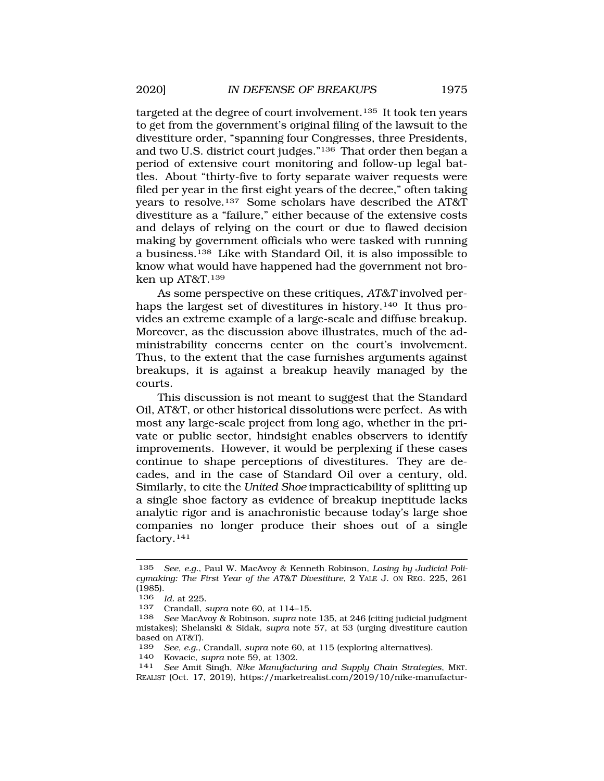targeted at the degree of court involvement.135 It took ten years to get from the government's original filing of the lawsuit to the divestiture order, "spanning four Congresses, three Presidents, and two U.S. district court judges."136 That order then began a period of extensive court monitoring and follow-up legal battles. About "thirty-five to forty separate waiver requests were filed per year in the first eight years of the decree," often taking years to resolve.137 Some scholars have described the AT&T divestiture as a "failure," either because of the extensive costs and delays of relying on the court or due to flawed decision making by government officials who were tasked with running a business.138 Like with Standard Oil, it is also impossible to know what would have happened had the government not broken up AT&T.139

As some perspective on these critiques, *AT&T* involved perhaps the largest set of divestitures in history.<sup>140</sup> It thus provides an extreme example of a large-scale and diffuse breakup. Moreover, as the discussion above illustrates, much of the administrability concerns center on the court's involvement. Thus, to the extent that the case furnishes arguments against breakups, it is against a breakup heavily managed by the courts.

This discussion is not meant to suggest that the Standard Oil, AT&T, or other historical dissolutions were perfect. As with most any large-scale project from long ago, whether in the private or public sector, hindsight enables observers to identify improvements. However, it would be perplexing if these cases continue to shape perceptions of divestitures. They are decades, and in the case of Standard Oil over a century, old. Similarly, to cite the *United Shoe* impracticability of splitting up a single shoe factory as evidence of breakup ineptitude lacks analytic rigor and is anachronistic because today's large shoe companies no longer produce their shoes out of a single factory.141

<sup>135</sup> *See, e.g.*, Paul W. MacAvoy & Kenneth Robinson*, Losing by Judicial Policymaking: The First Year of the AT&T Divestiture*, 2 YALE J. ON REG. 225, 261  $(1985)$ .

*Id.* at 225.

<sup>137</sup> Crandall, *supra* note 60, at 114–15.

<sup>138</sup> *See* MacAvoy & Robinson, *supra* note 135, at 246 (citing judicial judgment mistakes); Shelanski & Sidak, *supra* note 57, at 53 (urging divestiture caution based on AT&T).<br> $\frac{139}{\text{See}}$  e a

<sup>139</sup> *See, e.g.*, Crandall, *supra* note 60, at 115 (exploring alternatives).

<sup>140</sup> Kovacic, *supra* note 59, at 1302. 141 *See* Amit Singh, *Nike Manufacturing and Supply Chain Strategies*, MKT. REALIST (Oct. 17, 2019), [https://marketrealist.com/2019/10/nike-manufactur-](https://marketrealist.com/2019/10/nike-manufactur)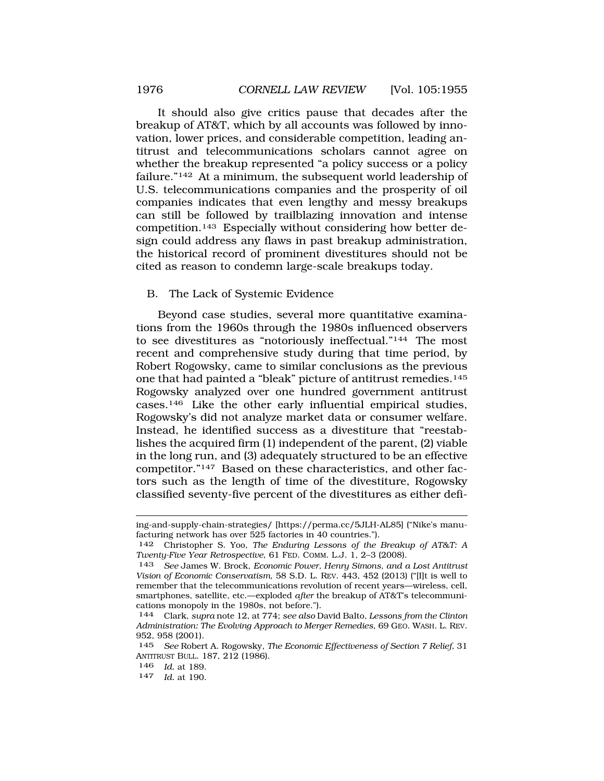<span id="page-21-0"></span>It should also give critics pause that decades after the breakup of AT&T, which by all accounts was followed by innovation, lower prices, and considerable competition, leading antitrust and telecommunications scholars cannot agree on whether the breakup represented "a policy success or a policy failure."142 At a minimum, the subsequent world leadership of U.S. telecommunications companies and the prosperity of oil companies indicates that even lengthy and messy breakups can still be followed by trailblazing innovation and intense competition.143 Especially without considering how better design could address any flaws in past breakup administration, the historical record of prominent divestitures should not be cited as reason to condemn large-scale breakups today.

### B. The Lack of Systemic Evidence

Beyond case studies, several more quantitative examinations from the 1960s through the 1980s influenced observers to see divestitures as "notoriously ineffectual."144 The most recent and comprehensive study during that time period, by Robert Rogowsky, came to similar conclusions as the previous one that had painted a "bleak" picture of antitrust remedies.145 Rogowsky analyzed over one hundred government antitrust cases.146 Like the other early influential empirical studies, Rogowsky's did not analyze market data or consumer welfare. Instead, he identified success as a divestiture that "reestablishes the acquired firm (1) independent of the parent, (2) viable in the long run, and (3) adequately structured to be an effective competitor."147 Based on these characteristics, and other factors such as the length of time of the divestiture, Rogowsky classified seventy-five percent of the divestitures as either defi-

146 *Id.* at 189.

ing-and-supply-chain-strategies/ [[https://perma.cc/5JLH-AL85\]](https://perma.cc/5JLH-AL85) ("Nike's manufacturing network has over 525 factories in 40 countries.").

<sup>142</sup> Christopher S. Yoo, *The Enduring Lessons of the Breakup of AT&T: A Twenty-Five Year Retrospective*, 61 FED. COMM. L.J. 1, 2–3 (2008).

<sup>143</sup> *See* James W. Brock, *Economic Power, Henry Simons, and a Lost Antitrust Vision of Economic Conservatism*, 58 S.D. L. REV. 443, 452 (2013) ("[I]t is well to remember that the telecommunications revolution of recent years—wireless, cell, smartphones, satellite, etc.—exploded *after* the breakup of AT&T's telecommunications monopoly in the 1980s, not before.").

<sup>144</sup> Clark, *supra* note 12, at 774; *see also* David Balto*, Lessons from the Clinton Administration: The Evolving Approach to Merger Remedies*, 69 GEO. WASH. L. REV. 952, 958 (2001).

<sup>145</sup> *See* Robert A. Rogowsky, *The Economic Effectiveness of Section 7 Relief*, 31 ANTITRUST BULL. 187, 212 (1986).

<sup>147</sup> *Id.* at 190.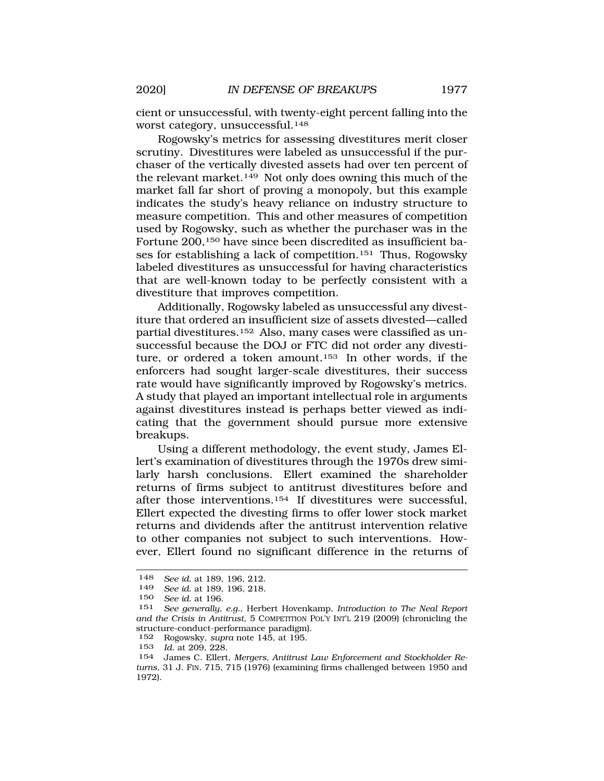cient or unsuccessful, with twenty-eight percent falling into the worst category, unsuccessful.148

Rogowsky's metrics for assessing divestitures merit closer scrutiny. Divestitures were labeled as unsuccessful if the purchaser of the vertically divested assets had over ten percent of the relevant market.149 Not only does owning this much of the market fall far short of proving a monopoly, but this example indicates the study's heavy reliance on industry structure to measure competition. This and other measures of competition used by Rogowsky, such as whether the purchaser was in the Fortune 200,<sup>150</sup> have since been discredited as insufficient bases for establishing a lack of competition.151 Thus, Rogowsky labeled divestitures as unsuccessful for having characteristics that are well-known today to be perfectly consistent with a divestiture that improves competition.

Additionally, Rogowsky labeled as unsuccessful any divestiture that ordered an insufficient size of assets divested—called partial divestitures.152 Also, many cases were classified as unsuccessful because the DOJ or FTC did not order any divestiture, or ordered a token amount.153 In other words, if the enforcers had sought larger-scale divestitures, their success rate would have significantly improved by Rogowsky's metrics. A study that played an important intellectual role in arguments against divestitures instead is perhaps better viewed as indicating that the government should pursue more extensive breakups.

Using a different methodology, the event study, James Ellert's examination of divestitures through the 1970s drew similarly harsh conclusions. Ellert examined the shareholder returns of firms subject to antitrust divestitures before and after those interventions.154 If divestitures were successful, Ellert expected the divesting firms to offer lower stock market returns and dividends after the antitrust intervention relative to other companies not subject to such interventions. However, Ellert found no significant difference in the returns of

<sup>148</sup> *See id.* at 189, 196, 212.

See id. at 189, 196, 218.

<sup>150</sup> *See id.* at 196.

<sup>151</sup> *See generally, e.g.*, Herbert Hovenkamp, *Introduction to The Neal Report and the Crisis in Antitrust*, 5 COMPETITION POL'Y INT'L 219 (2009) (chronicling the structure-conduct-performance paradigm).

<sup>152</sup> Rogowsky, *supra* note 145, at 195.

<sup>153</sup> *Id.* at 209, 228.

<sup>154</sup> James C. Ellert, *Mergers, Antitrust Law Enforcement and Stockholder Returns*, 31 J. FIN. 715, 715 (1976) (examining firms challenged between 1950 and 1972).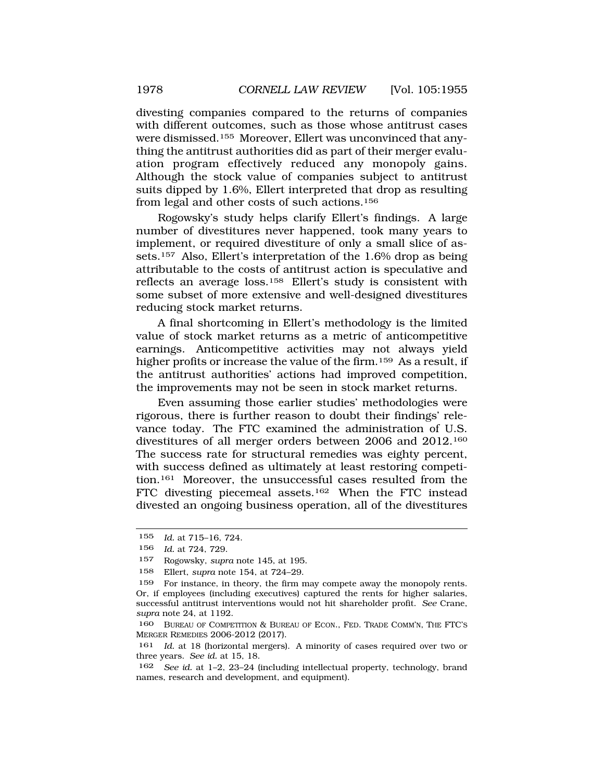divesting companies compared to the returns of companies with different outcomes, such as those whose antitrust cases were dismissed.155 Moreover, Ellert was unconvinced that anything the antitrust authorities did as part of their merger evaluation program effectively reduced any monopoly gains. Although the stock value of companies subject to antitrust suits dipped by 1.6%, Ellert interpreted that drop as resulting from legal and other costs of such actions.156

Rogowsky's study helps clarify Ellert's findings. A large number of divestitures never happened, took many years to implement, or required divestiture of only a small slice of assets.157 Also, Ellert's interpretation of the 1.6% drop as being attributable to the costs of antitrust action is speculative and reflects an average loss.158 Ellert's study is consistent with some subset of more extensive and well-designed divestitures reducing stock market returns.

A final shortcoming in Ellert's methodology is the limited value of stock market returns as a metric of anticompetitive earnings. Anticompetitive activities may not always yield higher profits or increase the value of the firm.<sup>159</sup> As a result, if the antitrust authorities' actions had improved competition, the improvements may not be seen in stock market returns.

Even assuming those earlier studies' methodologies were rigorous, there is further reason to doubt their findings' relevance today. The FTC examined the administration of U.S. divestitures of all merger orders between 2006 and 2012.160 The success rate for structural remedies was eighty percent, with success defined as ultimately at least restoring competition.161 Moreover, the unsuccessful cases resulted from the FTC divesting piecemeal assets.162 When the FTC instead divested an ongoing business operation, all of the divestitures

<sup>155</sup> *Id.* at 715–16, 724.

<sup>156</sup> *Id.* at 724, 729.

<sup>157</sup> Rogowsky, *supra* note 145, at 195.

<sup>158</sup> Ellert, *supra* note 154, at 724–29.

<sup>159</sup> For instance, in theory, the firm may compete away the monopoly rents. Or, if employees (including executives) captured the rents for higher salaries, successful antitrust interventions would not hit shareholder profit. *See* Crane, *supra* note 24, at 1192.

<sup>160</sup> BUREAU OF COMPETITION & BUREAU OF ECON., FED. TRADE COMM'N, THE FTC'S MERGER REMEDIES 2006-2012 (2017).

<sup>161</sup> *Id.* at 18 (horizontal mergers). A minority of cases required over two or three years. *See id.* at 15, 18.

<sup>162</sup> *See id.* at 1–2, 23–24 (including intellectual property, technology, brand names, research and development, and equipment).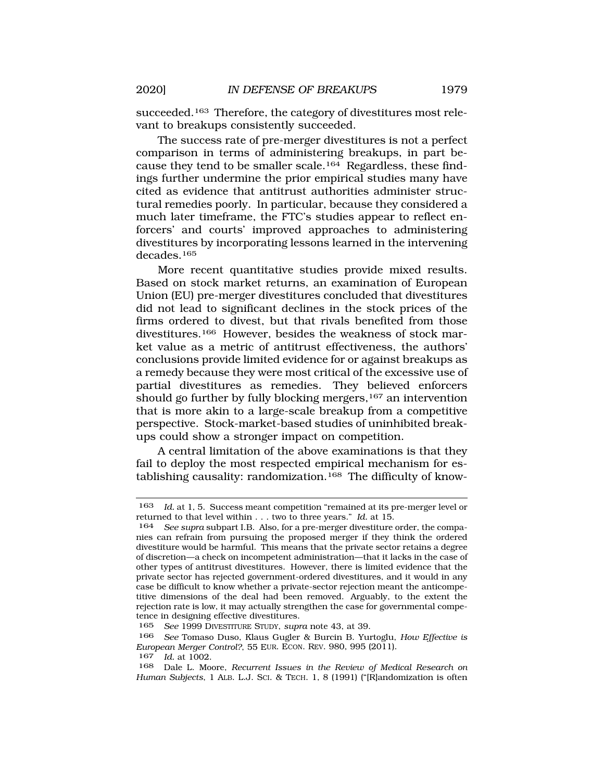succeeded.<sup>163</sup> Therefore, the category of divestitures most relevant to breakups consistently succeeded.

The success rate of pre-merger divestitures is not a perfect comparison in terms of administering breakups, in part because they tend to be smaller scale.164 Regardless, these findings further undermine the prior empirical studies many have cited as evidence that antitrust authorities administer structural remedies poorly. In particular, because they considered a much later timeframe, the FTC's studies appear to reflect enforcers' and courts' improved approaches to administering divestitures by incorporating lessons learned in the intervening decades.165

More recent quantitative studies provide mixed results. Based on stock market returns, an examination of European Union (EU) pre-merger divestitures concluded that divestitures did not lead to significant declines in the stock prices of the firms ordered to divest, but that rivals benefited from those divestitures.166 However, besides the weakness of stock market value as a metric of antitrust effectiveness, the authors' conclusions provide limited evidence for or against breakups as a remedy because they were most critical of the excessive use of partial divestitures as remedies. They believed enforcers should go further by fully blocking mergers,<sup>167</sup> an intervention that is more akin to a large-scale breakup from a competitive perspective. Stock-market-based studies of uninhibited breakups could show a stronger impact on competition.

A central limitation of the above examinations is that they fail to deploy the most respected empirical mechanism for establishing causality: randomization.<sup>168</sup> The difficulty of know-

<sup>163</sup> *Id.* at 1, 5. Success meant competition "remained at its pre-merger level or returned to that level within . . . two to three years." *Id.* at 15.

See supra subpart I.B. Also, for a pre-merger divestiture order, the companies can refrain from pursuing the proposed merger if they think the ordered divestiture would be harmful. This means that the private sector retains a degree of discretion—a check on incompetent administration—that it lacks in the case of other types of antitrust divestitures. However, there is limited evidence that the private sector has rejected government-ordered divestitures, and it would in any case be difficult to know whether a private-sector rejection meant the anticompetitive dimensions of the deal had been removed. Arguably, to the extent the rejection rate is low, it may actually strengthen the case for governmental competence in designing effective divestitures.<br>165 See 1999 DIVESTITURE STUDY, sum

<sup>165</sup> *See* 1999 DIVESTITURE STUDY, *supra* note 43, at 39.

<sup>166</sup> *See* Tomaso Duso, Klaus Gugler & Burcin B. Yurtoglu, *How Effective is European Merger Control?*, 55 EUR. ECON. REV. 980, 995 (2011).

<sup>167</sup> *Id.* at 1002.

<sup>168</sup> Dale L. Moore, *Recurrent Issues in the Review of Medical Research on Human Subjects*, 1 ALB. L.J. SCI. & TECH. 1, 8 (1991) ("[R]andomization is often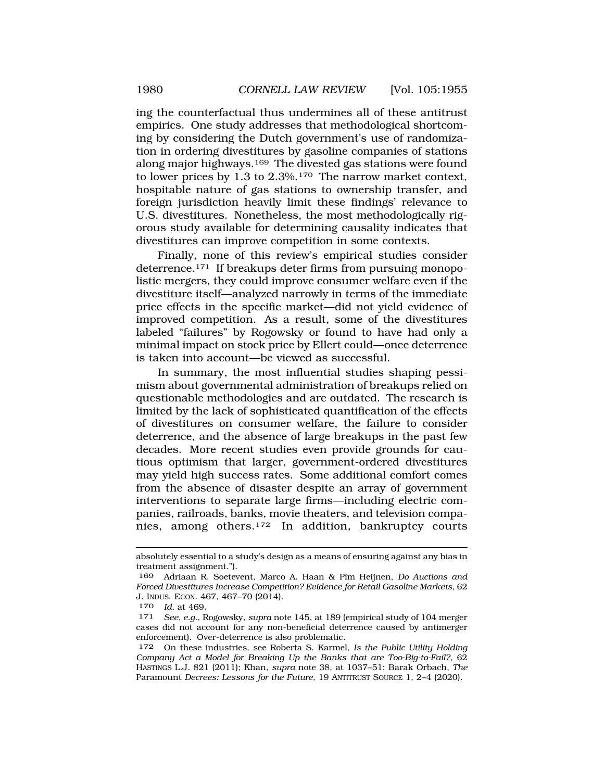ing the counterfactual thus undermines all of these antitrust empirics. One study addresses that methodological shortcoming by considering the Dutch government's use of randomization in ordering divestitures by gasoline companies of stations along major highways.<sup>169</sup> The divested gas stations were found to lower prices by 1.3 to 2.3%.170 The narrow market context, hospitable nature of gas stations to ownership transfer, and foreign jurisdiction heavily limit these findings' relevance to U.S. divestitures. Nonetheless, the most methodologically rigorous study available for determining causality indicates that divestitures can improve competition in some contexts.

Finally, none of this review's empirical studies consider deterrence.171 If breakups deter firms from pursuing monopolistic mergers, they could improve consumer welfare even if the divestiture itself—analyzed narrowly in terms of the immediate price effects in the specific market—did not yield evidence of improved competition. As a result, some of the divestitures labeled "failures" by Rogowsky or found to have had only a minimal impact on stock price by Ellert could—once deterrence is taken into account—be viewed as successful.

In summary, the most influential studies shaping pessimism about governmental administration of breakups relied on questionable methodologies and are outdated. The research is limited by the lack of sophisticated quantification of the effects of divestitures on consumer welfare, the failure to consider deterrence, and the absence of large breakups in the past few decades. More recent studies even provide grounds for cautious optimism that larger, government-ordered divestitures may yield high success rates. Some additional comfort comes from the absence of disaster despite an array of government interventions to separate large firms—including electric companies, railroads, banks, movie theaters, and television companies, among others.172 In addition, bankruptcy courts

absolutely essential to a study's design as a means of ensuring against any bias in treatment assignment.").

<sup>169</sup> Adriaan R. Soetevent, Marco A. Haan & Pim Heijnen, *Do Auctions and Forced Divestitures Increase Competition? Evidence for Retail Gasoline Markets*, 62 J. INDUS. ECON. 467, 467–70 (2014).

<sup>170</sup> *Id.* at 469.

<sup>171</sup> *See, e.g.*, Rogowsky, *supra* note 145, at 189 (empirical study of 104 merger cases did not account for any non-beneficial deterrence caused by antimerger enforcement). Over-deterrence is also problematic.

<sup>172</sup> On these industries, see Roberta S. Karmel, *Is the Public Utility Holding Company Act a Model for Breaking Up the Banks that are Too-Big-to-Fail?*, 62 HASTINGS L.J. 821 (2011); Khan, *supra* note 38, at 1037–51; Barak Orbach, *The*  Paramount *Decrees: Lessons for the Future*, 19 ANTITRUST SOURCE 1, 2–4 (2020).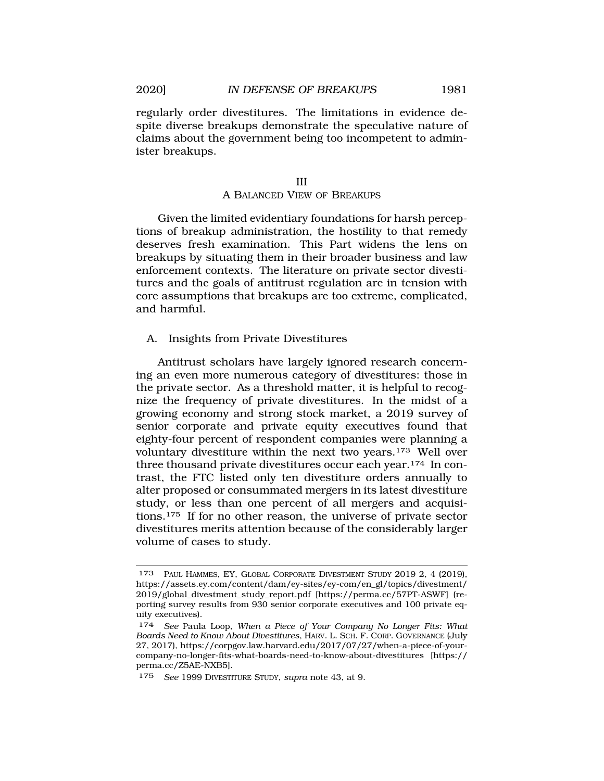<span id="page-26-0"></span>regularly order divestitures. The limitations in evidence despite diverse breakups demonstrate the speculative nature of claims about the government being too incompetent to administer breakups.

## A BALANCED VIEW OF BREAKUPS

Given the limited evidentiary foundations for harsh perceptions of breakup administration, the hostility to that remedy deserves fresh examination. This Part widens the lens on breakups by situating them in their broader business and law enforcement contexts. The literature on private sector divestitures and the goals of antitrust regulation are in tension with core assumptions that breakups are too extreme, complicated, and harmful.

A. Insights from Private Divestitures

Antitrust scholars have largely ignored research concerning an even more numerous category of divestitures: those in the private sector. As a threshold matter, it is helpful to recognize the frequency of private divestitures. In the midst of a growing economy and strong stock market, a 2019 survey of senior corporate and private equity executives found that eighty-four percent of respondent companies were planning a voluntary divestiture within the next two years.<sup>173</sup> Well over three thousand private divestitures occur each year.<sup>174</sup> In contrast, the FTC listed only ten divestiture orders annually to alter proposed or consummated mergers in its latest divestiture study, or less than one percent of all mergers and acquisitions.175 If for no other reason, the universe of private sector divestitures merits attention because of the considerably larger volume of cases to study.

<sup>173</sup> PAUL HAMMES, EY, GLOBAL CORPORATE DIVESTMENT STUDY 2019 2, 4 (2019), [https://assets.ey.com/content/dam/ey-sites/ey-com/en\\_gl/topics/divestment/](https://assets.ey.com/content/dam/ey-sites/ey-com/en_gl/topics/divestment) 2019/global\_divestment\_study\_report.pdf [<https://perma.cc/57PT-ASWF>] (reporting survey results from 930 senior corporate executives and 100 private equity executives).

<sup>174</sup> *See* Paula Loop, *When a Piece of Your Company No Longer Fits: What Boards Need to Know About Divestitures*, HARV. L. SCH. F. CORP. GOVERNANCE (July 27, 2017), <https://corpgov.law.harvard.edu/2017/07/27/when-a-piece-of-your>company-no-longer-fits-what-boards-need-to-know-about-divestitures [https:// perma.cc/Z5AE-NXB5].

<sup>175</sup> *See* 1999 DIVESTITURE STUDY, *supra* note 43, at 9.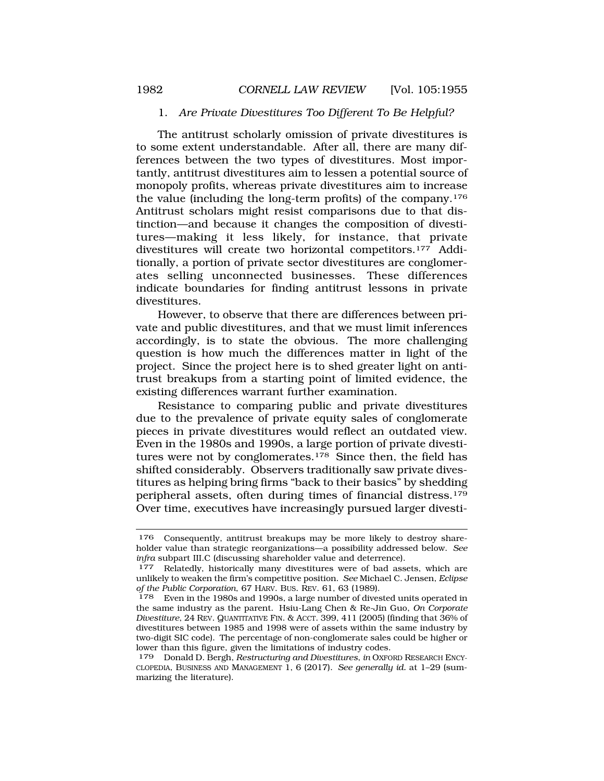### 1. *Are Private Divestitures Too Different To Be Helpful?*

<span id="page-27-0"></span>The antitrust scholarly omission of private divestitures is to some extent understandable. After all, there are many differences between the two types of divestitures. Most importantly, antitrust divestitures aim to lessen a potential source of monopoly profits, whereas private divestitures aim to increase the value (including the long-term profits) of the company.176 Antitrust scholars might resist comparisons due to that distinction—and because it changes the composition of divestitures—making it less likely, for instance, that private divestitures will create two horizontal competitors.177 Additionally, a portion of private sector divestitures are conglomerates selling unconnected businesses. These differences indicate boundaries for finding antitrust lessons in private divestitures.

However, to observe that there are differences between private and public divestitures, and that we must limit inferences accordingly, is to state the obvious. The more challenging question is how much the differences matter in light of the project. Since the project here is to shed greater light on antitrust breakups from a starting point of limited evidence, the existing differences warrant further examination.

Resistance to comparing public and private divestitures due to the prevalence of private equity sales of conglomerate pieces in private divestitures would reflect an outdated view. Even in the 1980s and 1990s, a large portion of private divestitures were not by conglomerates.<sup>178</sup> Since then, the field has shifted considerably. Observers traditionally saw private divestitures as helping bring firms "back to their basics" by shedding peripheral assets, often during times of financial distress.179 Over time, executives have increasingly pursued larger divesti-

<sup>176</sup> Consequently, antitrust breakups may be more likely to destroy shareholder value than strategic reorganizations—a possibility addressed below. *See* 

<sup>&</sup>lt;sup>177</sup> Relatedly, historically many divestitures were of bad assets, which are unlikely to weaken the firm's competitive position. *See* Michael C. Jensen, *Eclipse of the Public Corporation*, 67 HARV. BUS. REV. 61, 63 (1989).

<sup>178</sup> Even in the 1980s and 1990s, a large number of divested units operated in the same industry as the parent. Hsiu-Lang Chen & Re-Jin Guo, *On Corporate Divestiture*, 24 REV. QUANTITATIVE FIN. & ACCT. 399, 411 (2005) (finding that 36% of divestitures between 1985 and 1998 were of assets within the same industry by two-digit SIC code). The percentage of non-conglomerate sales could be higher or lower than this figure, given the limitations of industry codes.

<sup>179</sup> Donald D. Bergh, *Restructuring and Divestitures*, *in* OXFORD RESEARCH ENCY-CLOPEDIA, BUSINESS AND MANAGEMENT 1, 6 (2017). *See generally id.* at 1–29 (summarizing the literature).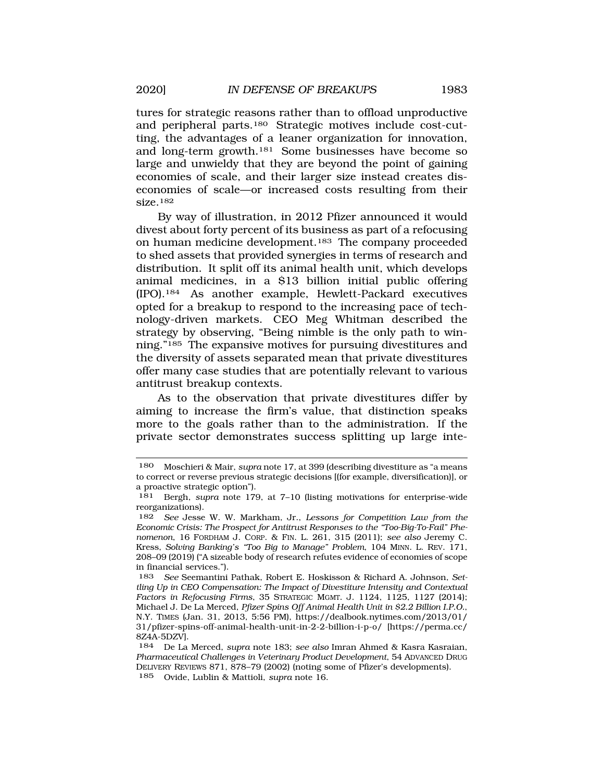tures for strategic reasons rather than to offload unproductive and peripheral parts.180 Strategic motives include cost-cutting, the advantages of a leaner organization for innovation, and long-term growth.181 Some businesses have become so large and unwieldy that they are beyond the point of gaining economies of scale, and their larger size instead creates diseconomies of scale—or increased costs resulting from their size.182

By way of illustration, in 2012 Pfizer announced it would divest about forty percent of its business as part of a refocusing on human medicine development.183 The company proceeded to shed assets that provided synergies in terms of research and distribution. It split off its animal health unit, which develops animal medicines, in a \$13 billion initial public offering (IPO).184 As another example, Hewlett-Packard executives opted for a breakup to respond to the increasing pace of technology-driven markets. CEO Meg Whitman described the strategy by observing, "Being nimble is the only path to winning."185 The expansive motives for pursuing divestitures and the diversity of assets separated mean that private divestitures offer many case studies that are potentially relevant to various antitrust breakup contexts.

As to the observation that private divestitures differ by aiming to increase the firm's value, that distinction speaks more to the goals rather than to the administration. If the private sector demonstrates success splitting up large inte-

<sup>180</sup> Moschieri & Mair, *supra* note 17, at 399 (describing divestiture as "a means to correct or reverse previous strategic decisions [(for example, diversification)], or a proactive strategic option").

<sup>181</sup> Bergh, *supra* note 179, at 7–10 (listing motivations for enterprise-wide reorganizations).

<sup>182</sup> *See* Jesse W. W. Markham, Jr., *Lessons for Competition Law from the Economic Crisis: The Prospect for Antitrust Responses to the "Too-Big-To-Fail" Phenomenon*, 16 FORDHAM J. CORP. & FIN. L. 261, 315 (2011); *see also* Jeremy C. Kress, *Solving Banking's "Too Big to Manage" Problem*, 104 MINN. L. REV. 171, 208–09 (2019) ("A sizeable body of research refutes evidence of economies of scope in financial services.").

<sup>183</sup> *See* Seemantini Pathak, Robert E. Hoskisson & Richard A. Johnson, *Settling Up in CEO Compensation: The Impact of Divestiture Intensity and Contextual Factors in Refocusing Firms*, 35 STRATEGIC MGMT. J. 1124, 1125, 1127 (2014); Michael J. De La Merced, *Pfizer Spins Off Animal Health Unit in \$2.2 Billion I.P.O.*, N.Y. TIMES (Jan. 31, 2013, 5:56 PM), [https://dealbook.nytimes.com/2013/01/](https://dealbook.nytimes.com/2013/01) 31/pfizer-spins-off-animal-health-unit-in-2-2-billion-i-p-o/ [\[https://perma.cc/](https://perma.cc) 8Z4A-5DZV].

<sup>184</sup> De La Merced, *supra* note 183; *see also* Imran Ahmed & Kasra Kasraian, *Pharmaceutical Challenges in Veterinary Product Development*, 54 ADVANCED DRUG DELIVERY REVIEWS 871, 878–79 (2002) (noting some of Pfizer's developments). 185 Ovide, Lublin & Mattioli, *supra* note 16.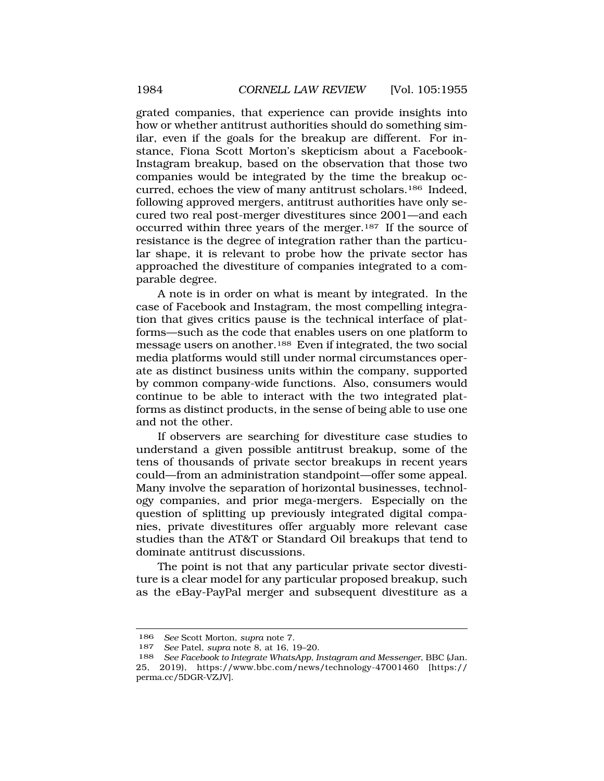grated companies, that experience can provide insights into how or whether antitrust authorities should do something similar, even if the goals for the breakup are different. For instance, Fiona Scott Morton's skepticism about a Facebook-Instagram breakup, based on the observation that those two companies would be integrated by the time the breakup occurred, echoes the view of many antitrust scholars.186 Indeed, following approved mergers, antitrust authorities have only secured two real post-merger divestitures since 2001—and each occurred within three years of the merger.187 If the source of resistance is the degree of integration rather than the particular shape, it is relevant to probe how the private sector has approached the divestiture of companies integrated to a comparable degree.

A note is in order on what is meant by integrated. In the case of Facebook and Instagram, the most compelling integration that gives critics pause is the technical interface of platforms—such as the code that enables users on one platform to message users on another.188 Even if integrated, the two social media platforms would still under normal circumstances operate as distinct business units within the company, supported by common company-wide functions. Also, consumers would continue to be able to interact with the two integrated platforms as distinct products, in the sense of being able to use one and not the other.

If observers are searching for divestiture case studies to understand a given possible antitrust breakup, some of the tens of thousands of private sector breakups in recent years could—from an administration standpoint—offer some appeal. Many involve the separation of horizontal businesses, technology companies, and prior mega-mergers. Especially on the question of splitting up previously integrated digital companies, private divestitures offer arguably more relevant case studies than the AT&T or Standard Oil breakups that tend to dominate antitrust discussions.

The point is not that any particular private sector divestiture is a clear model for any particular proposed breakup, such as the eBay-PayPal merger and subsequent divestiture as a

<sup>186</sup> *See* Scott Morton*, supra* note 7.

<sup>187</sup> *See* Patel, *supra* note 8, at 16, 19–20.

<sup>188</sup> *See Facebook to Integrate WhatsApp, Instagram and Messenger*, BBC (Jan. 25, 2019), <https://www.bbc.com/news/technology-47001460>[https:// perma.cc/5DGR-VZJV].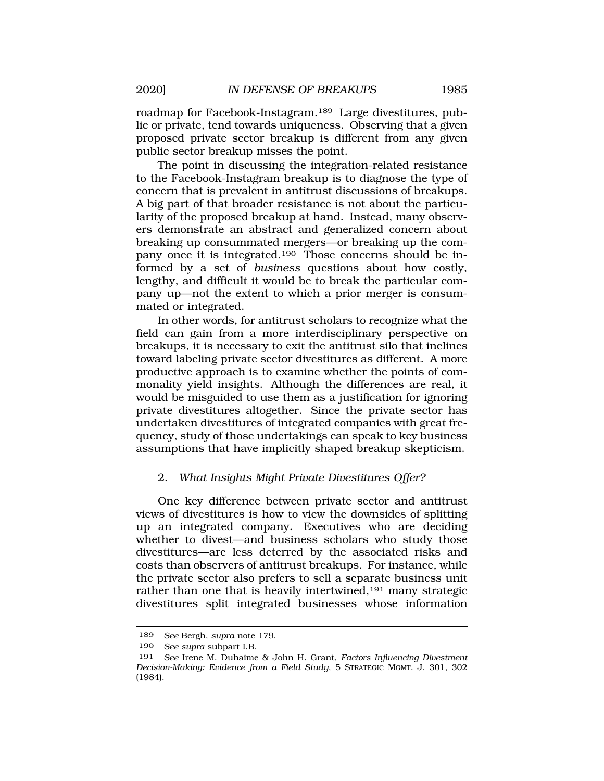<span id="page-30-0"></span>roadmap for Facebook-Instagram.189 Large divestitures, public or private, tend towards uniqueness. Observing that a given proposed private sector breakup is different from any given public sector breakup misses the point.

The point in discussing the integration-related resistance to the Facebook-Instagram breakup is to diagnose the type of concern that is prevalent in antitrust discussions of breakups. A big part of that broader resistance is not about the particularity of the proposed breakup at hand. Instead, many observers demonstrate an abstract and generalized concern about breaking up consummated mergers—or breaking up the company once it is integrated.190 Those concerns should be informed by a set of *business* questions about how costly, lengthy, and difficult it would be to break the particular company up—not the extent to which a prior merger is consummated or integrated.

In other words, for antitrust scholars to recognize what the field can gain from a more interdisciplinary perspective on breakups, it is necessary to exit the antitrust silo that inclines toward labeling private sector divestitures as different. A more productive approach is to examine whether the points of commonality yield insights. Although the differences are real, it would be misguided to use them as a justification for ignoring private divestitures altogether. Since the private sector has undertaken divestitures of integrated companies with great frequency, study of those undertakings can speak to key business assumptions that have implicitly shaped breakup skepticism.

## 2. *What Insights Might Private Divestitures Offer?*

One key difference between private sector and antitrust views of divestitures is how to view the downsides of splitting up an integrated company. Executives who are deciding whether to divest—and business scholars who study those divestitures—are less deterred by the associated risks and costs than observers of antitrust breakups. For instance, while the private sector also prefers to sell a separate business unit rather than one that is heavily intertwined,<sup>191</sup> many strategic divestitures split integrated businesses whose information

<sup>189</sup> *See* Bergh, *supra* note 179.

<sup>190</sup> *See supra* subpart I.B.

<sup>191</sup> *See* Irene M. Duhaime & John H. Grant, *Factors Influencing Divestment Decision-Making: Evidence from a Field Study*, 5 STRATEGIC MGMT. J. 301, 302 (1984).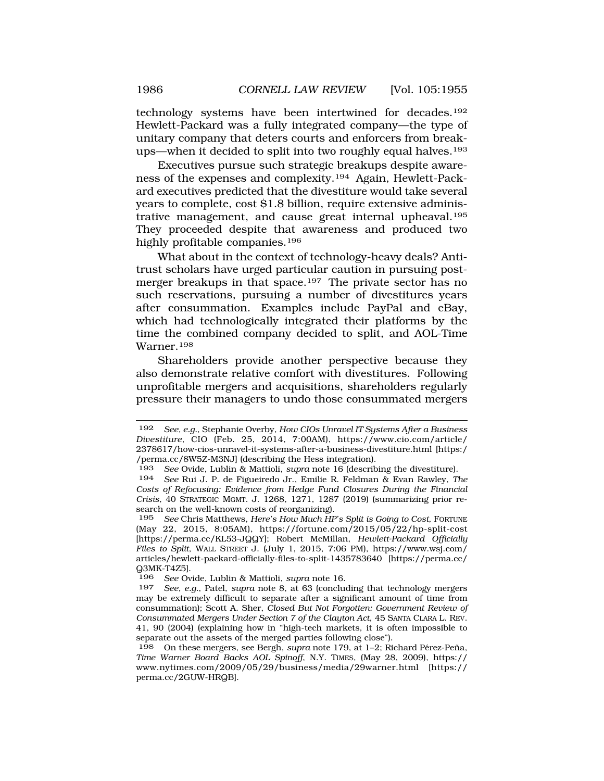technology systems have been intertwined for decades.192 Hewlett-Packard was a fully integrated company—the type of unitary company that deters courts and enforcers from breakups—when it decided to split into two roughly equal halves.193

Executives pursue such strategic breakups despite awareness of the expenses and complexity.194 Again, Hewlett-Packard executives predicted that the divestiture would take several years to complete, cost \$1.8 billion, require extensive administrative management, and cause great internal upheaval.195 They proceeded despite that awareness and produced two highly profitable companies.196

What about in the context of technology-heavy deals? Antitrust scholars have urged particular caution in pursuing postmerger breakups in that space.197 The private sector has no such reservations, pursuing a number of divestitures years after consummation. Examples include PayPal and eBay, which had technologically integrated their platforms by the time the combined company decided to split, and AOL-Time Warner.198

Shareholders provide another perspective because they also demonstrate relative comfort with divestitures. Following unprofitable mergers and acquisitions, shareholders regularly pressure their managers to undo those consummated mergers

<sup>192</sup> *See, e.g.*, Stephanie Overby, *How CIOs Unravel IT Systems After a Business Divestiture*, CIO (Feb. 25, 2014, 7:00AM), [https://www.cio.com/article/](https://www.cio.com/article) 2378617/how-cios-unravel-it-systems-after-a-business-divestiture.html [https:/ /perma.cc/8W5Z-M3NJ] (describing the Hess integration).

<sup>193</sup> *See* Ovide, Lublin & Mattioli, *supra* note 16 (describing the divestiture).

<sup>194</sup> *See* Rui J. P. de Figueiredo Jr., Emilie R. Feldman & Evan Rawley, *The Costs of Refocusing: Evidence from Hedge Fund Closures During the Financial Crisis,* 40 STRATEGIC MGMT. J. 1268, 1271, 1287 (2019) (summarizing prior research on the well-known costs of reorganizing).

<sup>195</sup> *See* Chris Matthews, *Here's How Much HP's Split is Going to Cost*, FORTUNE (May 22, 2015, 8:05AM), <https://fortune.com/2015/05/22/hp-split-cost> [[https://perma.cc/KL53-JQQY\]](https://perma.cc/KL53-JQQY); Robert McMillan, *Hewlett-Packard Officially Files to Split*, WALL STREET J. (July 1, 2015, 7:06 PM), [https://www.wsj.com/](https://www.wsj.com) articles/hewlett-packard-officially-files-to-split-1435783640 [\[https://perma.cc/](https://perma.cc)  $Q3MK-T4Z5$ .<br>196 See Ov

<sup>196</sup> *See* Ovide, Lublin & Mattioli, *supra* note 16.

See, e.g., Patel, *supra* note 8, at 63 (concluding that technology mergers may be extremely difficult to separate after a significant amount of time from consummation); Scott A. Sher, *Closed But Not Forgotten: Government Review of Consummated Mergers Under Section 7 of the Clayton Act*, 45 SANTA CLARA L. REV. 41, 90 (2004) (explaining how in "high-tech markets, it is often impossible to separate out the assets of the merged parties following close").

<sup>198</sup> On these mergers, see Bergh, *supra* note 179, at 1–2; Richard Pérez-Peña, *Time Warner Board Backs AOL Spinoff*, N.Y. TIMES, (May 28, 2009), https:// <www.nytimes.com/2009/05/29/business/media/29warner.html>[https:// perma.cc/2GUW-HRQB].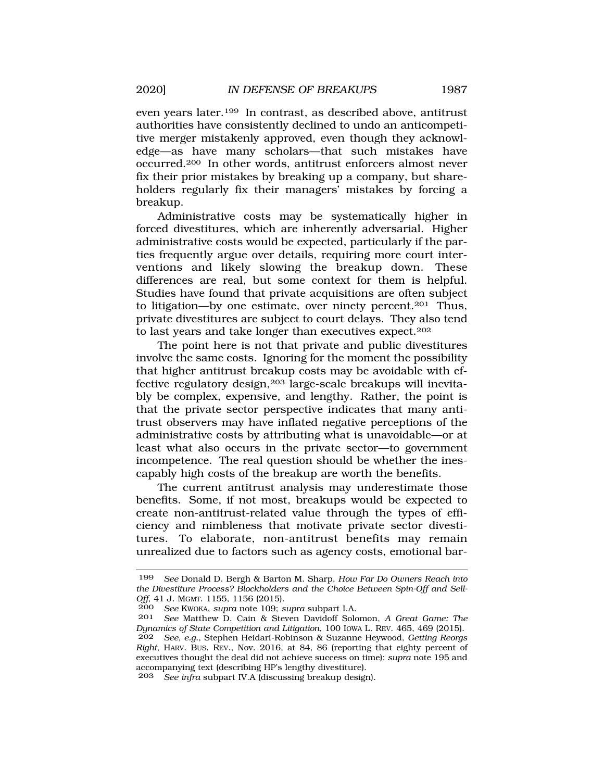even years later.199 In contrast, as described above, antitrust authorities have consistently declined to undo an anticompetitive merger mistakenly approved, even though they acknowledge—as have many scholars—that such mistakes have occurred.200 In other words, antitrust enforcers almost never fix their prior mistakes by breaking up a company, but shareholders regularly fix their managers' mistakes by forcing a breakup.

Administrative costs may be systematically higher in forced divestitures, which are inherently adversarial. Higher administrative costs would be expected, particularly if the parties frequently argue over details, requiring more court interventions and likely slowing the breakup down. These differences are real, but some context for them is helpful. Studies have found that private acquisitions are often subject to litigation—by one estimate, over ninety percent.<sup>201</sup> Thus, private divestitures are subject to court delays. They also tend to last years and take longer than executives expect.202

The point here is not that private and public divestitures involve the same costs. Ignoring for the moment the possibility that higher antitrust breakup costs may be avoidable with effective regulatory design,203 large-scale breakups will inevitably be complex, expensive, and lengthy. Rather, the point is that the private sector perspective indicates that many antitrust observers may have inflated negative perceptions of the administrative costs by attributing what is unavoidable—or at least what also occurs in the private sector—to government incompetence. The real question should be whether the inescapably high costs of the breakup are worth the benefits.

The current antitrust analysis may underestimate those benefits. Some, if not most, breakups would be expected to create non-antitrust-related value through the types of efficiency and nimbleness that motivate private sector divestitures. To elaborate, non-antitrust benefits may remain unrealized due to factors such as agency costs, emotional bar-

<sup>199</sup> *See* Donald D. Bergh & Barton M. Sharp, *How Far Do Owners Reach into the Divestiture Process? Blockholders and the Choice Between Spin-Off and Sell-Off*, 41 J. MGMT. 1155, 1156 (2015).<br>200 *See* KWOKA *sunta* note 109: 5

<sup>200</sup> *See* KWOKA, *supra* note 109; *supra* subpart I.A.

<sup>201</sup> *See* Matthew D. Cain & Steven Davidoff Solomon, *A Great Game: The Dynamics of State Competition and Litigation*, 100 IOWA L. REV. 465, 469 (2015).

<sup>202</sup> *See, e.g.*, Stephen Heidari-Robinson & Suzanne Heywood, *Getting Reorgs Right*, HARV. BUS. REV., Nov. 2016, at 84, 86 (reporting that eighty percent of executives thought the deal did not achieve success on time); *supra* note 195 and accompanying text (describing HP's lengthy divestiture).

<sup>203</sup> *See infra* subpart IV.A (discussing breakup design).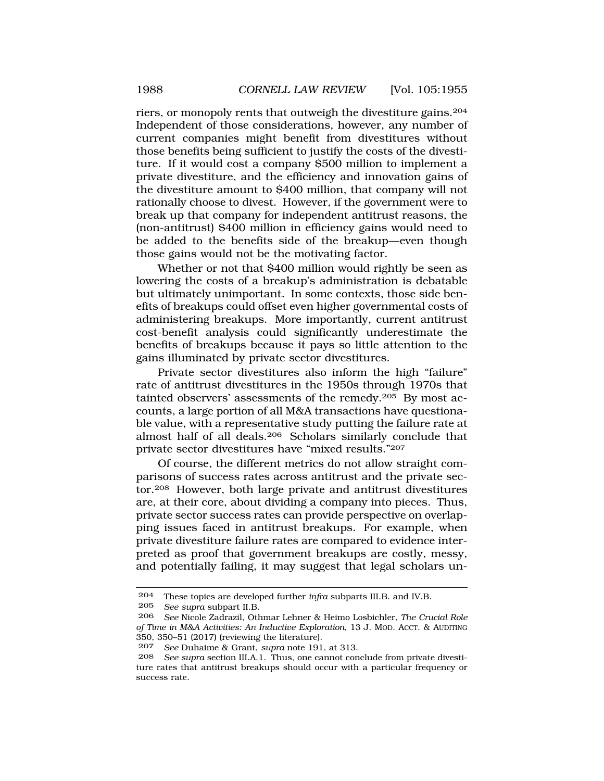riers, or monopoly rents that outweigh the divestiture gains.204 Independent of those considerations, however, any number of current companies might benefit from divestitures without those benefits being sufficient to justify the costs of the divestiture. If it would cost a company \$500 million to implement a private divestiture, and the efficiency and innovation gains of the divestiture amount to \$400 million, that company will not rationally choose to divest. However, if the government were to break up that company for independent antitrust reasons, the (non-antitrust) \$400 million in efficiency gains would need to be added to the benefits side of the breakup—even though those gains would not be the motivating factor.

Whether or not that \$400 million would rightly be seen as lowering the costs of a breakup's administration is debatable but ultimately unimportant. In some contexts, those side benefits of breakups could offset even higher governmental costs of administering breakups. More importantly, current antitrust cost-benefit analysis could significantly underestimate the benefits of breakups because it pays so little attention to the gains illuminated by private sector divestitures.

Private sector divestitures also inform the high "failure" rate of antitrust divestitures in the 1950s through 1970s that tainted observers' assessments of the remedy.<sup>205</sup> By most accounts, a large portion of all M&A transactions have questionable value, with a representative study putting the failure rate at almost half of all deals.206 Scholars similarly conclude that private sector divestitures have "mixed results."207

Of course, the different metrics do not allow straight comparisons of success rates across antitrust and the private sector.208 However, both large private and antitrust divestitures are, at their core, about dividing a company into pieces. Thus, private sector success rates can provide perspective on overlapping issues faced in antitrust breakups. For example, when private divestiture failure rates are compared to evidence interpreted as proof that government breakups are costly, messy, and potentially failing, it may suggest that legal scholars un-

<sup>204</sup> These topics are developed further *infra* subparts III.B. and IV.B. 205 *See supra* subpart II.B.

<sup>206</sup> *See* Nicole Zadrazil, Othmar Lehner & Heimo Losbichler, *The Crucial Role of Time in M&A Activities: An Inductive Exploration*, 13 J. MOD. ACCT. & AUDITING 350, 350–51 (2017) (reviewing the literature).<br>207 See Duhaime & Grant, supra note 191

<sup>207</sup> *See* Duhaime & Grant, *supra* note 191, at 313.

<sup>208</sup> *See supra* section III.A.1. Thus, one cannot conclude from private divestiture rates that antitrust breakups should occur with a particular frequency or success rate.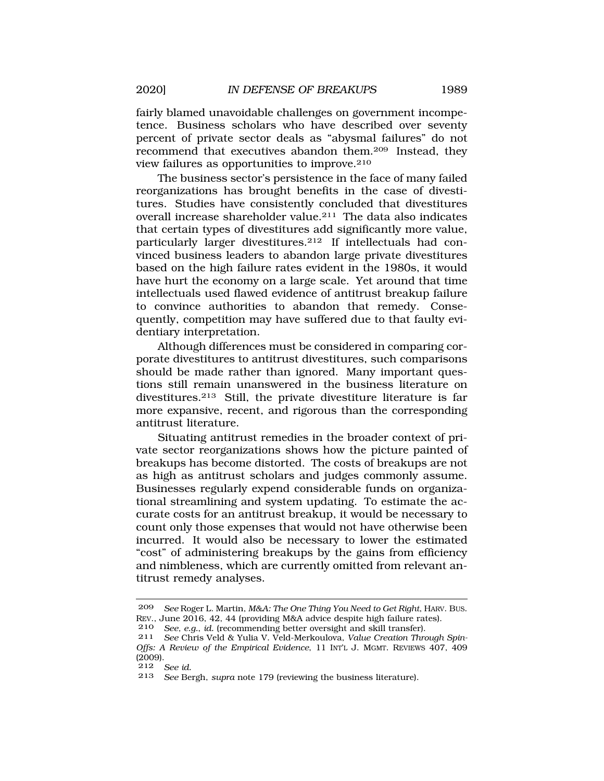fairly blamed unavoidable challenges on government incompetence. Business scholars who have described over seventy percent of private sector deals as "abysmal failures" do not recommend that executives abandon them.209 Instead, they view failures as opportunities to improve.210

The business sector's persistence in the face of many failed reorganizations has brought benefits in the case of divestitures. Studies have consistently concluded that divestitures overall increase shareholder value.211 The data also indicates that certain types of divestitures add significantly more value, particularly larger divestitures.212 If intellectuals had convinced business leaders to abandon large private divestitures based on the high failure rates evident in the 1980s, it would have hurt the economy on a large scale. Yet around that time intellectuals used flawed evidence of antitrust breakup failure to convince authorities to abandon that remedy. Consequently, competition may have suffered due to that faulty evidentiary interpretation.

Although differences must be considered in comparing corporate divestitures to antitrust divestitures, such comparisons should be made rather than ignored. Many important questions still remain unanswered in the business literature on divestitures.213 Still, the private divestiture literature is far more expansive, recent, and rigorous than the corresponding antitrust literature.

Situating antitrust remedies in the broader context of private sector reorganizations shows how the picture painted of breakups has become distorted. The costs of breakups are not as high as antitrust scholars and judges commonly assume. Businesses regularly expend considerable funds on organizational streamlining and system updating. To estimate the accurate costs for an antitrust breakup, it would be necessary to count only those expenses that would not have otherwise been incurred. It would also be necessary to lower the estimated "cost" of administering breakups by the gains from efficiency and nimbleness, which are currently omitted from relevant antitrust remedy analyses.

<sup>209</sup> *See* Roger L. Martin, *M&A: The One Thing You Need to Get Right*, HARV. BUS. REV., June 2016, 42, 44 (providing M&A advice despite high failure rates).

<sup>210</sup> *See, e.g.*, *id.* (recommending better oversight and skill transfer).

<sup>211</sup> *See* Chris Veld & Yulia V. Veld-Merkoulova, *Value Creation Through Spin-Offs: A Review of the Empirical Evidence*, 11 INT'L J. MGMT. REVIEWS 407, 409  $(2009)$ .<br>212

<sup>212</sup> *See id.* 

See Bergh, *supra* note 179 (reviewing the business literature).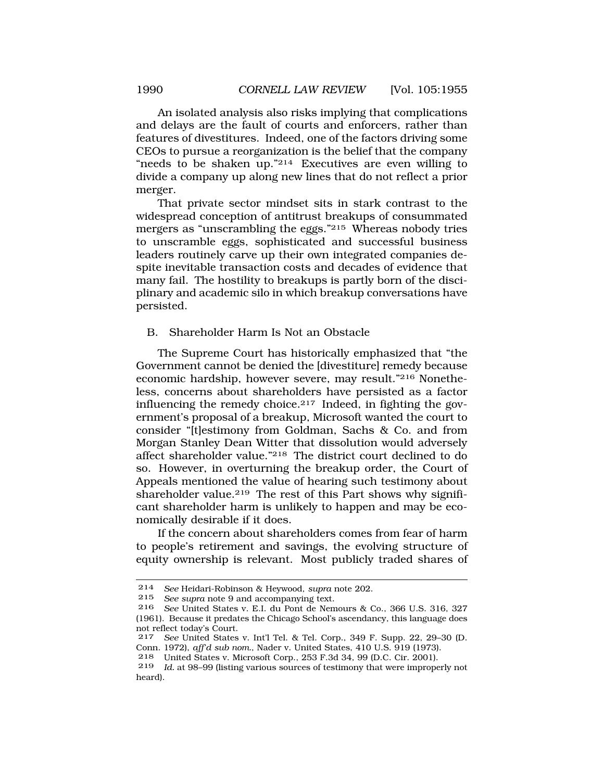<span id="page-35-0"></span>An isolated analysis also risks implying that complications and delays are the fault of courts and enforcers, rather than features of divestitures. Indeed, one of the factors driving some CEOs to pursue a reorganization is the belief that the company "needs to be shaken up."214 Executives are even willing to divide a company up along new lines that do not reflect a prior merger.

That private sector mindset sits in stark contrast to the widespread conception of antitrust breakups of consummated mergers as "unscrambling the eggs."215 Whereas nobody tries to unscramble eggs, sophisticated and successful business leaders routinely carve up their own integrated companies despite inevitable transaction costs and decades of evidence that many fail. The hostility to breakups is partly born of the disciplinary and academic silo in which breakup conversations have persisted.

B. Shareholder Harm Is Not an Obstacle

The Supreme Court has historically emphasized that "the Government cannot be denied the [divestiture] remedy because economic hardship, however severe, may result."216 Nonetheless, concerns about shareholders have persisted as a factor influencing the remedy choice.217 Indeed, in fighting the government's proposal of a breakup, Microsoft wanted the court to consider "[t]estimony from Goldman, Sachs & Co. and from Morgan Stanley Dean Witter that dissolution would adversely affect shareholder value."218 The district court declined to do so. However, in overturning the breakup order, the Court of Appeals mentioned the value of hearing such testimony about shareholder value.<sup>219</sup> The rest of this Part shows why significant shareholder harm is unlikely to happen and may be economically desirable if it does.

If the concern about shareholders comes from fear of harm to people's retirement and savings, the evolving structure of equity ownership is relevant. Most publicly traded shares of

218 United States v. Microsoft Corp., 253 F.3d 34, 99 (D.C. Cir. 2001).

<sup>214</sup> *See* Heidari-Robinson & Heywood, *supra* note 202.

See supra note 9 and accompanying text.

<sup>216</sup> *See* United States v. E.I. du Pont de Nemours & Co., 366 U.S. 316, 327 (1961). Because it predates the Chicago School's ascendancy, this language does not reflect today's Court.

<sup>217</sup> *See* United States v. Int'l Tel. & Tel. Corp., 349 F. Supp. 22, 29–30 (D. Conn. 1972), *aff'd sub nom.*, Nader v. United States, 410 U.S. 919 (1973).

<sup>219</sup> *Id.* at 98–99 (listing various sources of testimony that were improperly not heard).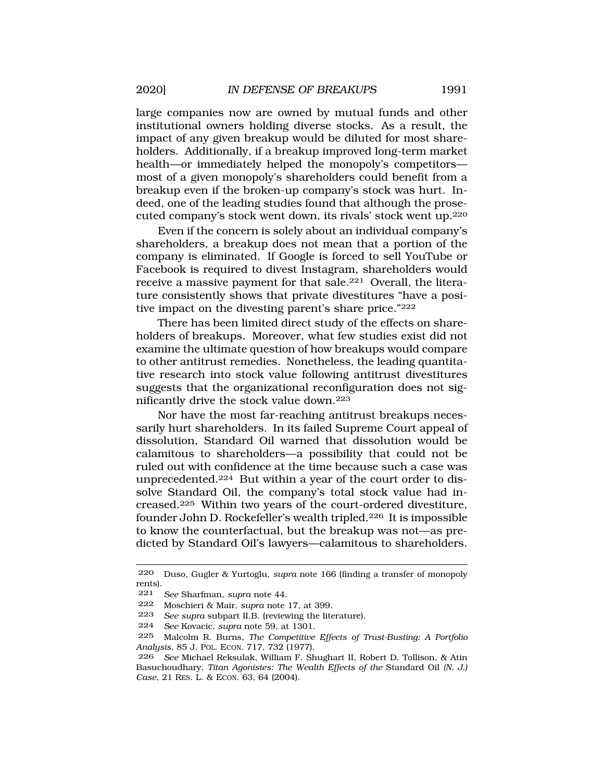large companies now are owned by mutual funds and other institutional owners holding diverse stocks. As a result, the impact of any given breakup would be diluted for most shareholders. Additionally, if a breakup improved long-term market health—or immediately helped the monopoly's competitors most of a given monopoly's shareholders could benefit from a breakup even if the broken-up company's stock was hurt. Indeed, one of the leading studies found that although the prosecuted company's stock went down, its rivals' stock went up.220

Even if the concern is solely about an individual company's shareholders, a breakup does not mean that a portion of the company is eliminated. If Google is forced to sell YouTube or Facebook is required to divest Instagram, shareholders would receive a massive payment for that sale.221 Overall, the literature consistently shows that private divestitures "have a positive impact on the divesting parent's share price."222

There has been limited direct study of the effects on shareholders of breakups. Moreover, what few studies exist did not examine the ultimate question of how breakups would compare to other antitrust remedies. Nonetheless, the leading quantitative research into stock value following antitrust divestitures suggests that the organizational reconfiguration does not significantly drive the stock value down.223

Nor have the most far-reaching antitrust breakups necessarily hurt shareholders. In its failed Supreme Court appeal of dissolution, Standard Oil warned that dissolution would be calamitous to shareholders—a possibility that could not be ruled out with confidence at the time because such a case was unprecedented.224 But within a year of the court order to dissolve Standard Oil, the company's total stock value had increased.225 Within two years of the court-ordered divestiture, founder John D. Rockefeller's wealth tripled.226 It is impossible to know the counterfactual, but the breakup was not—as predicted by Standard Oil's lawyers—calamitous to shareholders.

<sup>220</sup> Duso, Gugler & Yurtoglu, *supra* note 166 (finding a transfer of monopoly rents).

<sup>221</sup> *See* Sharfman, *supra* note 44.

<sup>222</sup> Moschieri & Mair, *supra* note 17, at 399.

See supra subpart II.B. (reviewing the literature).

<sup>224</sup> *See* Kovacic, *supra* note 59, at 1301.

<sup>225</sup> Malcolm R. Burns, *The Competitive Effects of Trust-Busting: A Portfolio Analysis*, 85 J. POL. ECON. 717, 732 (1977).

<sup>226</sup> *See* Michael Reksulak, William F. Shughart II, Robert D. Tollison, & Atin Basuchoudhary, *Titan Agonistes: The Wealth Effects of the* Standard Oil *(N. J.) Case*, 21 RES. L. & ECON. 63, 64 (2004).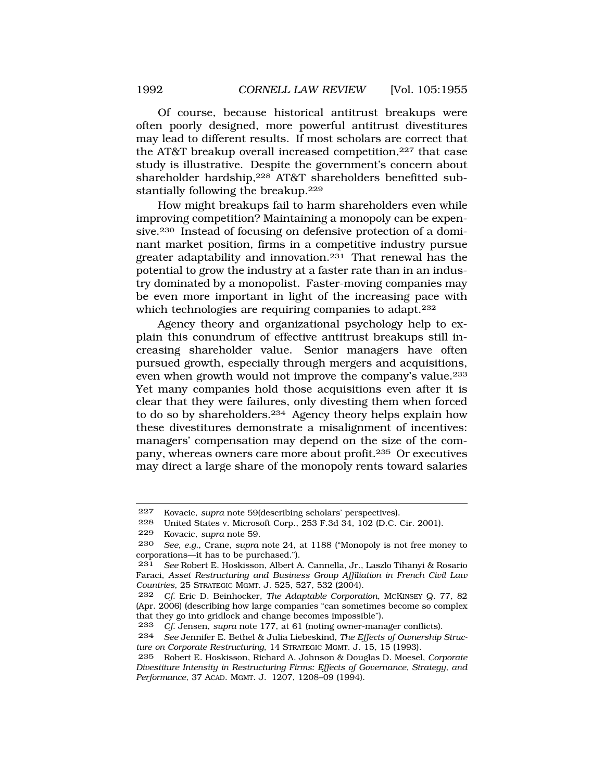Of course, because historical antitrust breakups were often poorly designed, more powerful antitrust divestitures may lead to different results. If most scholars are correct that the AT&T breakup overall increased competition,<sup>227</sup> that case study is illustrative. Despite the government's concern about shareholder hardship,<sup>228</sup> AT&T shareholders benefitted substantially following the breakup.229

How might breakups fail to harm shareholders even while improving competition? Maintaining a monopoly can be expensive.230 Instead of focusing on defensive protection of a dominant market position, firms in a competitive industry pursue greater adaptability and innovation.<sup>231</sup> That renewal has the potential to grow the industry at a faster rate than in an industry dominated by a monopolist. Faster-moving companies may be even more important in light of the increasing pace with which technologies are requiring companies to adapt.<sup>232</sup>

Agency theory and organizational psychology help to explain this conundrum of effective antitrust breakups still increasing shareholder value. Senior managers have often pursued growth, especially through mergers and acquisitions, even when growth would not improve the company's value.233 Yet many companies hold those acquisitions even after it is clear that they were failures, only divesting them when forced to do so by shareholders.234 Agency theory helps explain how these divestitures demonstrate a misalignment of incentives: managers' compensation may depend on the size of the company, whereas owners care more about profit.235 Or executives may direct a large share of the monopoly rents toward salaries

<sup>227</sup> Kovacic, *supra* note 59(describing scholars' perspectives).

<sup>228</sup> United States v. Microsoft Corp., 253 F.3d 34, 102 (D.C. Cir. 2001).

<sup>229</sup> Kovacic, *supra* note 59.

<sup>230</sup> *See, e.g.*, Crane, *supra* note 24, at 1188 ("Monopoly is not free money to corporations—it has to be purchased.").

<sup>231</sup> *See* Robert E. Hoskisson, Albert A. Cannella, Jr., Laszlo Tihanyi & Rosario Faraci, *Asset Restructuring and Business Group Affiliation in French Civil Law Countries*, 25 STRATEGIC MGMT. J. 525, 527, 532 (2004).

<sup>232</sup> *Cf.* Eric D. Beinhocker, *The Adaptable Corporation*, MCKINSEY Q. 77, 82 (Apr. 2006) (describing how large companies "can sometimes become so complex that they go into gridlock and change becomes impossible").

<sup>233</sup> *Cf.* Jensen, *supra* note 177, at 61 (noting owner-manager conflicts).

<sup>234</sup> *See* Jennifer E. Bethel & Julia Liebeskind, *The Effects of Ownership Structure on Corporate Restructuring*, 14 STRATEGIC MGMT. J. 15, 15 (1993).

<sup>235</sup> Robert E. Hoskisson, Richard A. Johnson & Douglas D. Moesel, *Corporate Divestiture Intensity in Restructuring Firms: Effects of Governance, Strategy, and Performance*, 37 ACAD. MGMT. J. 1207, 1208–09 (1994).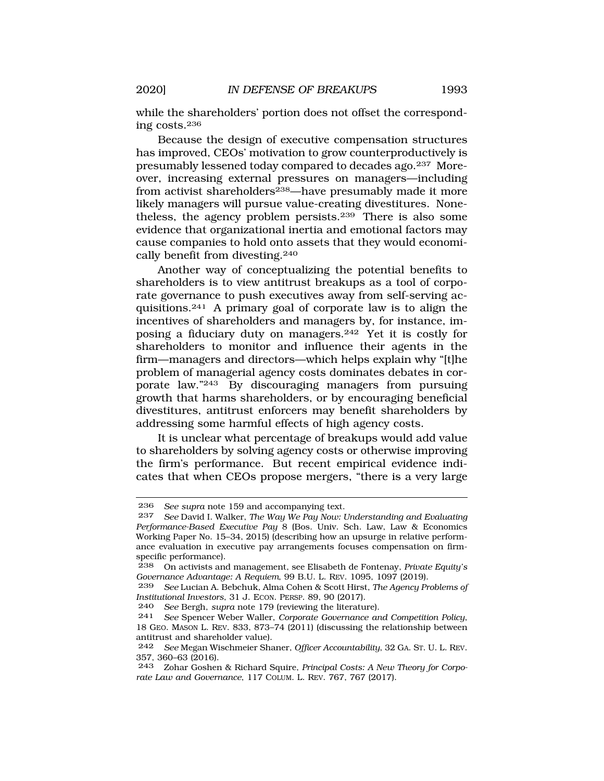while the shareholders' portion does not offset the corresponding costs.236

Because the design of executive compensation structures has improved, CEOs' motivation to grow counterproductively is presumably lessened today compared to decades ago.237 Moreover, increasing external pressures on managers—including from activist shareholders<sup>238</sup>—have presumably made it more likely managers will pursue value-creating divestitures. Nonetheless, the agency problem persists.239 There is also some evidence that organizational inertia and emotional factors may cause companies to hold onto assets that they would economically benefit from divesting.240

Another way of conceptualizing the potential benefits to shareholders is to view antitrust breakups as a tool of corporate governance to push executives away from self-serving acquisitions.241 A primary goal of corporate law is to align the incentives of shareholders and managers by, for instance, imposing a fiduciary duty on managers.242 Yet it is costly for shareholders to monitor and influence their agents in the firm—managers and directors—which helps explain why "[t]he problem of managerial agency costs dominates debates in corporate law."243 By discouraging managers from pursuing growth that harms shareholders, or by encouraging beneficial divestitures, antitrust enforcers may benefit shareholders by addressing some harmful effects of high agency costs.

It is unclear what percentage of breakups would add value to shareholders by solving agency costs or otherwise improving the firm's performance. But recent empirical evidence indicates that when CEOs propose mergers, "there is a very large

<sup>236</sup> *See supra* note 159 and accompanying text.

<sup>237</sup> *See* David I. Walker, *The Way We Pay Now: Understanding and Evaluating Performance-Based Executive Pay* 8 (Bos. Univ. Sch. Law, Law & Economics Working Paper No. 15–34, 2015) (describing how an upsurge in relative performance evaluation in executive pay arrangements focuses compensation on firmspecific performance).

<sup>238</sup> On activists and management, see Elisabeth de Fontenay, *Private Equity's Governance Advantage: A Requiem*, 99 B.U. L. REV. 1095, 1097 (2019).

<sup>239</sup> *See* Lucian A. Bebchuk, Alma Cohen & Scott Hirst, *The Agency Problems of Institutional Investors*, 31 J. ECON. PERSP. 89, 90 (2017).

<sup>240</sup> *See* Bergh, *supra* note 179 (reviewing the literature).

<sup>241</sup> *See* Spencer Weber Waller, *Corporate Governance and Competition Policy*, 18 GEO. MASON L. REV. 833, 873–74 (2011) (discussing the relationship between antitrust and shareholder value).

<sup>242</sup> *See* Megan Wischmeier Shaner, *Officer Accountability*, 32 GA. ST. U. L. REV. 357, 360–63 (2016).

<sup>243</sup> Zohar Goshen & Richard Squire, *Principal Costs: A New Theory for Corporate Law and Governance*, 117 COLUM. L. REV. 767, 767 (2017).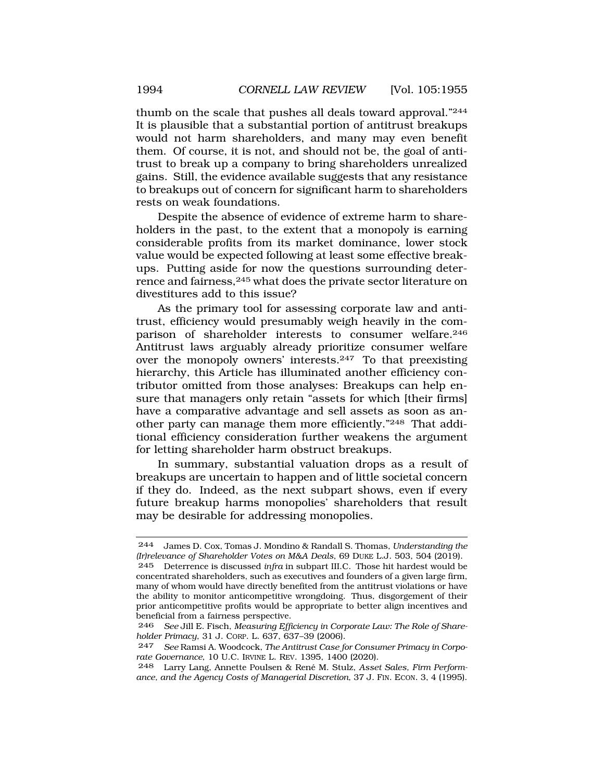thumb on the scale that pushes all deals toward approval."244 It is plausible that a substantial portion of antitrust breakups would not harm shareholders, and many may even benefit them. Of course, it is not, and should not be, the goal of antitrust to break up a company to bring shareholders unrealized gains. Still, the evidence available suggests that any resistance to breakups out of concern for significant harm to shareholders rests on weak foundations.

Despite the absence of evidence of extreme harm to shareholders in the past, to the extent that a monopoly is earning considerable profits from its market dominance, lower stock value would be expected following at least some effective breakups. Putting aside for now the questions surrounding deterrence and fairness,245 what does the private sector literature on divestitures add to this issue?

As the primary tool for assessing corporate law and antitrust, efficiency would presumably weigh heavily in the comparison of shareholder interests to consumer welfare.<sup>246</sup> Antitrust laws arguably already prioritize consumer welfare over the monopoly owners' interests.247 To that preexisting hierarchy, this Article has illuminated another efficiency contributor omitted from those analyses: Breakups can help ensure that managers only retain "assets for which [their firms] have a comparative advantage and sell assets as soon as another party can manage them more efficiently."248 That additional efficiency consideration further weakens the argument for letting shareholder harm obstruct breakups.

In summary, substantial valuation drops as a result of breakups are uncertain to happen and of little societal concern if they do. Indeed, as the next subpart shows, even if every future breakup harms monopolies' shareholders that result may be desirable for addressing monopolies.

<sup>244</sup> James D. Cox, Tomas J. Mondino & Randall S. Thomas, *Understanding the (Ir)relevance of Shareholder Votes on M&A Deals*, 69 DUKE L.J. 503, 504 (2019).

<sup>245</sup> Deterrence is discussed *infra* in subpart III.C. Those hit hardest would be concentrated shareholders, such as executives and founders of a given large firm, many of whom would have directly benefited from the antitrust violations or have the ability to monitor anticompetitive wrongdoing. Thus, disgorgement of their prior anticompetitive profits would be appropriate to better align incentives and beneficial from a fairness perspective.

<sup>246</sup> *See* Jill E. Fisch, *Measuring Efficiency in Corporate Law: The Role of Shareholder Primacy*, 31 J. CORP. L. 637, 637–39 (2006).

<sup>247</sup> *See* Ramsi A. Woodcock, *The Antitrust Case for Consumer Primacy in Corporate Governance*, 10 U.C. IRVINE L. REV. 1395, 1400 (2020).

<sup>248</sup> Larry Lang, Annette Poulsen & Ren´e M. Stulz, *Asset Sales, Firm Performance, and the Agency Costs of Managerial Discretion*, 37 J. FIN. ECON. 3, 4 (1995).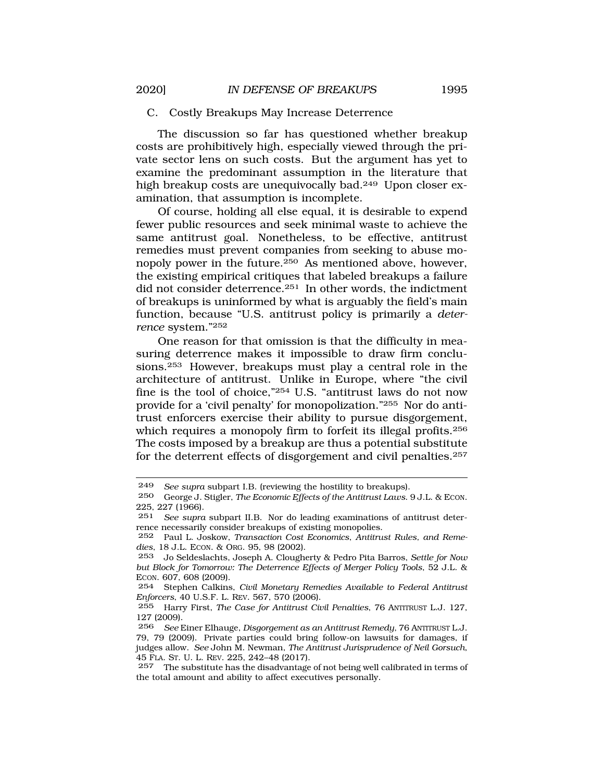### <span id="page-40-0"></span>C. Costly Breakups May Increase Deterrence

The discussion so far has questioned whether breakup costs are prohibitively high, especially viewed through the private sector lens on such costs. But the argument has yet to examine the predominant assumption in the literature that high breakup costs are unequivocally bad.<sup>249</sup> Upon closer examination, that assumption is incomplete.

Of course, holding all else equal, it is desirable to expend fewer public resources and seek minimal waste to achieve the same antitrust goal. Nonetheless, to be effective, antitrust remedies must prevent companies from seeking to abuse monopoly power in the future.250 As mentioned above, however, the existing empirical critiques that labeled breakups a failure did not consider deterrence.251 In other words, the indictment of breakups is uninformed by what is arguably the field's main function, because "U.S. antitrust policy is primarily a *deterrence* system."252

One reason for that omission is that the difficulty in measuring deterrence makes it impossible to draw firm conclusions.253 However, breakups must play a central role in the architecture of antitrust. Unlike in Europe, where "the civil fine is the tool of choice,"254 U.S. "antitrust laws do not now provide for a 'civil penalty' for monopolization."255 Nor do antitrust enforcers exercise their ability to pursue disgorgement, which requires a monopoly firm to forfeit its illegal profits.<sup>256</sup> The costs imposed by a breakup are thus a potential substitute for the deterrent effects of disgorgement and civil penalties.257

<sup>249</sup> *See supra subpart I.B. (reviewing the hostility to breakups).*<br>250 *George J. Stigler, The Economic Effects of the Antitrust Laus* 

<sup>250</sup> George J. Stigler, *The Economic Effects of the Antitrust Laws*. 9 J.L. & ECON. 225, 227 (1966).

<sup>251</sup> *See supra* subpart II.B. Nor do leading examinations of antitrust deterrence necessarily consider breakups of existing monopolies.

<sup>252</sup> Paul L. Joskow, *Transaction Cost Economics*, *Antitrust Rules, and Remedies*, 18 J.L. ECON. & ORG. 95, 98 (2002).

<sup>253</sup> Jo Seldeslachts, Joseph A. Clougherty & Pedro Pita Barros, *Settle for Now but Block for Tomorrow: The Deterrence Effects of Merger Policy Tools*, 52 J.L. & ECON. 607, 608 (2009).

<sup>254</sup> Stephen Calkins, *Civil Monetary Remedies Available to Federal Antitrust Enforcers*, 40 U.S.F. L. REV. 567, 570 (2006).

<sup>255</sup> Harry First, *The Case for Antitrust Civil Penalties*, 76 ANTITRUST L.J. 127, 127 (2009).

<sup>256</sup> *See* Einer Elhauge, *Disgorgement as an Antitrust Remedy*, 76 ANTITRUST L.J. 79, 79 (2009). Private parties could bring follow-on lawsuits for damages, if judges allow. *See* John M. Newman, *The Antitrust Jurisprudence of Neil Gorsuch*, 45 FLA. ST. U. L. REV. 225, 242–48 (2017).

<sup>257</sup> The substitute has the disadvantage of not being well calibrated in terms of the total amount and ability to affect executives personally.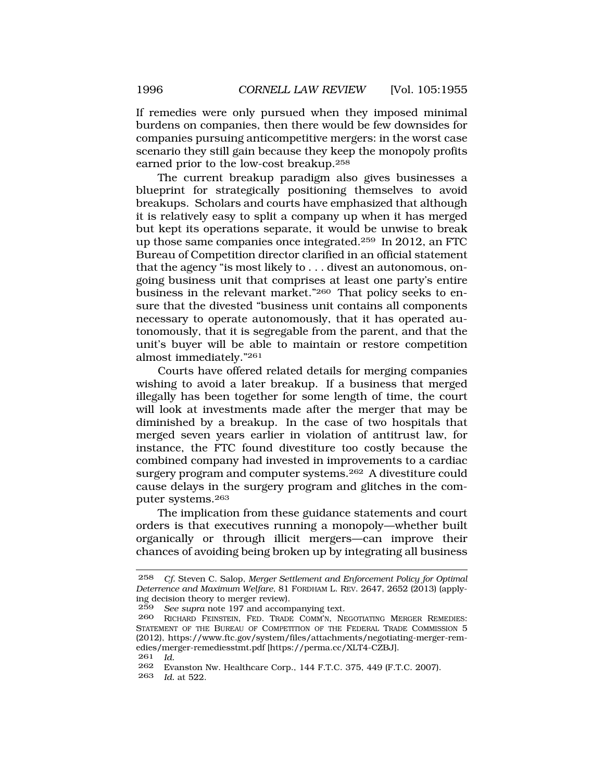If remedies were only pursued when they imposed minimal burdens on companies, then there would be few downsides for companies pursuing anticompetitive mergers: in the worst case scenario they still gain because they keep the monopoly profits earned prior to the low-cost breakup.258

The current breakup paradigm also gives businesses a blueprint for strategically positioning themselves to avoid breakups. Scholars and courts have emphasized that although it is relatively easy to split a company up when it has merged but kept its operations separate, it would be unwise to break up those same companies once integrated.259 In 2012, an FTC Bureau of Competition director clarified in an official statement that the agency "is most likely to . . . divest an autonomous, ongoing business unit that comprises at least one party's entire business in the relevant market."260 That policy seeks to ensure that the divested "business unit contains all components necessary to operate autonomously, that it has operated autonomously, that it is segregable from the parent, and that the unit's buyer will be able to maintain or restore competition almost immediately."261

Courts have offered related details for merging companies wishing to avoid a later breakup. If a business that merged illegally has been together for some length of time, the court will look at investments made after the merger that may be diminished by a breakup. In the case of two hospitals that merged seven years earlier in violation of antitrust law, for instance, the FTC found divestiture too costly because the combined company had invested in improvements to a cardiac surgery program and computer systems.262 A divestiture could cause delays in the surgery program and glitches in the computer systems.263

The implication from these guidance statements and court orders is that executives running a monopoly—whether built organically or through illicit mergers—can improve their chances of avoiding being broken up by integrating all business

263 *Id.* at 522.

<sup>258</sup> *Cf.* Steven C. Salop, *Merger Settlement and Enforcement Policy for Optimal Deterrence and Maximum Welfare*, 81 FORDHAM L. REV. 2647, 2652 (2013) (applying decision theory to merger review).

<sup>259</sup> *See supra* note 197 and accompanying text.

RICHARD FEINSTEIN, FED. TRADE COMM'N, NEGOTIATING MERGER REMEDIES: STATEMENT OF THE BUREAU OF COMPETITION OF THE FEDERAL TRADE COMMISSION 5 (2012), <https://www.ftc.gov/system/files/attachments/negotiating-merger-rem>edies/merger-remediesstmt.pdf [[https://perma.cc/XLT4-CZBJ\]](https://perma.cc/XLT4-CZBJ).

 $\frac{261}{262}$  *Id.* 

<sup>262</sup> Evanston Nw. Healthcare Corp., 144 F.T.C. 375, 449 (F.T.C. 2007).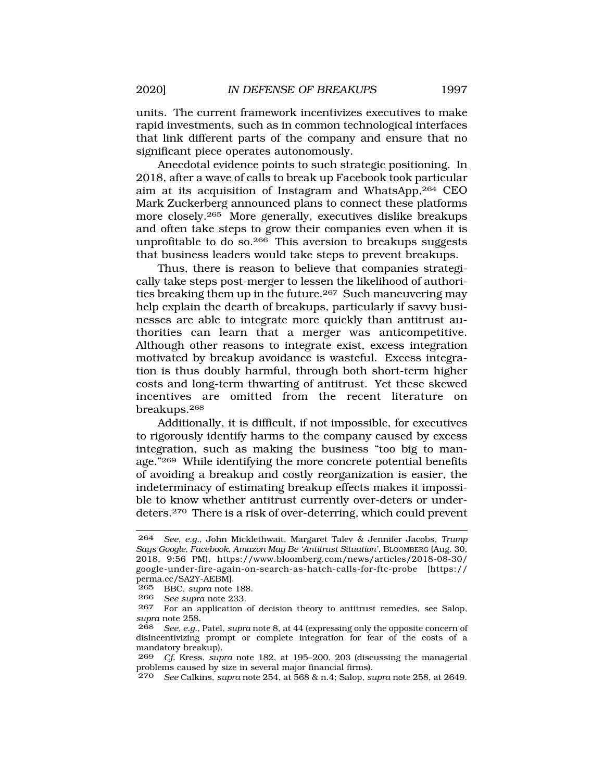units. The current framework incentivizes executives to make rapid investments, such as in common technological interfaces that link different parts of the company and ensure that no significant piece operates autonomously.

Anecdotal evidence points to such strategic positioning. In 2018, after a wave of calls to break up Facebook took particular aim at its acquisition of Instagram and WhatsApp,264 CEO Mark Zuckerberg announced plans to connect these platforms more closely.265 More generally, executives dislike breakups and often take steps to grow their companies even when it is unprofitable to do so.266 This aversion to breakups suggests that business leaders would take steps to prevent breakups.

Thus, there is reason to believe that companies strategically take steps post-merger to lessen the likelihood of authorities breaking them up in the future.<sup>267</sup> Such maneuvering may help explain the dearth of breakups, particularly if savvy businesses are able to integrate more quickly than antitrust authorities can learn that a merger was anticompetitive. Although other reasons to integrate exist, excess integration motivated by breakup avoidance is wasteful. Excess integration is thus doubly harmful, through both short-term higher costs and long-term thwarting of antitrust. Yet these skewed incentives are omitted from the recent literature on breakups.268

Additionally, it is difficult, if not impossible, for executives to rigorously identify harms to the company caused by excess integration, such as making the business "too big to manage."269 While identifying the more concrete potential benefits of avoiding a breakup and costly reorganization is easier, the indeterminacy of estimating breakup effects makes it impossible to know whether antitrust currently over-deters or underdeters.270 There is a risk of over-deterring, which could prevent

<sup>264</sup> *See, e.g.*, John Micklethwait, Margaret Talev & Jennifer Jacobs, *Trump Says Google, Facebook, Amazon May Be 'Antitrust Situation'*, BLOOMBERG (Aug. 30, 2018, 9:56 PM), [https://www.bloomberg.com/news/articles/2018-08-30/](https://www.bloomberg.com/news/articles/2018-08-30) google-under-fire-again-on-search-as-hatch-calls-for-ftc-probe [https:// perma.cc/SA2Y-AEBM].

<sup>265</sup> BBC, *supra* note 188.

<sup>266</sup> *See supra* note 233.

<sup>267</sup> For an application of decision theory to antitrust remedies, see Salop, *supra* note 258.

<sup>268</sup> *See, e.g.*, Patel, *supra* note 8, at 44 (expressing only the opposite concern of disincentivizing prompt or complete integration for fear of the costs of a mandatory breakup).

<sup>269</sup> *Cf.* Kress, *supra* note 182, at 195–200, 203 (discussing the managerial problems caused by size in several major financial firms).

<sup>270</sup> *See* Calkins, *supra* note 254, at 568 & n.4; Salop, *supra* note 258, at 2649.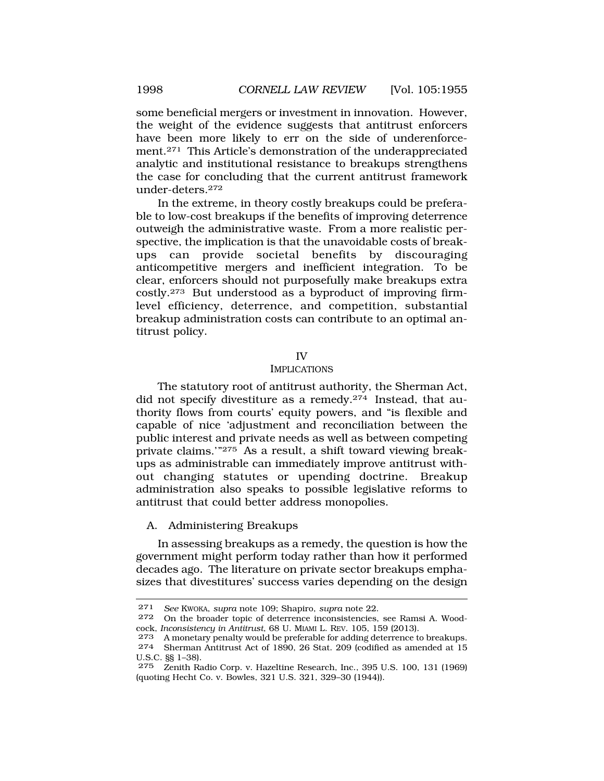some beneficial mergers or investment in innovation. However, the weight of the evidence suggests that antitrust enforcers have been more likely to err on the side of underenforcement.271 This Article's demonstration of the underappreciated analytic and institutional resistance to breakups strengthens the case for concluding that the current antitrust framework under-deters.272

In the extreme, in theory costly breakups could be preferable to low-cost breakups if the benefits of improving deterrence outweigh the administrative waste. From a more realistic perspective, the implication is that the unavoidable costs of breakups can provide societal benefits by discouraging anticompetitive mergers and inefficient integration. To be clear, enforcers should not purposefully make breakups extra costly.273 But understood as a byproduct of improving firmlevel efficiency, deterrence, and competition, substantial breakup administration costs can contribute to an optimal antitrust policy.

#### IV

### IMPLICATIONS

The statutory root of antitrust authority, the Sherman Act, did not specify divestiture as a remedy.274 Instead, that authority flows from courts' equity powers, and "is flexible and capable of nice 'adjustment and reconciliation between the public interest and private needs as well as between competing private claims.'"275 As a result, a shift toward viewing breakups as administrable can immediately improve antitrust without changing statutes or upending doctrine. Breakup administration also speaks to possible legislative reforms to antitrust that could better address monopolies.

### A. Administering Breakups

In assessing breakups as a remedy, the question is how the government might perform today rather than how it performed decades ago. The literature on private sector breakups emphasizes that divestitures' success varies depending on the design

<span id="page-43-0"></span>

<sup>271</sup> *See* KWOKA, *supra* note 109; Shapiro, *supra* note 22.

On the broader topic of deterrence inconsistencies, see Ramsi A. Woodcock, *Inconsistency in Antitrust*, 68 U. MIAMI L. REV. 105, 159 (2013).

<sup>273</sup> A monetary penalty would be preferable for adding deterrence to breakups.<br>274 Sherman Antitrust Act of 1890, 26 Stat, 209 (codified as amended at 15 Sherman Antitrust Act of 1890, 26 Stat. 209 (codified as amended at 15 U.S.C. §§ 1–38).

<sup>275</sup> Zenith Radio Corp. v. Hazeltine Research, Inc., 395 U.S. 100, 131 (1969) (quoting Hecht Co. v. Bowles, 321 U.S. 321, 329–30 (1944)).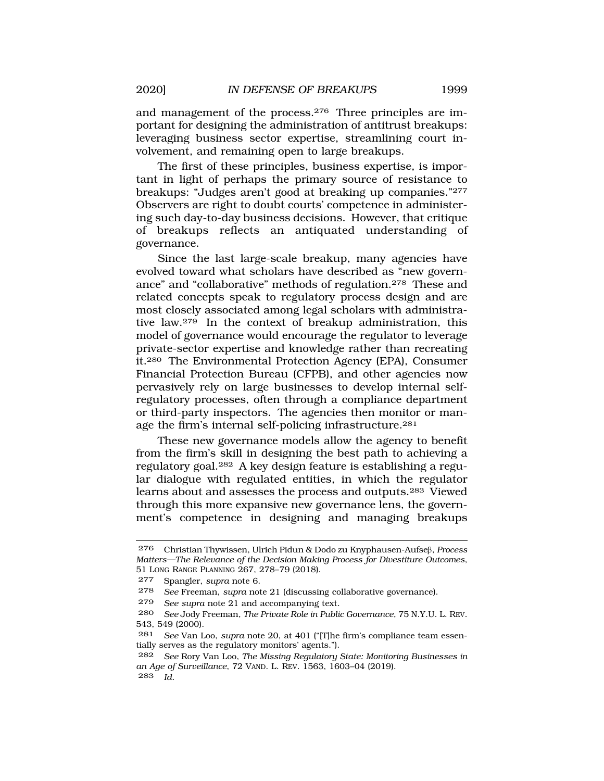and management of the process.276 Three principles are important for designing the administration of antitrust breakups: leveraging business sector expertise, streamlining court involvement, and remaining open to large breakups.

The first of these principles, business expertise, is important in light of perhaps the primary source of resistance to breakups: "Judges aren't good at breaking up companies."277 Observers are right to doubt courts' competence in administering such day-to-day business decisions. However, that critique of breakups reflects an antiquated understanding of governance.

Since the last large-scale breakup, many agencies have evolved toward what scholars have described as "new governance" and "collaborative" methods of regulation.278 These and related concepts speak to regulatory process design and are most closely associated among legal scholars with administrative law.279 In the context of breakup administration, this model of governance would encourage the regulator to leverage private-sector expertise and knowledge rather than recreating it.280 The Environmental Protection Agency (EPA), Consumer Financial Protection Bureau (CFPB), and other agencies now pervasively rely on large businesses to develop internal selfregulatory processes, often through a compliance department or third-party inspectors. The agencies then monitor or manage the firm's internal self-policing infrastructure.<sup>281</sup>

These new governance models allow the agency to benefit from the firm's skill in designing the best path to achieving a regulatory goal.282 A key design feature is establishing a regular dialogue with regulated entities, in which the regulator learns about and assesses the process and outputs.283 Viewed through this more expansive new governance lens, the government's competence in designing and managing breakups

279 *See supra* note 21 and accompanying text.

<sup>276</sup> Christian Thywissen, Ulrich Pidun & Dodo zu Knyphausen-Aufseb, *Process Matters—The Relevance of the Decision Making Process for Divestiture Outcomes*, 51 LONG RANGE PLANNING 267, 278–79 (2018).

<sup>277</sup> Spangler, *supra* note 6.

<sup>278</sup> *See* Freeman, *supra* note 21 (discussing collaborative governance).

<sup>280</sup> *See* Jody Freeman, *The Private Role in Public Governance*, 75 N.Y.U. L. REV. 543, 549 (2000).

<sup>281</sup> *See* Van Loo, *supra* note 20, at 401 ("[T]he firm's compliance team essentially serves as the regulatory monitors' agents.").

<sup>282</sup> *See* Rory Van Loo, *The Missing Regulatory State: Monitoring Businesses in an Age of Surveillance*, 72 VAND. L. REV. 1563, 1603–04 (2019). 283 *Id.*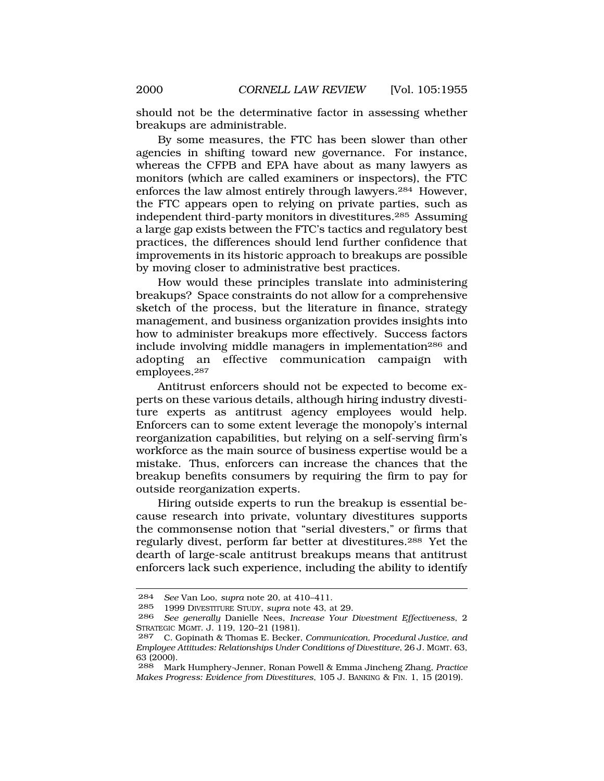should not be the determinative factor in assessing whether breakups are administrable.

By some measures, the FTC has been slower than other agencies in shifting toward new governance. For instance, whereas the CFPB and EPA have about as many lawyers as monitors (which are called examiners or inspectors), the FTC enforces the law almost entirely through lawyers.284 However, the FTC appears open to relying on private parties, such as independent third-party monitors in divestitures.285 Assuming a large gap exists between the FTC's tactics and regulatory best practices, the differences should lend further confidence that improvements in its historic approach to breakups are possible by moving closer to administrative best practices.

How would these principles translate into administering breakups? Space constraints do not allow for a comprehensive sketch of the process, but the literature in finance, strategy management, and business organization provides insights into how to administer breakups more effectively. Success factors include involving middle managers in implementation<sup>286</sup> and adopting an effective communication campaign with employees.287

Antitrust enforcers should not be expected to become experts on these various details, although hiring industry divestiture experts as antitrust agency employees would help. Enforcers can to some extent leverage the monopoly's internal reorganization capabilities, but relying on a self-serving firm's workforce as the main source of business expertise would be a mistake. Thus, enforcers can increase the chances that the breakup benefits consumers by requiring the firm to pay for outside reorganization experts.

Hiring outside experts to run the breakup is essential because research into private, voluntary divestitures supports the commonsense notion that "serial divesters," or firms that regularly divest, perform far better at divestitures.288 Yet the dearth of large-scale antitrust breakups means that antitrust enforcers lack such experience, including the ability to identify

<sup>284</sup> *See* Van Loo, *supra* note 20, at 410–411.

<sup>285 1999</sup> DIVESTITURE STUDY, *supra* note 43, at 29.

<sup>286</sup> *See generally* Danielle Nees, *Increase Your Divestment Effectiveness*, 2 STRATEGIC MGMT. J. 119, 120–21 (1981).

<sup>287</sup> C. Gopinath & Thomas E. Becker, *Communication, Procedural Justice, and Employee Attitudes: Relationships Under Conditions of Divestiture*, 26 J. MGMT. 63, 63 (2000).

<sup>288</sup> Mark Humphery-Jenner, Ronan Powell & Emma Jincheng Zhang, *Practice Makes Progress: Evidence from Divestitures*, 105 J. BANKING & FIN. 1, 15 (2019).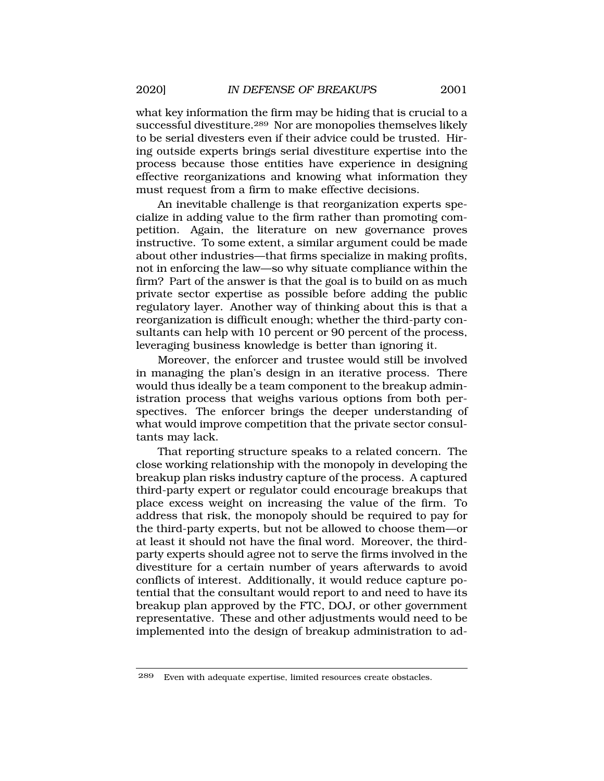what key information the firm may be hiding that is crucial to a successful divestiture.289 Nor are monopolies themselves likely to be serial divesters even if their advice could be trusted. Hiring outside experts brings serial divestiture expertise into the process because those entities have experience in designing effective reorganizations and knowing what information they must request from a firm to make effective decisions.

An inevitable challenge is that reorganization experts specialize in adding value to the firm rather than promoting competition. Again, the literature on new governance proves instructive. To some extent, a similar argument could be made about other industries—that firms specialize in making profits, not in enforcing the law—so why situate compliance within the firm? Part of the answer is that the goal is to build on as much private sector expertise as possible before adding the public regulatory layer. Another way of thinking about this is that a reorganization is difficult enough; whether the third-party consultants can help with 10 percent or 90 percent of the process, leveraging business knowledge is better than ignoring it.

Moreover, the enforcer and trustee would still be involved in managing the plan's design in an iterative process. There would thus ideally be a team component to the breakup administration process that weighs various options from both perspectives. The enforcer brings the deeper understanding of what would improve competition that the private sector consultants may lack.

That reporting structure speaks to a related concern. The close working relationship with the monopoly in developing the breakup plan risks industry capture of the process. A captured third-party expert or regulator could encourage breakups that place excess weight on increasing the value of the firm. To address that risk, the monopoly should be required to pay for the third-party experts, but not be allowed to choose them—or at least it should not have the final word. Moreover, the thirdparty experts should agree not to serve the firms involved in the divestiture for a certain number of years afterwards to avoid conflicts of interest. Additionally, it would reduce capture potential that the consultant would report to and need to have its breakup plan approved by the FTC, DOJ, or other government representative. These and other adjustments would need to be implemented into the design of breakup administration to ad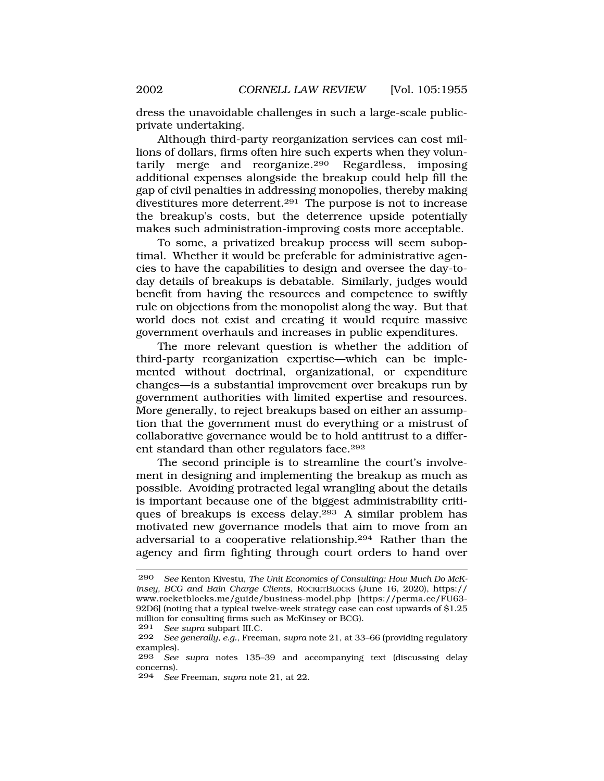dress the unavoidable challenges in such a large-scale publicprivate undertaking.

Although third-party reorganization services can cost millions of dollars, firms often hire such experts when they voluntarily merge and reorganize.290 Regardless, imposing additional expenses alongside the breakup could help fill the gap of civil penalties in addressing monopolies, thereby making divestitures more deterrent.291 The purpose is not to increase the breakup's costs, but the deterrence upside potentially makes such administration-improving costs more acceptable.

To some, a privatized breakup process will seem suboptimal. Whether it would be preferable for administrative agencies to have the capabilities to design and oversee the day-today details of breakups is debatable. Similarly, judges would benefit from having the resources and competence to swiftly rule on objections from the monopolist along the way. But that world does not exist and creating it would require massive government overhauls and increases in public expenditures.

The more relevant question is whether the addition of third-party reorganization expertise—which can be implemented without doctrinal, organizational, or expenditure changes—is a substantial improvement over breakups run by government authorities with limited expertise and resources. More generally, to reject breakups based on either an assumption that the government must do everything or a mistrust of collaborative governance would be to hold antitrust to a different standard than other regulators face.292

The second principle is to streamline the court's involvement in designing and implementing the breakup as much as possible. Avoiding protracted legal wrangling about the details is important because one of the biggest administrability critiques of breakups is excess delay.293 A similar problem has motivated new governance models that aim to move from an adversarial to a cooperative relationship.294 Rather than the agency and firm fighting through court orders to hand over

291 *See supra* subpart III.C.

294 *See* Freeman, *supra* note 21, at 22.

<sup>290</sup> *See* Kenton Kivestu, *The Unit Economics of Consulting: How Much Do McKinsey, BCG and Bain Charge Clients*, ROCKETBLOCKS (June 16, 2020), https:// <www.rocketblocks.me/guide/business-model.php> [<https://perma.cc/FU63>- 92D6] (noting that a typical twelve-week strategy case can cost upwards of \$1.25 million for consulting firms such as McKinsey or BCG).

<sup>292</sup> *See generally, e.g.*, Freeman, *supra* note 21, at 33–66 (providing regulatory examples).

<sup>293</sup> *See supra* notes 135–39 and accompanying text (discussing delay concerns).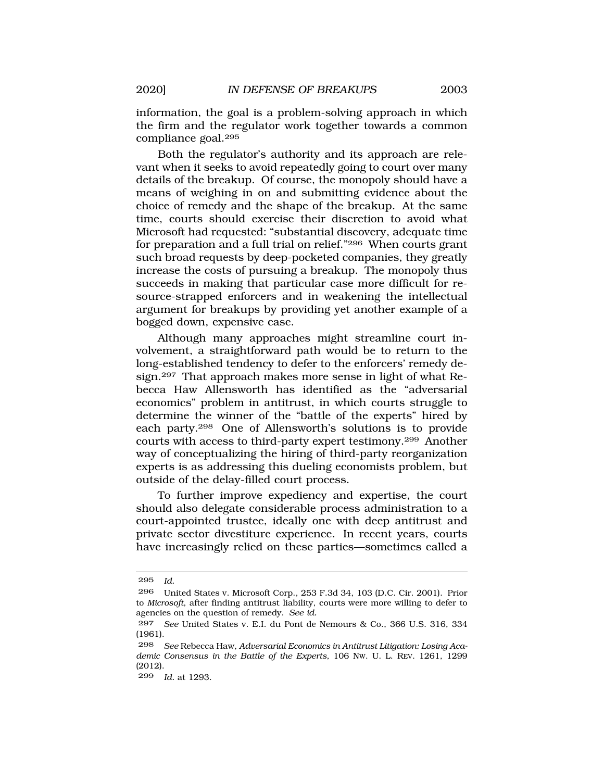information, the goal is a problem-solving approach in which the firm and the regulator work together towards a common compliance goal.295

Both the regulator's authority and its approach are relevant when it seeks to avoid repeatedly going to court over many details of the breakup. Of course, the monopoly should have a means of weighing in on and submitting evidence about the choice of remedy and the shape of the breakup. At the same time, courts should exercise their discretion to avoid what Microsoft had requested: "substantial discovery, adequate time for preparation and a full trial on relief."296 When courts grant such broad requests by deep-pocketed companies, they greatly increase the costs of pursuing a breakup. The monopoly thus succeeds in making that particular case more difficult for resource-strapped enforcers and in weakening the intellectual argument for breakups by providing yet another example of a bogged down, expensive case.

Although many approaches might streamline court involvement, a straightforward path would be to return to the long-established tendency to defer to the enforcers' remedy design.297 That approach makes more sense in light of what Rebecca Haw Allensworth has identified as the "adversarial economics" problem in antitrust, in which courts struggle to determine the winner of the "battle of the experts" hired by each party.298 One of Allensworth's solutions is to provide courts with access to third-party expert testimony.299 Another way of conceptualizing the hiring of third-party reorganization experts is as addressing this dueling economists problem, but outside of the delay-filled court process.

To further improve expediency and expertise, the court should also delegate considerable process administration to a court-appointed trustee, ideally one with deep antitrust and private sector divestiture experience. In recent years, courts have increasingly relied on these parties—sometimes called a

<sup>295</sup> *Id.* 

<sup>296</sup> United States v. Microsoft Corp., 253 F.3d 34, 103 (D.C. Cir. 2001). Prior to *Microsoft*, after finding antitrust liability, courts were more willing to defer to agencies on the question of remedy. *See id.* 

<sup>297</sup> *See* United States v. E.I. du Pont de Nemours & Co., 366 U.S. 316, 334 (1961).

<sup>298</sup> *See* Rebecca Haw, *Adversarial Economics in Antitrust Litigation: Losing Academic Consensus in the Battle of the Experts*, 106 NW. U. L. REV. 1261, 1299 (2012).

<sup>299</sup> *Id.* at 1293.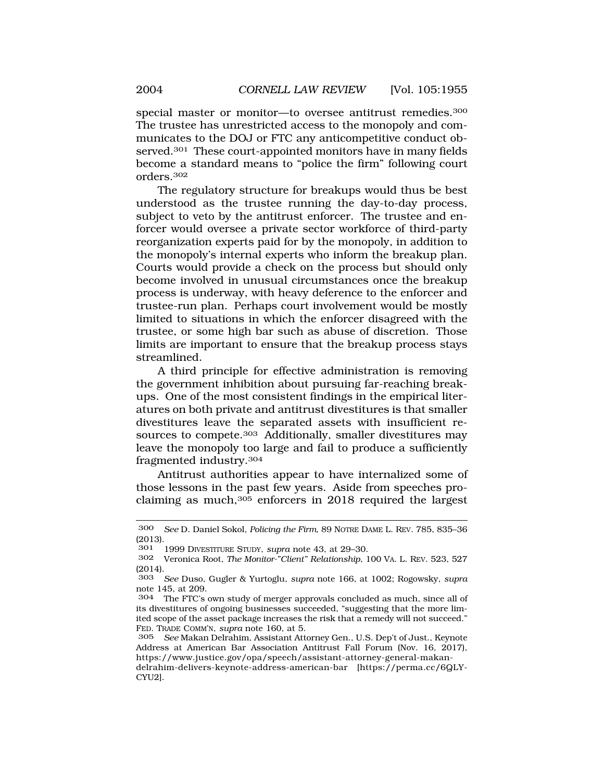special master or monitor—to oversee antitrust remedies.300 The trustee has unrestricted access to the monopoly and communicates to the DOJ or FTC any anticompetitive conduct observed.<sup>301</sup> These court-appointed monitors have in many fields become a standard means to "police the firm" following court orders.302

The regulatory structure for breakups would thus be best understood as the trustee running the day-to-day process, subject to veto by the antitrust enforcer. The trustee and enforcer would oversee a private sector workforce of third-party reorganization experts paid for by the monopoly, in addition to the monopoly's internal experts who inform the breakup plan. Courts would provide a check on the process but should only become involved in unusual circumstances once the breakup process is underway, with heavy deference to the enforcer and trustee-run plan. Perhaps court involvement would be mostly limited to situations in which the enforcer disagreed with the trustee, or some high bar such as abuse of discretion. Those limits are important to ensure that the breakup process stays streamlined.

A third principle for effective administration is removing the government inhibition about pursuing far-reaching breakups. One of the most consistent findings in the empirical literatures on both private and antitrust divestitures is that smaller divestitures leave the separated assets with insufficient resources to compete.<sup>303</sup> Additionally, smaller divestitures may leave the monopoly too large and fail to produce a sufficiently fragmented industry.304

Antitrust authorities appear to have internalized some of those lessons in the past few years. Aside from speeches proclaiming as much,305 enforcers in 2018 required the largest

<sup>300</sup> *See* D. Daniel Sokol, *Policing the Firm*, 89 NOTRE DAME L. REV. 785, 835–36 (2013).

<sup>301 1999</sup> DIVESTITURE STUDY, *supra* note 43, at 29–30.

<sup>302</sup> Veronica Root, *The Monitor-"Client" Relationship*, 100 VA. L. REV. 523, 527 (2014).

<sup>303</sup> *See* Duso, Gugler & Yurtoglu, *supra* note 166, at 1002; Rogowsky, *supra*  note 145, at 209.

<sup>304</sup> The FTC's own study of merger approvals concluded as much, since all of its divestitures of ongoing businesses succeeded, "suggesting that the more limited scope of the asset package increases the risk that a remedy will not succeed." FED. TRADE COMM'N, *supra* note 160, at 5.

<sup>305</sup> *See* Makan Delrahim, Assistant Attorney Gen., U.S. Dep't of Just., Keynote Address at American Bar Association Antitrust Fall Forum (Nov. 16, 2017), <https://www.justice.gov/opa/speech/assistant-attorney-general-makan>-

delrahim-delivers-keynote-address-american-bar [<https://perma.cc/6QLY>-CYU2].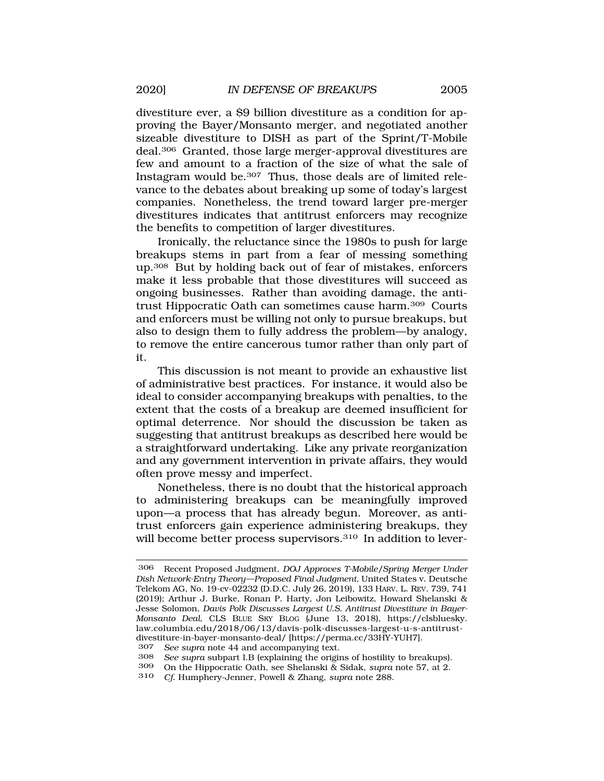divestiture ever, a \$9 billion divestiture as a condition for approving the Bayer/Monsanto merger, and negotiated another sizeable divestiture to DISH as part of the Sprint/T-Mobile deal.306 Granted, those large merger-approval divestitures are few and amount to a fraction of the size of what the sale of Instagram would be.307 Thus, those deals are of limited relevance to the debates about breaking up some of today's largest companies. Nonetheless, the trend toward larger pre-merger divestitures indicates that antitrust enforcers may recognize the benefits to competition of larger divestitures.

Ironically, the reluctance since the 1980s to push for large breakups stems in part from a fear of messing something up.308 But by holding back out of fear of mistakes, enforcers make it less probable that those divestitures will succeed as ongoing businesses. Rather than avoiding damage, the antitrust Hippocratic Oath can sometimes cause harm.309 Courts and enforcers must be willing not only to pursue breakups, but also to design them to fully address the problem—by analogy, to remove the entire cancerous tumor rather than only part of it.

This discussion is not meant to provide an exhaustive list of administrative best practices. For instance, it would also be ideal to consider accompanying breakups with penalties, to the extent that the costs of a breakup are deemed insufficient for optimal deterrence. Nor should the discussion be taken as suggesting that antitrust breakups as described here would be a straightforward undertaking. Like any private reorganization and any government intervention in private affairs, they would often prove messy and imperfect.

Nonetheless, there is no doubt that the historical approach to administering breakups can be meaningfully improved upon—a process that has already begun. Moreover, as antitrust enforcers gain experience administering breakups, they will become better process supervisors.<sup>310</sup> In addition to lever-

<sup>306</sup> Recent Proposed Judgment, *DOJ Approves T-Mobile/Spring Merger Under Dish Network-Entry Theory—Proposed Final Judgment,* United States v. Deutsche Telekom AG, No. 19-cv-02232 (D.D.C. July 26, 2019), 133 HARV. L. REV. 739, 741 (2019); Arthur J. Burke, Ronan P. Harty, Jon Leibowitz, Howard Shelanski & Jesse Solomon, *Davis Polk Discusses Largest U.S. Antitrust Divestiture in Bayer-Monsanto Deal*, CLS BLUE SKY BLOG (June 13, 2018), <https://clsbluesky>. [law.columbia.edu/2018/06/13/davis-polk-discusses-largest-u-s-antitrust](https://law.columbia.edu/2018/06/13/davis-polk-discusses-largest-u-s-antitrust)divestiture-in-bayer-monsanto-deal/ [<https://perma.cc/33HY-YUH7>].<br>307 See sunra note 44 and accompanying text

<sup>307</sup> *See supra* note 44 and accompanying text.

<sup>308</sup> *See supra* subpart I.B (explaining the origins of hostility to breakups).

<sup>309</sup> On the Hippocratic Oath, see Shelanski & Sidak, *supra* note 57, at 2.

<sup>310</sup> *Cf.* Humphery-Jenner, Powell & Zhang, *supra* note 288.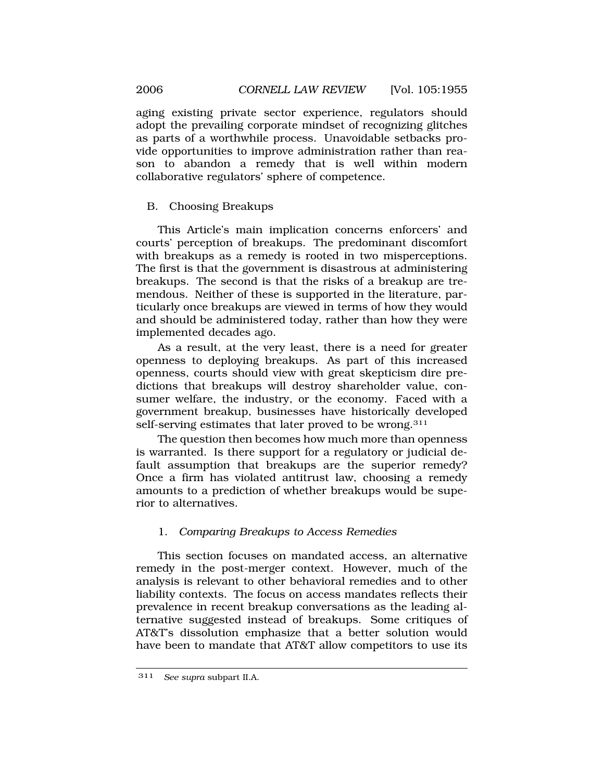aging existing private sector experience, regulators should adopt the prevailing corporate mindset of recognizing glitches as parts of a worthwhile process. Unavoidable setbacks provide opportunities to improve administration rather than reason to abandon a remedy that is well within modern collaborative regulators' sphere of competence.

## B. Choosing Breakups

This Article's main implication concerns enforcers' and courts' perception of breakups. The predominant discomfort with breakups as a remedy is rooted in two misperceptions. The first is that the government is disastrous at administering breakups. The second is that the risks of a breakup are tremendous. Neither of these is supported in the literature, particularly once breakups are viewed in terms of how they would and should be administered today, rather than how they were implemented decades ago.

As a result, at the very least, there is a need for greater openness to deploying breakups. As part of this increased openness, courts should view with great skepticism dire predictions that breakups will destroy shareholder value, consumer welfare, the industry, or the economy. Faced with a government breakup, businesses have historically developed self-serving estimates that later proved to be wrong.<sup>311</sup>

The question then becomes how much more than openness is warranted. Is there support for a regulatory or judicial default assumption that breakups are the superior remedy? Once a firm has violated antitrust law, choosing a remedy amounts to a prediction of whether breakups would be superior to alternatives.

# 1. *Comparing Breakups to Access Remedies*

This section focuses on mandated access, an alternative remedy in the post-merger context. However, much of the analysis is relevant to other behavioral remedies and to other liability contexts. The focus on access mandates reflects their prevalence in recent breakup conversations as the leading alternative suggested instead of breakups. Some critiques of AT&T's dissolution emphasize that a better solution would have been to mandate that AT&T allow competitors to use its

<span id="page-51-0"></span>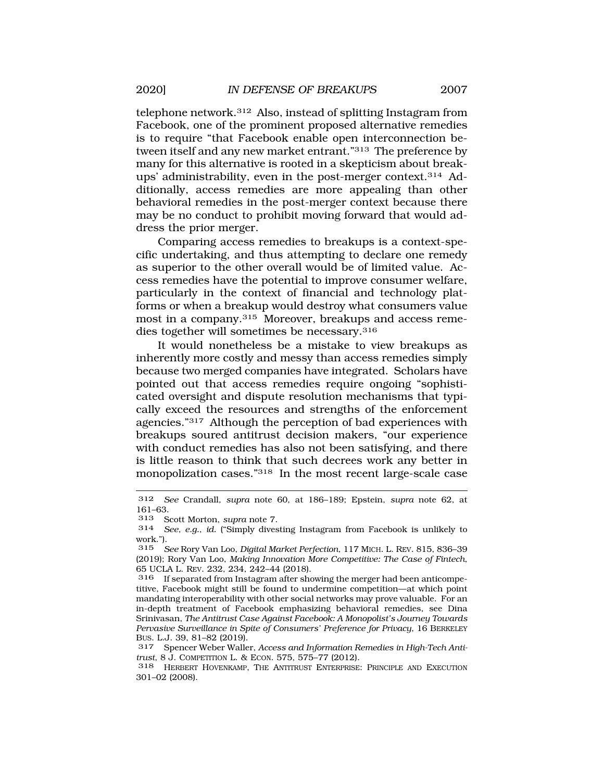telephone network.312 Also, instead of splitting Instagram from Facebook, one of the prominent proposed alternative remedies is to require "that Facebook enable open interconnection between itself and any new market entrant."313 The preference by many for this alternative is rooted in a skepticism about breakups' administrability, even in the post-merger context.314 Additionally, access remedies are more appealing than other behavioral remedies in the post-merger context because there may be no conduct to prohibit moving forward that would address the prior merger.

Comparing access remedies to breakups is a context-specific undertaking, and thus attempting to declare one remedy as superior to the other overall would be of limited value. Access remedies have the potential to improve consumer welfare, particularly in the context of financial and technology platforms or when a breakup would destroy what consumers value most in a company.315 Moreover, breakups and access remedies together will sometimes be necessary.316

It would nonetheless be a mistake to view breakups as inherently more costly and messy than access remedies simply because two merged companies have integrated. Scholars have pointed out that access remedies require ongoing "sophisticated oversight and dispute resolution mechanisms that typically exceed the resources and strengths of the enforcement agencies."317 Although the perception of bad experiences with breakups soured antitrust decision makers, "our experience with conduct remedies has also not been satisfying, and there is little reason to think that such decrees work any better in monopolization cases."318 In the most recent large-scale case

<sup>312</sup> *See* Crandall*, supra* note 60, at 186–189; Epstein, *supra* note 62, at 161–63.

<sup>313</sup> Scott Morton, *supra* note 7.

See, e.g., *id.* ("Simply divesting Instagram from Facebook is unlikely to work.").

<sup>315</sup> *See* Rory Van Loo, *Digital Market Perfection*, 117 MICH. L. REV. 815, 836–39 (2019); Rory Van Loo, *Making Innovation More Competitive: The Case of Fintech*, 65 UCLA L. REV. 232, 234, 242–44 (2018).

<sup>316</sup> If separated from Instagram after showing the merger had been anticompetitive, Facebook might still be found to undermine competition—at which point mandating interoperability with other social networks may prove valuable. For an in-depth treatment of Facebook emphasizing behavioral remedies, see Dina Srinivasan, *The Antitrust Case Against Facebook: A Monopolist's Journey Towards Pervasive Surveillance in Spite of Consumers' Preference for Privacy*, 16 BERKELEY BUS. L.J. 39, 81–82 (2019).<br>317 Spencer Weber Walle

<sup>317</sup> Spencer Weber Waller, *Access and Information Remedies in High-Tech Antitrust*, 8 J. COMPETITION L. & ECON. 575, 575–77 (2012).

<sup>318</sup> HERBERT HOVENKAMP, THE ANTITRUST ENTERPRISE: PRINCIPLE AND EXECUTION 301–02 (2008).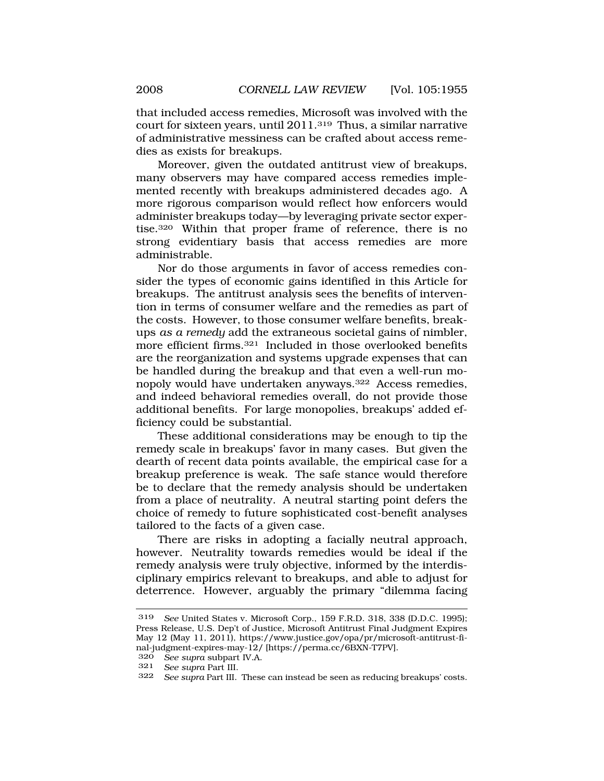that included access remedies, Microsoft was involved with the court for sixteen years, until 2011.319 Thus, a similar narrative of administrative messiness can be crafted about access remedies as exists for breakups.

Moreover, given the outdated antitrust view of breakups, many observers may have compared access remedies implemented recently with breakups administered decades ago. A more rigorous comparison would reflect how enforcers would administer breakups today—by leveraging private sector expertise.320 Within that proper frame of reference, there is no strong evidentiary basis that access remedies are more administrable.

Nor do those arguments in favor of access remedies consider the types of economic gains identified in this Article for breakups. The antitrust analysis sees the benefits of intervention in terms of consumer welfare and the remedies as part of the costs. However, to those consumer welfare benefits, breakups *as a remedy* add the extraneous societal gains of nimbler, more efficient firms.321 Included in those overlooked benefits are the reorganization and systems upgrade expenses that can be handled during the breakup and that even a well-run monopoly would have undertaken anyways.322 Access remedies, and indeed behavioral remedies overall, do not provide those additional benefits. For large monopolies, breakups' added efficiency could be substantial.

These additional considerations may be enough to tip the remedy scale in breakups' favor in many cases. But given the dearth of recent data points available, the empirical case for a breakup preference is weak. The safe stance would therefore be to declare that the remedy analysis should be undertaken from a place of neutrality. A neutral starting point defers the choice of remedy to future sophisticated cost-benefit analyses tailored to the facts of a given case.

There are risks in adopting a facially neutral approach, however. Neutrality towards remedies would be ideal if the remedy analysis were truly objective, informed by the interdisciplinary empirics relevant to breakups, and able to adjust for deterrence. However, arguably the primary "dilemma facing

320 *See supra* subpart IV.A.

<sup>319</sup> *See* United States v. Microsoft Corp., 159 F.R.D. 318, 338 (D.D.C. 1995); Press Release, U.S. Dep't of Justice, Microsoft Antitrust Final Judgment Expires May 12 (May 11, 2011), <https://www.justice.gov/opa/pr/microsoft-antitrust-fi>nal-judgment-expires-may-12/ [\[https://perma.cc/6BXN-T7PV\]](https://perma.cc/6BXN-T7PV).

<sup>321</sup> *See supra* Part III.

<sup>322</sup> *See supra* Part III. These can instead be seen as reducing breakups' costs.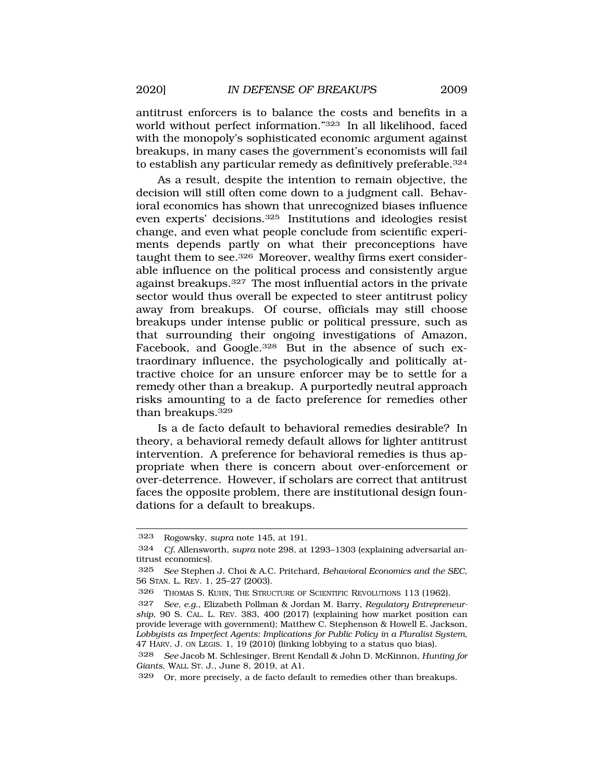antitrust enforcers is to balance the costs and benefits in a world without perfect information."323 In all likelihood, faced with the monopoly's sophisticated economic argument against breakups, in many cases the government's economists will fail to establish any particular remedy as definitively preferable.<sup>324</sup>

As a result, despite the intention to remain objective, the decision will still often come down to a judgment call. Behavioral economics has shown that unrecognized biases influence even experts' decisions.325 Institutions and ideologies resist change, and even what people conclude from scientific experiments depends partly on what their preconceptions have taught them to see.326 Moreover, wealthy firms exert considerable influence on the political process and consistently argue against breakups.327 The most influential actors in the private sector would thus overall be expected to steer antitrust policy away from breakups. Of course, officials may still choose breakups under intense public or political pressure, such as that surrounding their ongoing investigations of Amazon, Facebook, and Google.<sup>328</sup> But in the absence of such extraordinary influence, the psychologically and politically attractive choice for an unsure enforcer may be to settle for a remedy other than a breakup. A purportedly neutral approach risks amounting to a de facto preference for remedies other than breakups.<sup>329</sup>

Is a de facto default to behavioral remedies desirable? In theory, a behavioral remedy default allows for lighter antitrust intervention. A preference for behavioral remedies is thus appropriate when there is concern about over-enforcement or over-deterrence. However, if scholars are correct that antitrust faces the opposite problem, there are institutional design foundations for a default to breakups.

<sup>323</sup> Rogowsky, *supra* note 145, at 191.

<sup>324</sup> *Cf.* Allensworth, *supra* note 298, at 1293–1303 (explaining adversarial antitrust economics).

<sup>325</sup> *See* Stephen J. Choi & A.C. Pritchard, *Behavioral Economics and the SEC*, 56 STAN. L. REV. 1, 25–27 (2003).

<sup>326</sup> THOMAS S. KUHN, THE STRUCTURE OF SCIENTIFIC REVOLUTIONS 113 (1962).

<sup>327</sup> *See, e.g.*, Elizabeth Pollman & Jordan M. Barry, *Regulatory Entrepreneurship*, 90 S. CAL. L. REV. 383, 400 (2017) (explaining how market position can provide leverage with government); Matthew C. Stephenson & Howell E. Jackson, *Lobbyists as Imperfect Agents: Implications for Public Policy in a Pluralist System*, 47 HARV. J. ON LEGIS. 1, 19 (2010) (linking lobbying to a status quo bias).

<sup>328</sup> *See* Jacob M. Schlesinger, Brent Kendall & John D. McKinnon, *Hunting for Giants*, WALL ST. J., June 8, 2019, at A1.

<sup>329</sup> Or, more precisely, a de facto default to remedies other than breakups.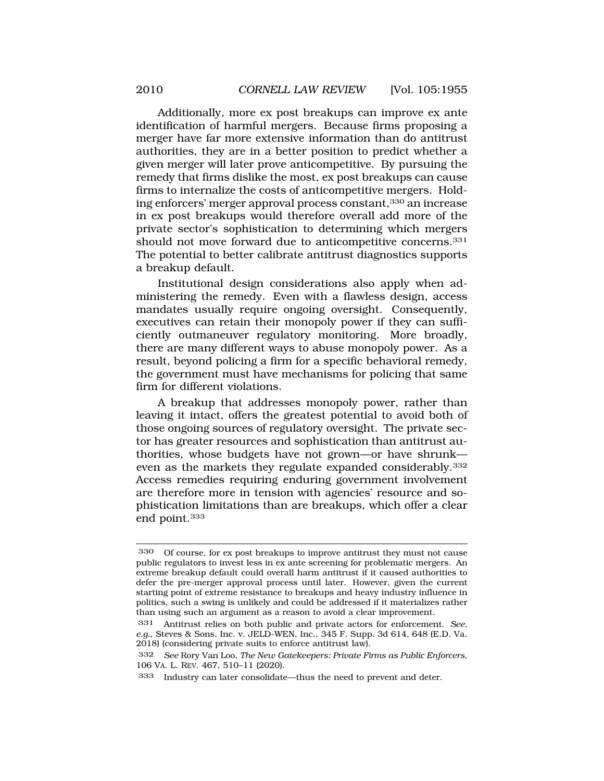Additionally, more ex post breakups can improve ex ante identification of harmful mergers. Because firms proposing a merger have far more extensive information than do antitrust authorities, they are in a better position to predict whether a given merger will later prove anticompetitive. By pursuing the remedy that firms dislike the most, ex post breakups can cause firms to internalize the costs of anticompetitive mergers. Holding enforcers' merger approval process constant,330 an increase in ex post breakups would therefore overall add more of the private sector's sophistication to determining which mergers should not move forward due to anticompetitive concerns.331 The potential to better calibrate antitrust diagnostics supports a breakup default.

Institutional design considerations also apply when administering the remedy. Even with a flawless design, access mandates usually require ongoing oversight. Consequently, executives can retain their monopoly power if they can sufficiently outmaneuver regulatory monitoring. More broadly, there are many different ways to abuse monopoly power. As a result, beyond policing a firm for a specific behavioral remedy, the government must have mechanisms for policing that same firm for different violations.

A breakup that addresses monopoly power, rather than leaving it intact, offers the greatest potential to avoid both of those ongoing sources of regulatory oversight. The private sector has greater resources and sophistication than antitrust authorities, whose budgets have not grown—or have shrunk even as the markets they regulate expanded considerably.332 Access remedies requiring enduring government involvement are therefore more in tension with agencies' resource and sophistication limitations than are breakups, which offer a clear end point.333

<sup>330</sup> Of course, for ex post breakups to improve antitrust they must not cause public regulators to invest less in ex ante screening for problematic mergers. An extreme breakup default could overall harm antitrust if it caused authorities to defer the pre-merger approval process until later. However, given the current starting point of extreme resistance to breakups and heavy industry influence in politics, such a swing is unlikely and could be addressed if it materializes rather than using such an argument as a reason to avoid a clear improvement.

<sup>331</sup> Antitrust relies on both public and private actors for enforcement. *See, e.g.*, Steves & Sons, Inc. v. JELD-WEN, Inc., 345 F. Supp. 3d 614, 648 (E.D. Va. 2018) (considering private suits to enforce antitrust law).

<sup>332</sup> *See* Rory Van Loo, *The New Gatekeepers: Private Firms as Public Enforcers*, 106 VA. L. REV. 467, 510–11 (2020).

<sup>333</sup> Industry can later consolidate—thus the need to prevent and deter.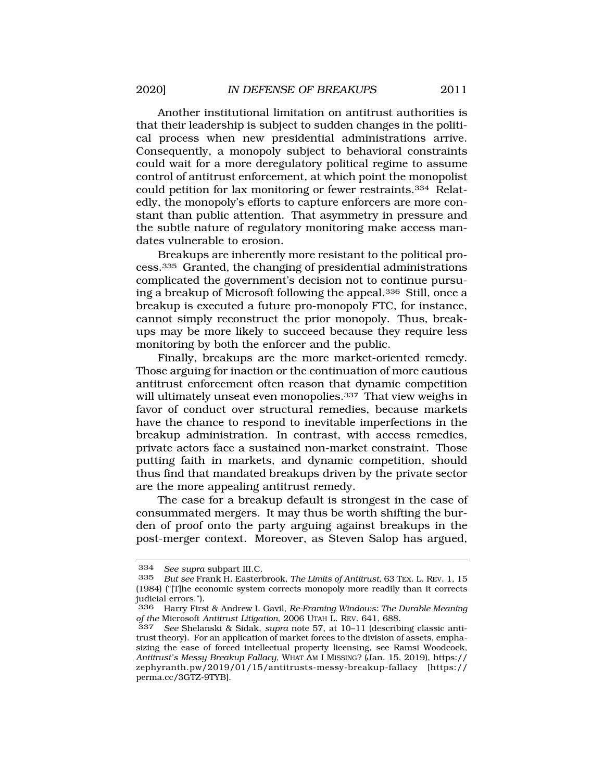Another institutional limitation on antitrust authorities is that their leadership is subject to sudden changes in the political process when new presidential administrations arrive. Consequently, a monopoly subject to behavioral constraints could wait for a more deregulatory political regime to assume control of antitrust enforcement, at which point the monopolist could petition for lax monitoring or fewer restraints.334 Relatedly, the monopoly's efforts to capture enforcers are more constant than public attention. That asymmetry in pressure and the subtle nature of regulatory monitoring make access mandates vulnerable to erosion.

Breakups are inherently more resistant to the political process.335 Granted, the changing of presidential administrations complicated the government's decision not to continue pursuing a breakup of Microsoft following the appeal.336 Still, once a breakup is executed a future pro-monopoly FTC, for instance, cannot simply reconstruct the prior monopoly. Thus, breakups may be more likely to succeed because they require less monitoring by both the enforcer and the public.

Finally, breakups are the more market-oriented remedy. Those arguing for inaction or the continuation of more cautious antitrust enforcement often reason that dynamic competition will ultimately unseat even monopolies.<sup>337</sup> That view weighs in favor of conduct over structural remedies, because markets have the chance to respond to inevitable imperfections in the breakup administration. In contrast, with access remedies, private actors face a sustained non-market constraint. Those putting faith in markets, and dynamic competition, should thus find that mandated breakups driven by the private sector are the more appealing antitrust remedy.

The case for a breakup default is strongest in the case of consummated mergers. It may thus be worth shifting the burden of proof onto the party arguing against breakups in the post-merger context. Moreover, as Steven Salop has argued,

<sup>334</sup> *See supra* subpart III.C.

<sup>335</sup> *But see* Frank H. Easterbrook, *The Limits of Antitrust,* 63 TEX. L. REV. 1, 15 (1984) ("[T]he economic system corrects monopoly more readily than it corrects judicial errors.").

<sup>336</sup> Harry First & Andrew I. Gavil, *Re-Framing Windows: The Durable Meaning of the* Microsoft *Antitrust Litigation*, 2006 UTAH L. REV. 641, 688.

<sup>337</sup> *See* Shelanski & Sidak, *supra* note 57, at 10–11 (describing classic antitrust theory). For an application of market forces to the division of assets, emphasizing the ease of forced intellectual property licensing, see Ramsi Woodcock, *Antitrust's Messy Breakup Fallacy*, WHAT AM I MISSING? (Jan. 15, 2019), https:// zephyranth.pw/2019/01/15/antitrusts-messy-breakup-fallacy [https:// perma.cc/3GTZ-9TYB].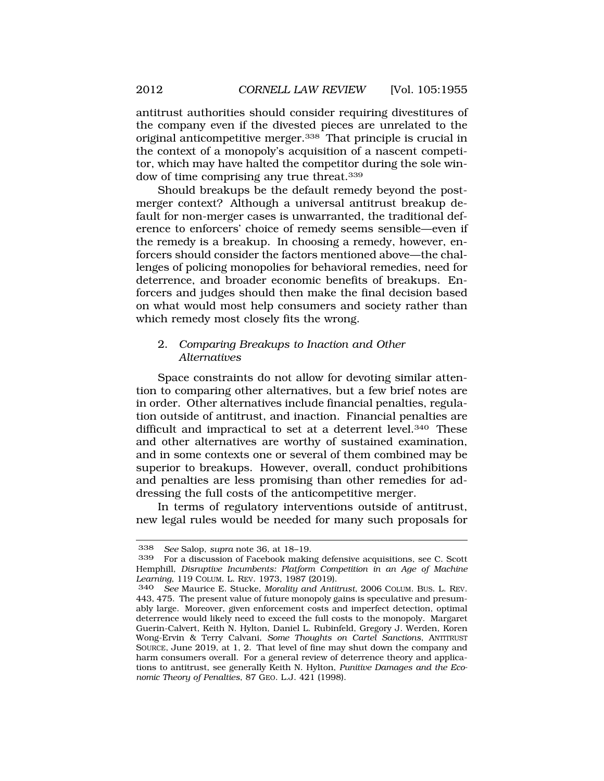<span id="page-57-0"></span>antitrust authorities should consider requiring divestitures of the company even if the divested pieces are unrelated to the original anticompetitive merger.338 That principle is crucial in the context of a monopoly's acquisition of a nascent competitor, which may have halted the competitor during the sole window of time comprising any true threat.339

Should breakups be the default remedy beyond the postmerger context? Although a universal antitrust breakup default for non-merger cases is unwarranted, the traditional deference to enforcers' choice of remedy seems sensible—even if the remedy is a breakup. In choosing a remedy, however, enforcers should consider the factors mentioned above—the challenges of policing monopolies for behavioral remedies, need for deterrence, and broader economic benefits of breakups. Enforcers and judges should then make the final decision based on what would most help consumers and society rather than which remedy most closely fits the wrong.

## 2. *Comparing Breakups to Inaction and Other Alternatives*

Space constraints do not allow for devoting similar attention to comparing other alternatives, but a few brief notes are in order. Other alternatives include financial penalties, regulation outside of antitrust, and inaction. Financial penalties are difficult and impractical to set at a deterrent level.<sup>340</sup> These and other alternatives are worthy of sustained examination, and in some contexts one or several of them combined may be superior to breakups. However, overall, conduct prohibitions and penalties are less promising than other remedies for addressing the full costs of the anticompetitive merger.

In terms of regulatory interventions outside of antitrust, new legal rules would be needed for many such proposals for

<sup>338</sup> *See* Salop, *supra* note 36, at 18–19.

<sup>339</sup> For a discussion of Facebook making defensive acquisitions, see C. Scott Hemphill, *Disruptive Incumbents: Platform Competition in an Age of Machine Learning*, 119 COLUM. L. REV. 1973, 1987 (2019).

<sup>340</sup> *See* Maurice E. Stucke, *Morality and Antitrust*, 2006 COLUM. BUS. L. REV. 443, 475. The present value of future monopoly gains is speculative and presumably large. Moreover, given enforcement costs and imperfect detection, optimal deterrence would likely need to exceed the full costs to the monopoly. Margaret Guerin-Calvert, Keith N. Hylton, Daniel L. Rubinfeld, Gregory J. Werden, Koren Wong-Ervin & Terry Calvani, *Some Thoughts on Cartel Sanctions*, ANTITRUST SOURCE, June 2019, at 1, 2. That level of fine may shut down the company and harm consumers overall. For a general review of deterrence theory and applications to antitrust, see generally Keith N. Hylton, *Punitive Damages and the Economic Theory of Penalties*, 87 GEO. L.J. 421 (1998).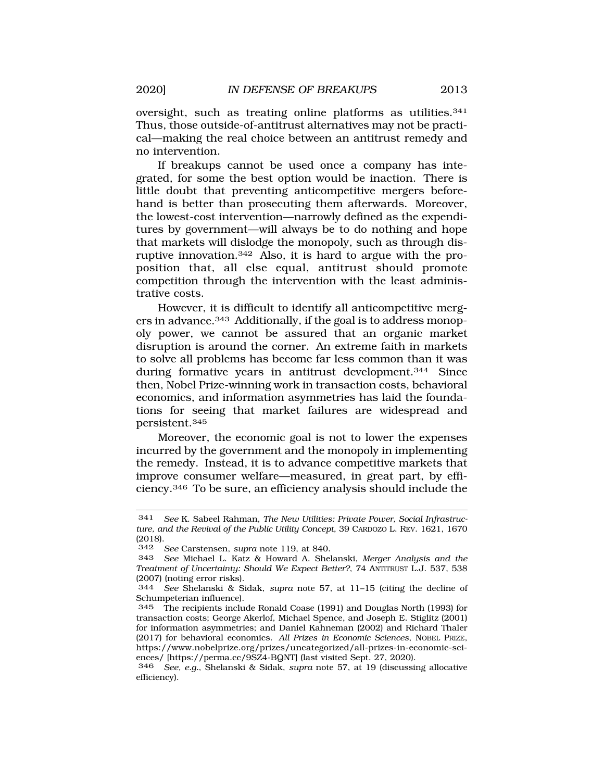oversight, such as treating online platforms as utilities.<sup>341</sup> Thus, those outside-of-antitrust alternatives may not be practical—making the real choice between an antitrust remedy and no intervention.

If breakups cannot be used once a company has integrated, for some the best option would be inaction. There is little doubt that preventing anticompetitive mergers beforehand is better than prosecuting them afterwards. Moreover, the lowest-cost intervention—narrowly defined as the expenditures by government—will always be to do nothing and hope that markets will dislodge the monopoly, such as through disruptive innovation.342 Also, it is hard to argue with the proposition that, all else equal, antitrust should promote competition through the intervention with the least administrative costs.

However, it is difficult to identify all anticompetitive mergers in advance.343 Additionally, if the goal is to address monopoly power, we cannot be assured that an organic market disruption is around the corner. An extreme faith in markets to solve all problems has become far less common than it was during formative years in antitrust development.344 Since then, Nobel Prize-winning work in transaction costs, behavioral economics, and information asymmetries has laid the foundations for seeing that market failures are widespread and persistent.345

Moreover, the economic goal is not to lower the expenses incurred by the government and the monopoly in implementing the remedy. Instead, it is to advance competitive markets that improve consumer welfare—measured, in great part, by efficiency.346 To be sure, an efficiency analysis should include the

<sup>341</sup> *See* K. Sabeel Rahman, *The New Utilities: Private Power, Social Infrastructure, and the Revival of the Public Utility Concept*, 39 CARDOZO L. REV. 1621, 1670  $(2018).$ <br>342

<sup>342</sup> *See* Carstensen, *supra* note 119, at 840.

<sup>343</sup> *See* Michael L. Katz & Howard A. Shelanski, *Merger Analysis and the Treatment of Uncertainty: Should We Expect Better?*, 74 ANTITRUST L.J. 537, 538 (2007) (noting error risks).<br> $344$  See Shelanski & Si

<sup>344</sup> *See* Shelanski & Sidak, *supra* note 57, at 11–15 (citing the decline of Schumpeterian influence).

<sup>345</sup> The recipients include Ronald Coase (1991) and Douglas North (1993) for transaction costs; George Akerlof, Michael Spence, and Joseph E. Stiglitz (2001) for information asymmetries; and Daniel Kahneman (2002) and Richard Thaler (2017) for behavioral economics. *All Prizes in Economic Sciences*, NOBEL PRIZE, <https://www.nobelprize.org/prizes/uncategorized/all-prizes-in-economic-sci>ences/ [<https://perma.cc/9SZ4-BQNT>] (last visited Sept. 27, 2020).

<sup>346</sup> *See, e.g.*, Shelanski & Sidak, *supra* note 57, at 19 (discussing allocative efficiency).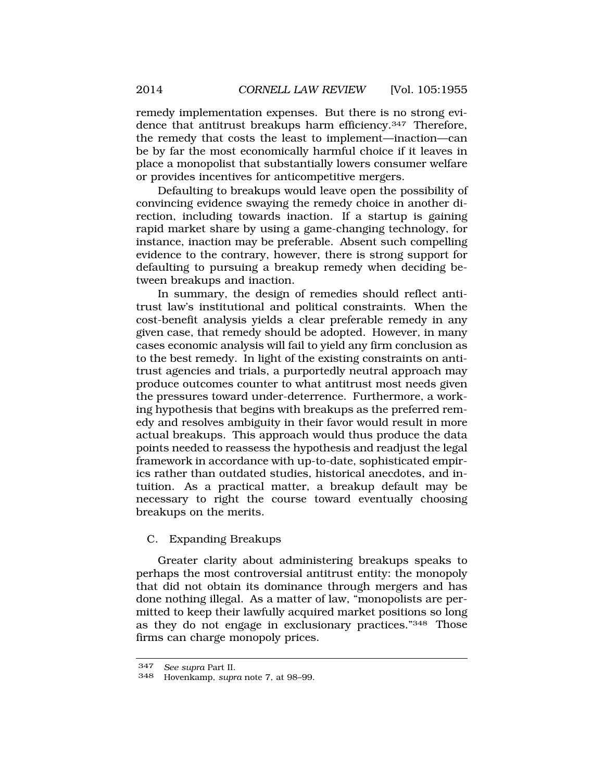<span id="page-59-0"></span>remedy implementation expenses. But there is no strong evidence that antitrust breakups harm efficiency.347 Therefore, the remedy that costs the least to implement—inaction—can be by far the most economically harmful choice if it leaves in place a monopolist that substantially lowers consumer welfare or provides incentives for anticompetitive mergers.

Defaulting to breakups would leave open the possibility of convincing evidence swaying the remedy choice in another direction, including towards inaction. If a startup is gaining rapid market share by using a game-changing technology, for instance, inaction may be preferable. Absent such compelling evidence to the contrary, however, there is strong support for defaulting to pursuing a breakup remedy when deciding between breakups and inaction.

In summary, the design of remedies should reflect antitrust law's institutional and political constraints. When the cost-benefit analysis yields a clear preferable remedy in any given case, that remedy should be adopted. However, in many cases economic analysis will fail to yield any firm conclusion as to the best remedy. In light of the existing constraints on antitrust agencies and trials, a purportedly neutral approach may produce outcomes counter to what antitrust most needs given the pressures toward under-deterrence. Furthermore, a working hypothesis that begins with breakups as the preferred remedy and resolves ambiguity in their favor would result in more actual breakups. This approach would thus produce the data points needed to reassess the hypothesis and readjust the legal framework in accordance with up-to-date, sophisticated empirics rather than outdated studies, historical anecdotes, and intuition. As a practical matter, a breakup default may be necessary to right the course toward eventually choosing breakups on the merits.

## C. Expanding Breakups

Greater clarity about administering breakups speaks to perhaps the most controversial antitrust entity: the monopoly that did not obtain its dominance through mergers and has done nothing illegal. As a matter of law, "monopolists are permitted to keep their lawfully acquired market positions so long as they do not engage in exclusionary practices."348 Those firms can charge monopoly prices.

<sup>347</sup> *See supra* Part II.

<sup>348</sup> Hovenkamp, *supra* note 7, at 98–99.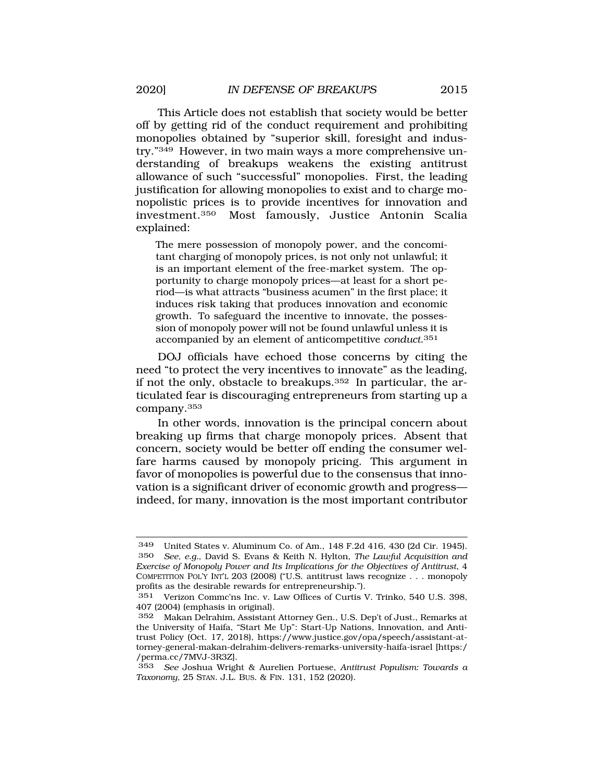This Article does not establish that society would be better off by getting rid of the conduct requirement and prohibiting monopolies obtained by "superior skill, foresight and industry."349 However, in two main ways a more comprehensive understanding of breakups weakens the existing antitrust allowance of such "successful" monopolies. First, the leading justification for allowing monopolies to exist and to charge monopolistic prices is to provide incentives for innovation and<br>investment.<sup>350</sup> Most famously. Justice Antonin Scalia Most famously, Justice Antonin Scalia explained:

The mere possession of monopoly power, and the concomitant charging of monopoly prices, is not only not unlawful; it is an important element of the free-market system. The opportunity to charge monopoly prices—at least for a short period—is what attracts "business acumen" in the first place; it induces risk taking that produces innovation and economic growth. To safeguard the incentive to innovate, the possession of monopoly power will not be found unlawful unless it is accompanied by an element of anticompetitive *conduct*.351

DOJ officials have echoed those concerns by citing the need "to protect the very incentives to innovate" as the leading, if not the only, obstacle to breakups.352 In particular, the articulated fear is discouraging entrepreneurs from starting up a company.353

In other words, innovation is the principal concern about breaking up firms that charge monopoly prices. Absent that concern, society would be better off ending the consumer welfare harms caused by monopoly pricing. This argument in favor of monopolies is powerful due to the consensus that innovation is a significant driver of economic growth and progress indeed, for many, innovation is the most important contributor

<sup>349</sup> United States v. Aluminum Co. of Am., 148 F.2d 416, 430 (2d Cir. 1945). 350 *See, e.g.*, David S. Evans & Keith N. Hylton, *The Lawful Acquisition and Exercise of Monopoly Power and Its Implications for the Objectives of Antitrust*, 4 COMPETITION POL'Y INT'L 203 (2008) ("U.S. antitrust laws recognize . . . monopoly profits as the desirable rewards for entrepreneurship.").

<sup>351</sup> Verizon Commc'ns Inc. v. Law Offices of Curtis V. Trinko, 540 U.S. 398, 407 (2004) (emphasis in original).

<sup>352</sup> Makan Delrahim, Assistant Attorney Gen., U.S. Dep't of Just., Remarks at the University of Haifa, "Start Me Up": Start-Up Nations, Innovation, and Antitrust Policy (Oct. 17, 2018), <https://www.justice.gov/opa/speech/assistant-at>torney-general-makan-delrahim-delivers-remarks-university-haifa-israel [https:/ /perma.cc/7MVJ-3R3Z].

<sup>353</sup> *See* Joshua Wright & Aurelien Portuese, *Antitrust Populism: Towards a Taxonomy*, 25 STAN. J.L. BUS. & FIN. 131, 152 (2020).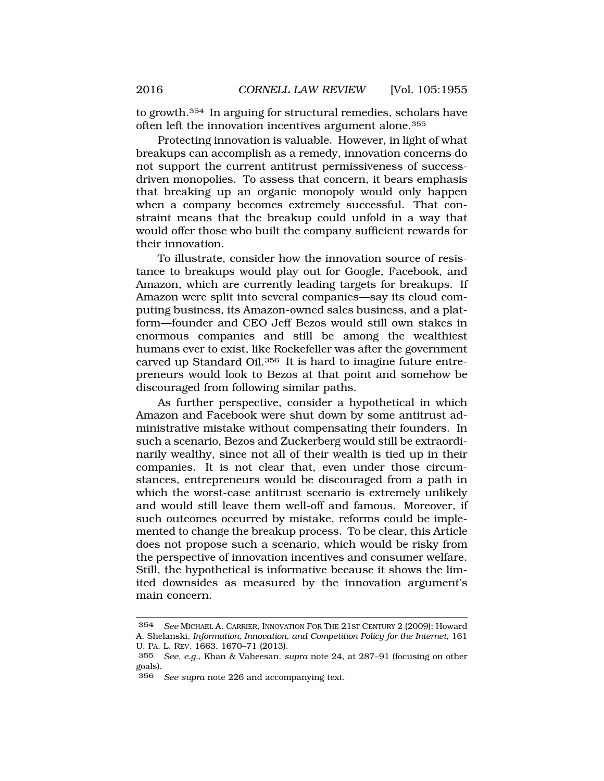to growth.354 In arguing for structural remedies, scholars have often left the innovation incentives argument alone.<sup>355</sup>

Protecting innovation is valuable. However, in light of what breakups can accomplish as a remedy, innovation concerns do not support the current antitrust permissiveness of successdriven monopolies. To assess that concern, it bears emphasis that breaking up an organic monopoly would only happen when a company becomes extremely successful. That constraint means that the breakup could unfold in a way that would offer those who built the company sufficient rewards for their innovation.

To illustrate, consider how the innovation source of resistance to breakups would play out for Google, Facebook, and Amazon, which are currently leading targets for breakups. If Amazon were split into several companies—say its cloud computing business, its Amazon-owned sales business, and a platform—founder and CEO Jeff Bezos would still own stakes in enormous companies and still be among the wealthiest humans ever to exist, like Rockefeller was after the government carved up Standard Oil.356 It is hard to imagine future entrepreneurs would look to Bezos at that point and somehow be discouraged from following similar paths.

As further perspective, consider a hypothetical in which Amazon and Facebook were shut down by some antitrust administrative mistake without compensating their founders. In such a scenario, Bezos and Zuckerberg would still be extraordinarily wealthy, since not all of their wealth is tied up in their companies. It is not clear that, even under those circumstances, entrepreneurs would be discouraged from a path in which the worst-case antitrust scenario is extremely unlikely and would still leave them well-off and famous. Moreover, if such outcomes occurred by mistake, reforms could be implemented to change the breakup process. To be clear, this Article does not propose such a scenario, which would be risky from the perspective of innovation incentives and consumer welfare. Still, the hypothetical is informative because it shows the limited downsides as measured by the innovation argument's main concern.

<sup>354</sup> *See* MICHAEL A. CARRIER, INNOVATION FOR THE 21ST CENTURY 2 (2009); Howard A. Shelanski, *Information, Innovation, and Competition Policy for the Internet*, 161 U. PA. L. REV. 1663, 1670–71 (2013).

<sup>355</sup> *See, e.g.*, Khan & Vaheesan*, supra* note 24, at 287–91 (focusing on other goals).

<sup>356</sup> *See supra* note 226 and accompanying text.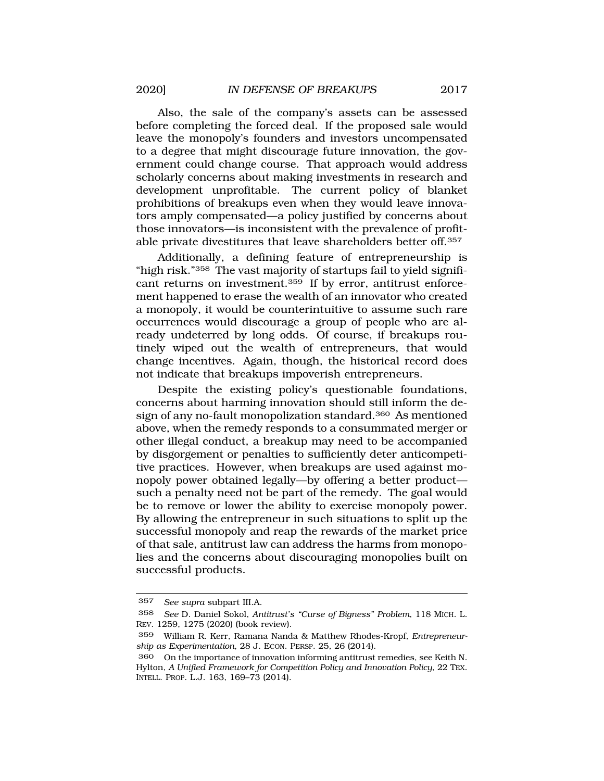Also, the sale of the company's assets can be assessed before completing the forced deal. If the proposed sale would leave the monopoly's founders and investors uncompensated to a degree that might discourage future innovation, the government could change course. That approach would address scholarly concerns about making investments in research and development unprofitable. The current policy of blanket prohibitions of breakups even when they would leave innovators amply compensated—a policy justified by concerns about those innovators—is inconsistent with the prevalence of profitable private divestitures that leave shareholders better off.357

Additionally, a defining feature of entrepreneurship is "high risk."358 The vast majority of startups fail to yield significant returns on investment.359 If by error, antitrust enforcement happened to erase the wealth of an innovator who created a monopoly, it would be counterintuitive to assume such rare occurrences would discourage a group of people who are already undeterred by long odds. Of course, if breakups routinely wiped out the wealth of entrepreneurs, that would change incentives. Again, though, the historical record does not indicate that breakups impoverish entrepreneurs.

Despite the existing policy's questionable foundations, concerns about harming innovation should still inform the design of any no-fault monopolization standard.360 As mentioned above, when the remedy responds to a consummated merger or other illegal conduct, a breakup may need to be accompanied by disgorgement or penalties to sufficiently deter anticompetitive practices. However, when breakups are used against monopoly power obtained legally—by offering a better product such a penalty need not be part of the remedy. The goal would be to remove or lower the ability to exercise monopoly power. By allowing the entrepreneur in such situations to split up the successful monopoly and reap the rewards of the market price of that sale, antitrust law can address the harms from monopolies and the concerns about discouraging monopolies built on successful products.

<sup>357</sup> *See supra* subpart III.A.

<sup>358</sup> *See* D. Daniel Sokol, *Antitrust's "Curse of Bigness" Problem*, 118 MICH. L. REV. 1259, 1275 (2020) (book review).

<sup>359</sup> William R. Kerr, Ramana Nanda & Matthew Rhodes-Kropf, *Entrepreneurship as Experimentation*, 28 J. ECON. PERSP. 25, 26 (2014).

<sup>360</sup> On the importance of innovation informing antitrust remedies, see Keith N. Hylton, *A Unified Framework for Competition Policy and Innovation Policy*, 22 TEX. INTELL. PROP. L.J. 163, 169–73 (2014).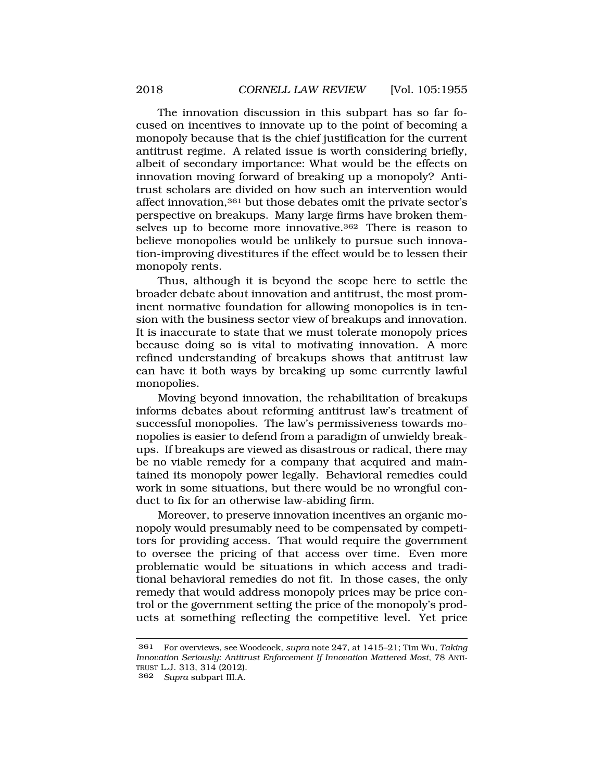The innovation discussion in this subpart has so far focused on incentives to innovate up to the point of becoming a monopoly because that is the chief justification for the current antitrust regime. A related issue is worth considering briefly, albeit of secondary importance: What would be the effects on innovation moving forward of breaking up a monopoly? Antitrust scholars are divided on how such an intervention would affect innovation,361 but those debates omit the private sector's perspective on breakups. Many large firms have broken themselves up to become more innovative.<sup>362</sup> There is reason to believe monopolies would be unlikely to pursue such innovation-improving divestitures if the effect would be to lessen their monopoly rents.

Thus, although it is beyond the scope here to settle the broader debate about innovation and antitrust, the most prominent normative foundation for allowing monopolies is in tension with the business sector view of breakups and innovation. It is inaccurate to state that we must tolerate monopoly prices because doing so is vital to motivating innovation. A more refined understanding of breakups shows that antitrust law can have it both ways by breaking up some currently lawful monopolies.

Moving beyond innovation, the rehabilitation of breakups informs debates about reforming antitrust law's treatment of successful monopolies. The law's permissiveness towards monopolies is easier to defend from a paradigm of unwieldy breakups. If breakups are viewed as disastrous or radical, there may be no viable remedy for a company that acquired and maintained its monopoly power legally. Behavioral remedies could work in some situations, but there would be no wrongful conduct to fix for an otherwise law-abiding firm.

Moreover, to preserve innovation incentives an organic monopoly would presumably need to be compensated by competitors for providing access. That would require the government to oversee the pricing of that access over time. Even more problematic would be situations in which access and traditional behavioral remedies do not fit. In those cases, the only remedy that would address monopoly prices may be price control or the government setting the price of the monopoly's products at something reflecting the competitive level. Yet price

<sup>361</sup> For overviews, see Woodcock, *supra* note 247, at 1415–21; Tim Wu, *Taking Innovation Seriously: Antitrust Enforcement If Innovation Mattered Most*, 78 ANTI-TRUST L.J. 313, 314 (2012).

<sup>362</sup> *Supra* subpart III.A.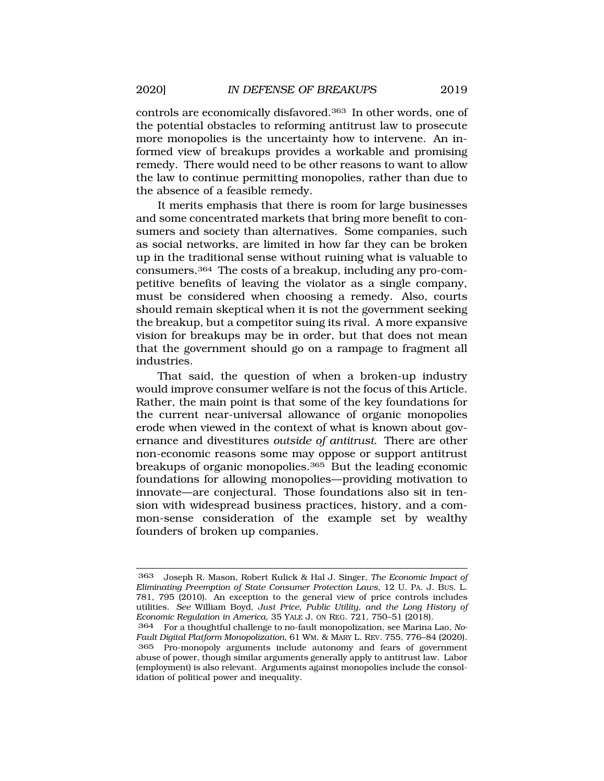controls are economically disfavored.363 In other words, one of the potential obstacles to reforming antitrust law to prosecute more monopolies is the uncertainty how to intervene. An informed view of breakups provides a workable and promising remedy. There would need to be other reasons to want to allow the law to continue permitting monopolies, rather than due to the absence of a feasible remedy.

It merits emphasis that there is room for large businesses and some concentrated markets that bring more benefit to consumers and society than alternatives. Some companies, such as social networks, are limited in how far they can be broken up in the traditional sense without ruining what is valuable to consumers.364 The costs of a breakup, including any pro-competitive benefits of leaving the violator as a single company, must be considered when choosing a remedy. Also, courts should remain skeptical when it is not the government seeking the breakup, but a competitor suing its rival. A more expansive vision for breakups may be in order, but that does not mean that the government should go on a rampage to fragment all industries.

That said, the question of when a broken-up industry would improve consumer welfare is not the focus of this Article. Rather, the main point is that some of the key foundations for the current near-universal allowance of organic monopolies erode when viewed in the context of what is known about governance and divestitures *outside of antitrust*. There are other non-economic reasons some may oppose or support antitrust breakups of organic monopolies.365 But the leading economic foundations for allowing monopolies—providing motivation to innovate—are conjectural. Those foundations also sit in tension with widespread business practices, history, and a common-sense consideration of the example set by wealthy founders of broken up companies.

<sup>363</sup> Joseph R. Mason, Robert Kulick & Hal J. Singer, *The Economic Impact of Eliminating Preemption of State Consumer Protection Laws*, 12 U. PA. J. BUS. L. 781, 795 (2010). An exception to the general view of price controls includes utilities. *See* William Boyd, *Just Price, Public Utility, and the Long History of Economic Regulation in America*, 35 YALE J. ON REG. 721, 750–51 (2018).

<sup>364</sup> For a thoughtful challenge to no-fault monopolization, see Marina Lao, *No-Fault Digital Platform Monopolization*, 61 WM. & MARY L. REV. 755, 776–84 (2020). 365 Pro-monopoly arguments include autonomy and fears of government abuse of power, though similar arguments generally apply to antitrust law. Labor (employment) is also relevant. Arguments against monopolies include the consolidation of political power and inequality.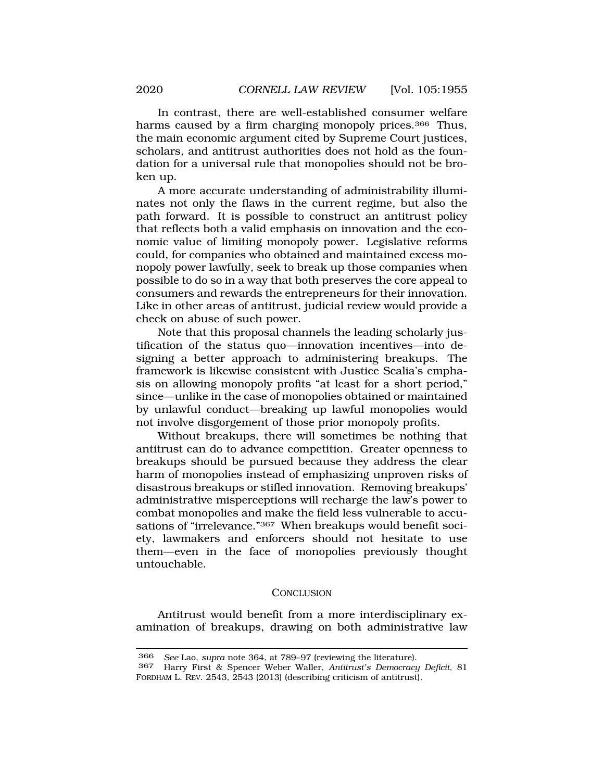<span id="page-65-0"></span>In contrast, there are well-established consumer welfare harms caused by a firm charging monopoly prices.<sup>366</sup> Thus, the main economic argument cited by Supreme Court justices, scholars, and antitrust authorities does not hold as the foundation for a universal rule that monopolies should not be broken up.

A more accurate understanding of administrability illuminates not only the flaws in the current regime, but also the path forward. It is possible to construct an antitrust policy that reflects both a valid emphasis on innovation and the economic value of limiting monopoly power. Legislative reforms could, for companies who obtained and maintained excess monopoly power lawfully, seek to break up those companies when possible to do so in a way that both preserves the core appeal to consumers and rewards the entrepreneurs for their innovation. Like in other areas of antitrust, judicial review would provide a check on abuse of such power.

Note that this proposal channels the leading scholarly justification of the status quo—innovation incentives—into designing a better approach to administering breakups. The framework is likewise consistent with Justice Scalia's emphasis on allowing monopoly profits "at least for a short period," since—unlike in the case of monopolies obtained or maintained by unlawful conduct—breaking up lawful monopolies would not involve disgorgement of those prior monopoly profits.

Without breakups, there will sometimes be nothing that antitrust can do to advance competition. Greater openness to breakups should be pursued because they address the clear harm of monopolies instead of emphasizing unproven risks of disastrous breakups or stifled innovation. Removing breakups' administrative misperceptions will recharge the law's power to combat monopolies and make the field less vulnerable to accusations of "irrelevance."367 When breakups would benefit society, lawmakers and enforcers should not hesitate to use them—even in the face of monopolies previously thought untouchable.

### **CONCLUSION**

Antitrust would benefit from a more interdisciplinary examination of breakups, drawing on both administrative law

<sup>366</sup> *See* Lao, *supra* note 364, at 789–97 (reviewing the literature).

<sup>367</sup> Harry First & Spencer Weber Waller, *Antitrust's Democracy Deficit*, 81 FORDHAM L. REV. 2543, 2543 (2013) (describing criticism of antitrust).